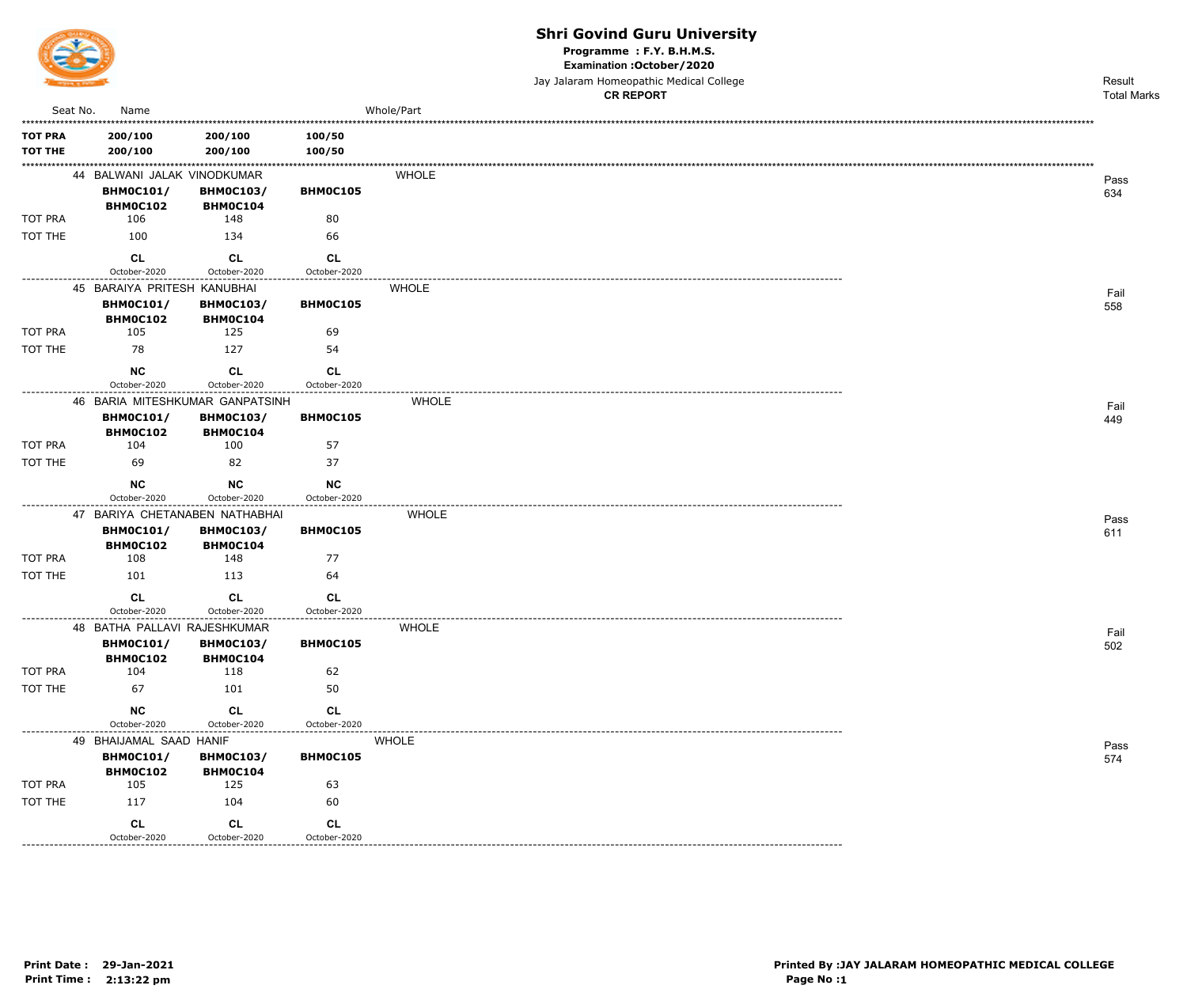

Programme : F.Y. B.H.M.S.

Examination : October / 2020

Jay Jalaram Homeopathic Medical College

|                |                              |                                 |                              |              | <b>CR REPORT</b> | <b>Total Marks</b> |
|----------------|------------------------------|---------------------------------|------------------------------|--------------|------------------|--------------------|
| Seat No.       | Name                         |                                 |                              | Whole/Part   |                  |                    |
| <b>TOT PRA</b> | 200/100                      | 200/100                         | 100/50                       |              |                  |                    |
| <b>TOT THE</b> | 200/100                      | 200/100                         | 100/50                       |              |                  |                    |
|                | 44 BALWANI JALAK VINODKUMAR  |                                 |                              | <b>WHOLE</b> |                  | Pass               |
|                | <b>BHM0C101/</b>             | <b>BHM0C103/</b>                | BHM0C105                     |              |                  | 634                |
|                | <b>BHM0C102</b>              | BHMOC104                        |                              |              |                  |                    |
| TOT PRA        | 106                          | 148                             | 80                           |              |                  |                    |
| TOT THE        | 100                          | 134                             | 66                           |              |                  |                    |
|                | <b>CL</b>                    | <b>CL</b>                       | <b>CL</b>                    |              |                  |                    |
|                | October-2020                 | October-2020                    | October-2020                 |              |                  |                    |
|                | 45 BARAIYA PRITESH KANUBHAI  | <b>BHM0C103/</b>                |                              | <b>WHOLE</b> |                  | Fail               |
|                | <b>BHM0C101/</b><br>BHM0C102 | BHM0C104                        | BHM0C105                     |              |                  | 558                |
| TOT PRA        | 105                          | 125                             | 69                           |              |                  |                    |
| TOT THE        | 78                           | 127                             | 54                           |              |                  |                    |
|                | <b>NC</b>                    | CL                              | <b>CL</b>                    |              |                  |                    |
|                | October-2020                 | October-2020                    | October-2020                 |              |                  |                    |
|                |                              | 46 BARIA MITESHKUMAR GANPATSINH | ----------------------       | <b>WHOLE</b> |                  | Fail               |
|                | <b>BHM0C101/</b>             | <b>BHM0C103/</b>                | BHM0C105                     |              |                  | 449                |
|                | BHM0C102                     | <b>BHM0C104</b>                 |                              |              |                  |                    |
| TOT PRA        | 104                          | 100                             | 57                           |              |                  |                    |
| TOT THE        | 69                           | 82                              | 37                           |              |                  |                    |
|                | <b>NC</b>                    | <b>NC</b>                       | NC                           |              |                  |                    |
|                | October-2020                 | October-2020                    | October-2020<br>------------ |              |                  |                    |
|                |                              | 47 BARIYA CHETANABEN NATHABHAI  |                              | <b>WHOLE</b> |                  | Pass               |
|                | <b>BHM0C101/</b><br>BHM0C102 | <b>BHM0C103/</b><br>BHM0C104    | BHM0C105                     |              |                  | 611                |
| TOT PRA        | 108                          | 148                             | 77                           |              |                  |                    |
| TOT THE        | 101                          | 113                             | 64                           |              |                  |                    |
|                | <b>CL</b>                    |                                 | <b>CL</b>                    |              |                  |                    |
|                | October-2020                 | CL<br>October-2020              | October-2020                 |              |                  |                    |
|                | 48 BATHA PALLAVI RAJESHKUMAR |                                 |                              | <b>WHOLE</b> |                  |                    |
|                | <b>BHM0C101/</b>             | <b>BHM0C103/</b>                | BHM0C105                     |              |                  | Fail<br>502        |
|                | BHM0C102                     | BHM0C104                        |                              |              |                  |                    |
| TOT PRA        | 104                          | 118                             | 62                           |              |                  |                    |
| TOT THE        | 67                           | 101                             | 50                           |              |                  |                    |
|                | NC                           | CL                              | CL                           |              |                  |                    |
|                | October-2020                 | October-2020                    | October-2020                 |              |                  |                    |
|                | 49 BHAIJAMAL SAAD HANIF      |                                 |                              | <b>WHOLE</b> |                  | Pass               |
|                | <b>BHM0C101/</b><br>BHM0C102 | <b>BHM0C103/</b><br>BHM0C104    | BHM0C105                     |              |                  | 574                |
| TOT PRA        | 105                          | 125                             | 63                           |              |                  |                    |
| TOT THE        | 117                          | 104                             | 60                           |              |                  |                    |
|                | CL                           | CL                              | CL                           |              |                  |                    |
|                | October-2020                 | October-2020                    | October-2020                 |              |                  |                    |

October-2020

<u>\_\_\_\_\_\_\_\_\_\_</u>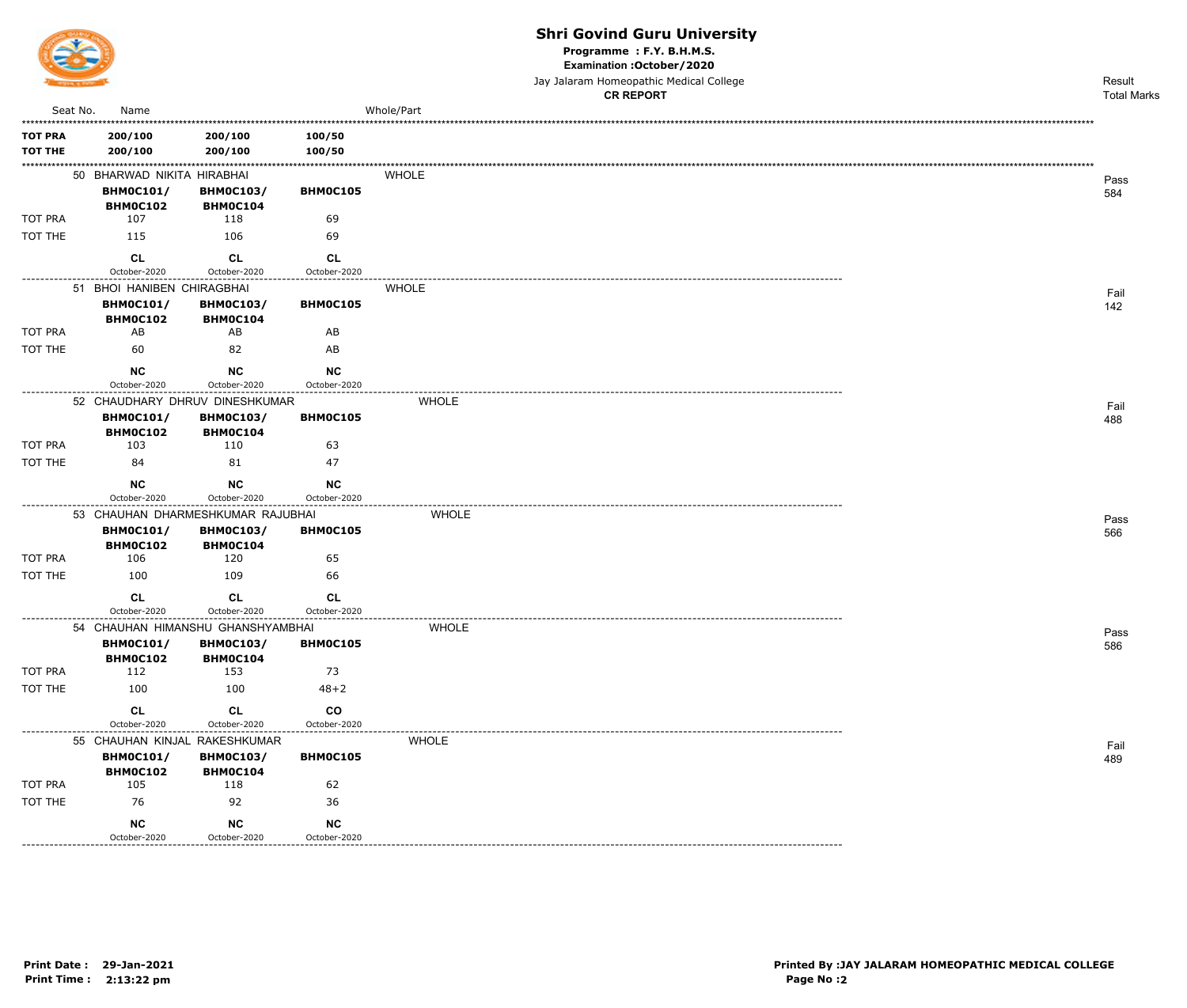

Programme : F.Y. B.H.M.S.

Examination : October / 2020

Jay Jalaram Homeopathic Medical College

|                           |                              |                                     |                           | <b>CR REPORT</b> | <b>Total Marks</b> |
|---------------------------|------------------------------|-------------------------------------|---------------------------|------------------|--------------------|
| Seat No.                  | Name                         |                                     |                           | Whole/Part       |                    |
| <b>TOT PRA</b>            | 200/100                      | 200/100                             | 100/50                    |                  |                    |
| <b>TOT THE</b>            | 200/100                      | 200/100                             | 100/50                    |                  |                    |
|                           | 50 BHARWAD NIKITA HIRABHAI   |                                     |                           | <b>WHOLE</b>     |                    |
|                           | <b>BHM0C101/</b>             | <b>BHM0C103/</b>                    | BHMOC105                  |                  | Pass<br>584        |
|                           | BHM0C102                     | <b>BHM0C104</b>                     |                           |                  |                    |
| <b>TOT PRA</b>            | 107                          | 118                                 | 69                        |                  |                    |
| TOT THE                   | 115                          | 106                                 | 69                        |                  |                    |
|                           | <b>CL</b>                    | <b>CL</b>                           | <b>CL</b>                 |                  |                    |
| .                         | October-2020                 | October-2020                        | October-2020              |                  |                    |
|                           | 51 BHOI HANIBEN CHIRAGBHAI   |                                     |                           | <b>WHOLE</b>     | Fail               |
|                           | <b>BHM0C101/</b>             | <b>BHM0C103/</b>                    | BHMOC105                  |                  | 142                |
| TOT PRA                   | <b>BHM0C102</b><br>AB        | <b>BHM0C104</b><br>AB               | AB                        |                  |                    |
| TOT THE                   | 60                           | 82                                  | AB                        |                  |                    |
|                           | <b>NC</b>                    | NC                                  | NC                        |                  |                    |
|                           | October-2020                 | October-2020                        | October-2020              |                  |                    |
|                           |                              | 52 CHAUDHARY DHRUV DINESHKUMAR      |                           | <b>WHOLE</b>     | Fail               |
|                           | <b>BHM0C101/</b>             | <b>BHM0C103/</b>                    | BHMOC105                  |                  | 488                |
|                           | BHM0C102                     | BHM0C104                            |                           |                  |                    |
| <b>TOT PRA</b><br>TOT THE | 103                          | 110                                 | 63                        |                  |                    |
|                           | 84                           | 81                                  | 47                        |                  |                    |
|                           | <b>NC</b><br>October-2020    | <b>NC</b><br>October-2020           | <b>NC</b><br>October-2020 |                  |                    |
|                           |                              | 53 CHAUHAN DHARMESHKUMAR RAJUBHAI   |                           | <b>WHOLE</b>     |                    |
|                           | <b>BHM0C101/</b>             | <b>BHM0C103/</b>                    | BHMOC105                  |                  | Pass<br>566        |
|                           | <b>BHM0C102</b>              | BHM0C104                            |                           |                  |                    |
| TOT PRA                   | 106                          | 120                                 | 65                        |                  |                    |
| TOT THE                   | 100                          | 109                                 | 66                        |                  |                    |
|                           | <b>CL</b>                    | CL                                  | <b>CL</b>                 |                  |                    |
|                           | October-2020                 | October-2020                        | October-2020              |                  |                    |
|                           |                              | 54 CHAUHAN HIMANSHU GHANSHYAMBHAI   |                           | <b>WHOLE</b>     | Pass               |
|                           | <b>BHM0C101/</b><br>BHM0C102 | <b>BHM0C103/</b><br><b>BHM0C104</b> | <b>BHMOC105</b>           |                  | 586                |
| TOT PRA                   | 112                          | 153                                 | 73                        |                  |                    |
| TOT THE                   | 100                          | 100                                 | $48 + 2$                  |                  |                    |
|                           | CL                           | <b>CL</b>                           | $_{\rm CO}$               |                  |                    |
|                           | October-2020                 | October-2020                        | October-2020              |                  |                    |
|                           |                              | 55 CHAUHAN KINJAL RAKESHKUMAR       |                           | <b>WHOLE</b>     | Fail               |
|                           | <b>BHM0C101/</b>             | <b>BHM0C103/</b>                    | <b>BHM0C105</b>           |                  | 489                |
|                           | BHM0C102                     | <b>BHM0C104</b>                     |                           |                  |                    |
| TOT PRA                   | 105                          | 118                                 | 62                        |                  |                    |
| TOT THE                   | 76                           | 92                                  | 36                        |                  |                    |
|                           | <b>NC</b>                    | NC                                  | NC                        |                  |                    |
|                           | October-2020                 | October-2020                        | October-2020              |                  |                    |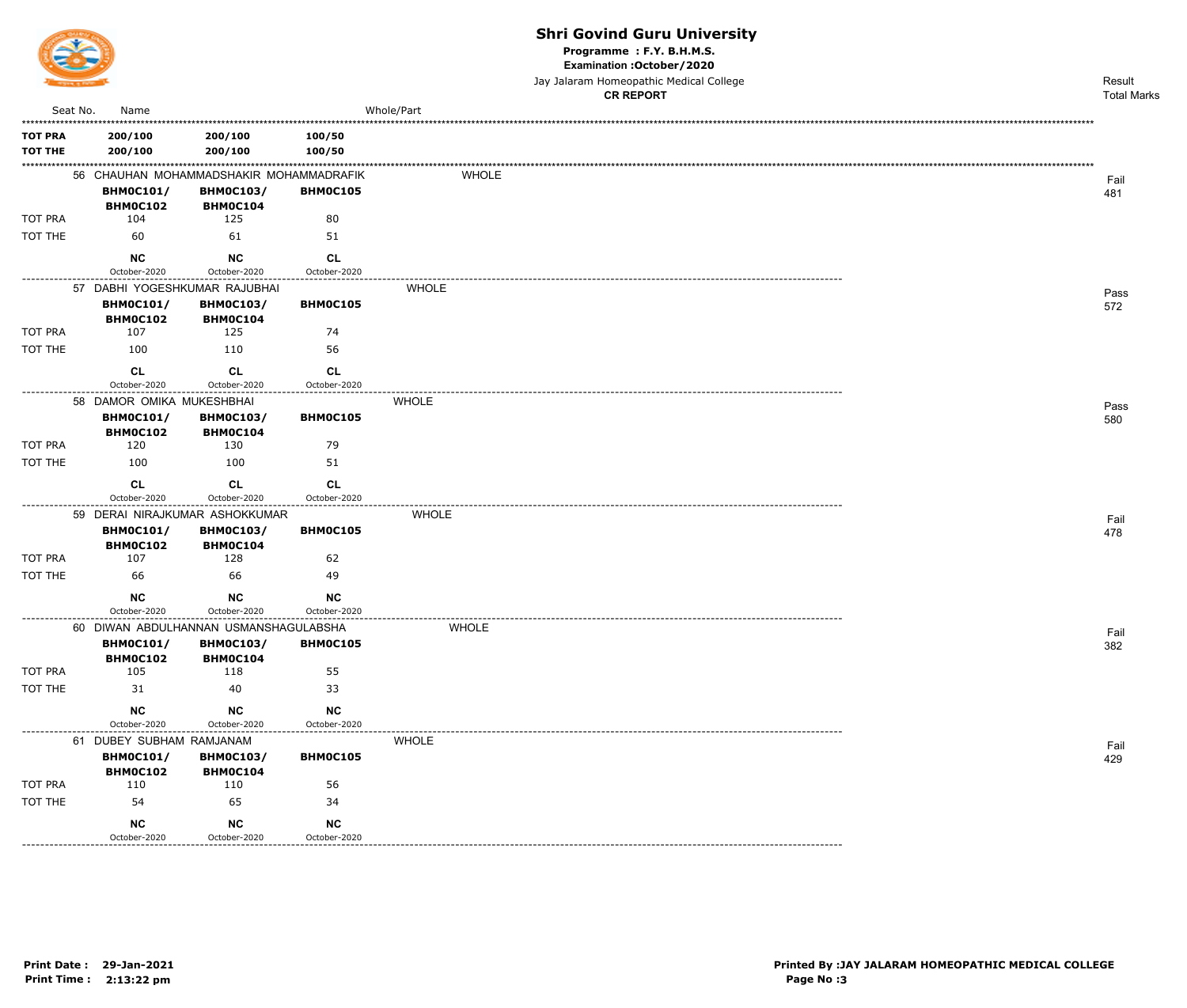

Programme : F.Y. B.H.M.S.

Examination : October / 2020

Jay Jalaram Homeopathic Medical College **CR REPORT** 

|                |                                     |                                         |                           | <b>CR REPORT</b> | <b>Total Marks</b> |
|----------------|-------------------------------------|-----------------------------------------|---------------------------|------------------|--------------------|
| Seat No.       | Name                                |                                         |                           | Whole/Part       |                    |
| <b>TOT PRA</b> | 200/100                             | 200/100                                 | 100/50                    |                  |                    |
| <b>TOT THE</b> | 200/100                             | 200/100                                 | 100/50                    |                  |                    |
|                |                                     | 56 CHAUHAN MOHAMMADSHAKIR MOHAMMADRAFIK |                           | WHOLE            |                    |
|                | <b>BHM0C101/</b>                    | <b>BHM0C103/</b>                        | BHM0C105                  |                  | Fail<br>481        |
|                | <b>BHM0C102</b>                     | BHM0C104                                |                           |                  |                    |
| TOT PRA        | 104                                 | 125                                     | 80                        |                  |                    |
| TOT THE        | 60                                  | 61                                      | 51                        |                  |                    |
|                | <b>NC</b>                           | <b>NC</b>                               | <b>CL</b>                 |                  |                    |
| -------------- | October-2020                        | October-2020                            | October-2020              |                  |                    |
|                | 57 DABHI YOGESHKUMAR RAJUBHAI       |                                         |                           | <b>WHOLE</b>     | Pass               |
|                | <b>BHM0C101/</b>                    | <b>BHM0C103/</b>                        | BHM0C105                  |                  | 572                |
|                | BHM0C102                            | BHM0C104                                |                           |                  |                    |
| TOT PRA        | 107                                 | 125                                     | 74                        |                  |                    |
| TOT THE        | 100                                 | 110                                     | 56                        |                  |                    |
|                | CL                                  | <b>CL</b>                               | <b>CL</b>                 |                  |                    |
|                | October-2020                        | October-2020                            | October-2020              |                  |                    |
|                | 58 DAMOR OMIKA MUKESHBHAI           |                                         |                           | <b>WHOLE</b>     | Pass               |
|                | <b>BHM0C101/</b>                    | <b>BHM0C103/</b>                        | BHM0C105                  |                  | 580                |
|                | <b>BHM0C102</b>                     | BHM0C104                                |                           |                  |                    |
| TOT PRA        | 120                                 | 130                                     | 79                        |                  |                    |
| TOT THE        | 100                                 | 100                                     | 51                        |                  |                    |
|                | <b>CL</b>                           | <b>CL</b>                               | <b>CL</b>                 |                  |                    |
|                | October-2020                        | October-2020                            | October-2020              |                  |                    |
|                |                                     | 59 DERAI NIRAJKUMAR ASHOKKUMAR          |                           | <b>WHOLE</b>     | Fail               |
|                | <b>BHM0C101/</b>                    | <b>BHM0C103/</b>                        | BHM0C105                  |                  | 478                |
|                | <b>BHMOC102</b>                     | <b>BHM0C104</b>                         |                           |                  |                    |
| TOT PRA        | 107                                 | 128                                     | 62                        |                  |                    |
| TOT THE        | 66                                  | 66                                      | 49                        |                  |                    |
|                | <b>NC</b>                           | <b>NC</b>                               | <b>NC</b>                 |                  |                    |
|                | October-2020                        | October-2020                            | October-2020              |                  |                    |
|                |                                     | 60 DIWAN ABDULHANNAN USMANSHAGULABSHA   |                           | <b>WHOLE</b>     | Fail               |
|                | <b>BHM0C101/</b>                    | <b>BHM0C103/</b>                        | BHM0C105                  |                  | 382                |
| TOT PRA        | BHM0C102<br>105                     | <b>BHM0C104</b><br>118                  | 55                        |                  |                    |
| TOT THE        | 31                                  | 40                                      | 33                        |                  |                    |
|                |                                     |                                         |                           |                  |                    |
|                | <b>NC</b>                           | <b>NC</b>                               | <b>NC</b>                 |                  |                    |
|                | October-2020                        | October-2020                            | October-2020              |                  |                    |
|                | 61 DUBEY SUBHAM RAMJANAM            |                                         |                           | <b>WHOLE</b>     | Fail               |
|                | <b>BHM0C101/</b><br><b>BHM0C102</b> | <b>BHM0C103/</b><br><b>BHM0C104</b>     | BHM0C105                  |                  | 429                |
| TOT PRA        | 110                                 | 110                                     | 56                        |                  |                    |
| TOT THE        | 54                                  | 65                                      | 34                        |                  |                    |
|                |                                     |                                         |                           |                  |                    |
|                | <b>NC</b><br>October-2020           | <b>NC</b><br>October-2020               | <b>NC</b><br>October-2020 |                  |                    |
|                |                                     |                                         |                           |                  |                    |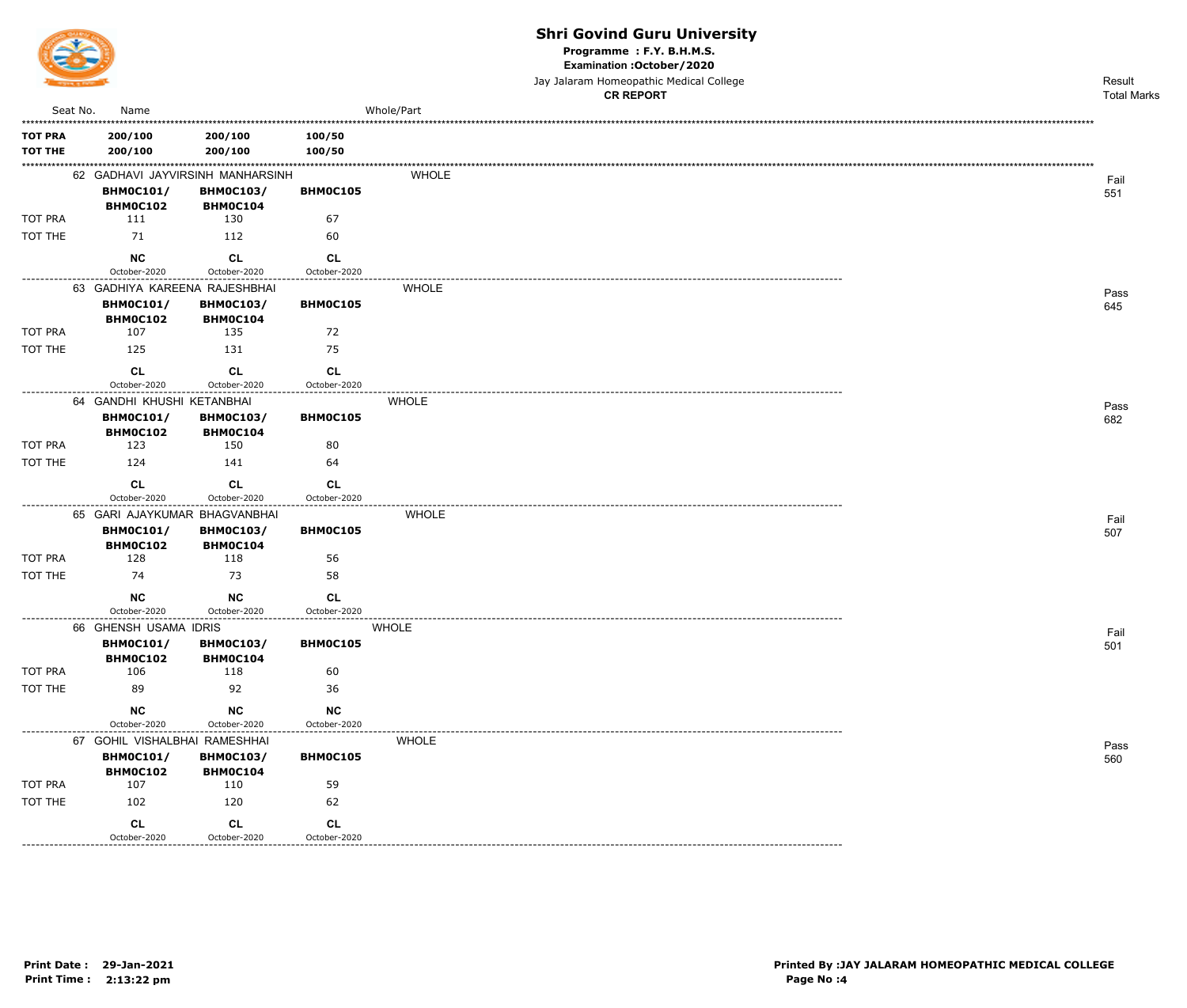

Programme : F.Y. B.H.M.S.

Examination : October / 2020

Jay Jalaram Homeopathic Medical College

|                |                                                   |                              |              |              | <b>CR REPORT</b> | <b>Total Marks</b> |
|----------------|---------------------------------------------------|------------------------------|--------------|--------------|------------------|--------------------|
| Seat No.       | Name                                              |                              |              | Whole/Part   |                  |                    |
| <b>TOT PRA</b> | 200/100                                           | 200/100                      | 100/50       |              |                  |                    |
| <b>TOT THE</b> | 200/100                                           | 200/100                      | 100/50       |              |                  |                    |
|                | 62 GADHAVI JAYVIRSINH MANHARSINH                  |                              |              | <b>WHOLE</b> |                  | Fail               |
|                | <b>BHM0C101/</b>                                  | <b>BHM0C103/</b>             | BHM0C105     |              |                  | 551                |
|                | BHM0C102                                          | BHM0C104                     |              |              |                  |                    |
| <b>TOT PRA</b> | 111                                               | 130                          | 67           |              |                  |                    |
| TOT THE        | 71                                                | 112                          | 60           |              |                  |                    |
|                | <b>NC</b>                                         | <b>CL</b>                    | <b>CL</b>    |              |                  |                    |
|                | October-2020                                      | October-2020                 | October-2020 |              |                  |                    |
|                | 63 GADHIYA KAREENA RAJESHBHAI<br><b>BHM0C101/</b> | <b>BHM0C103/</b>             | BHM0C105     | <b>WHOLE</b> |                  | Pass               |
|                | BHM0C102                                          | BHM0C104                     |              |              |                  | 645                |
| TOT PRA        | 107                                               | 135                          | 72           |              |                  |                    |
| TOT THE        | 125                                               | 131                          | 75           |              |                  |                    |
|                | <b>CL</b>                                         | CL                           | CL           |              |                  |                    |
|                | October-2020                                      | October-2020                 | October-2020 |              |                  |                    |
|                | 64 GANDHI KHUSHI KETANBHAI                        |                              |              | <b>WHOLE</b> |                  | Pass               |
|                | <b>BHM0C101/</b><br>BHM0C102                      | <b>BHM0C103/</b><br>BHM0C104 | BHM0C105     |              |                  | 682                |
| TOT PRA        | 123                                               | 150                          | 80           |              |                  |                    |
| TOT THE        | 124                                               | 141                          | 64           |              |                  |                    |
|                | <b>CL</b>                                         | <b>CL</b>                    | <b>CL</b>    |              |                  |                    |
|                | October-2020                                      | October-2020                 | October-2020 |              |                  |                    |
|                | 65 GARI AJAYKUMAR BHAGVANBHAI                     |                              | ------------ | <b>WHOLE</b> |                  | Fail               |
|                | <b>BHM0C101/</b>                                  | <b>BHM0C103/</b>             | BHM0C105     |              |                  | 507                |
|                | <b>BHM0C102</b>                                   | BHM0C104                     |              |              |                  |                    |
| TOT PRA        | 128                                               | 118                          | 56           |              |                  |                    |
| TOT THE        | 74                                                | 73                           | 58           |              |                  |                    |
|                | <b>NC</b>                                         | <b>NC</b>                    | <b>CL</b>    |              |                  |                    |
|                | October-2020                                      | October-2020                 | October-2020 |              |                  |                    |
|                | 66 GHENSH USAMA IDRIS                             |                              |              | <b>WHOLE</b> |                  | Fail               |
|                | <b>BHM0C101/</b><br>BHM0C102                      | <b>BHM0C103/</b><br>BHM0C104 | BHM0C105     |              |                  | 501                |
| TOT PRA        | 106                                               | 118                          | 60           |              |                  |                    |
| TOT THE        | 89                                                | 92                           | 36           |              |                  |                    |
|                | NC                                                | $NC$                         | $NC$         |              |                  |                    |
|                | October-2020                                      | October-2020                 | October-2020 |              |                  |                    |
|                | 67 GOHIL VISHALBHAI RAMESHHAI                     |                              |              | <b>WHOLE</b> |                  | Pass               |
|                | <b>BHM0C101/</b>                                  | <b>BHM0C103/</b>             | BHM0C105     |              |                  | 560                |
|                | BHM0C102                                          | BHM0C104                     |              |              |                  |                    |
| TOT PRA        | 107                                               | 110                          | 59           |              |                  |                    |
| TOT THE        | 102                                               | 120                          | 62           |              |                  |                    |
|                | CL                                                | CL                           | CL           |              |                  |                    |
|                | October-2020                                      | October-2020                 | October-2020 |              |                  |                    |

-----------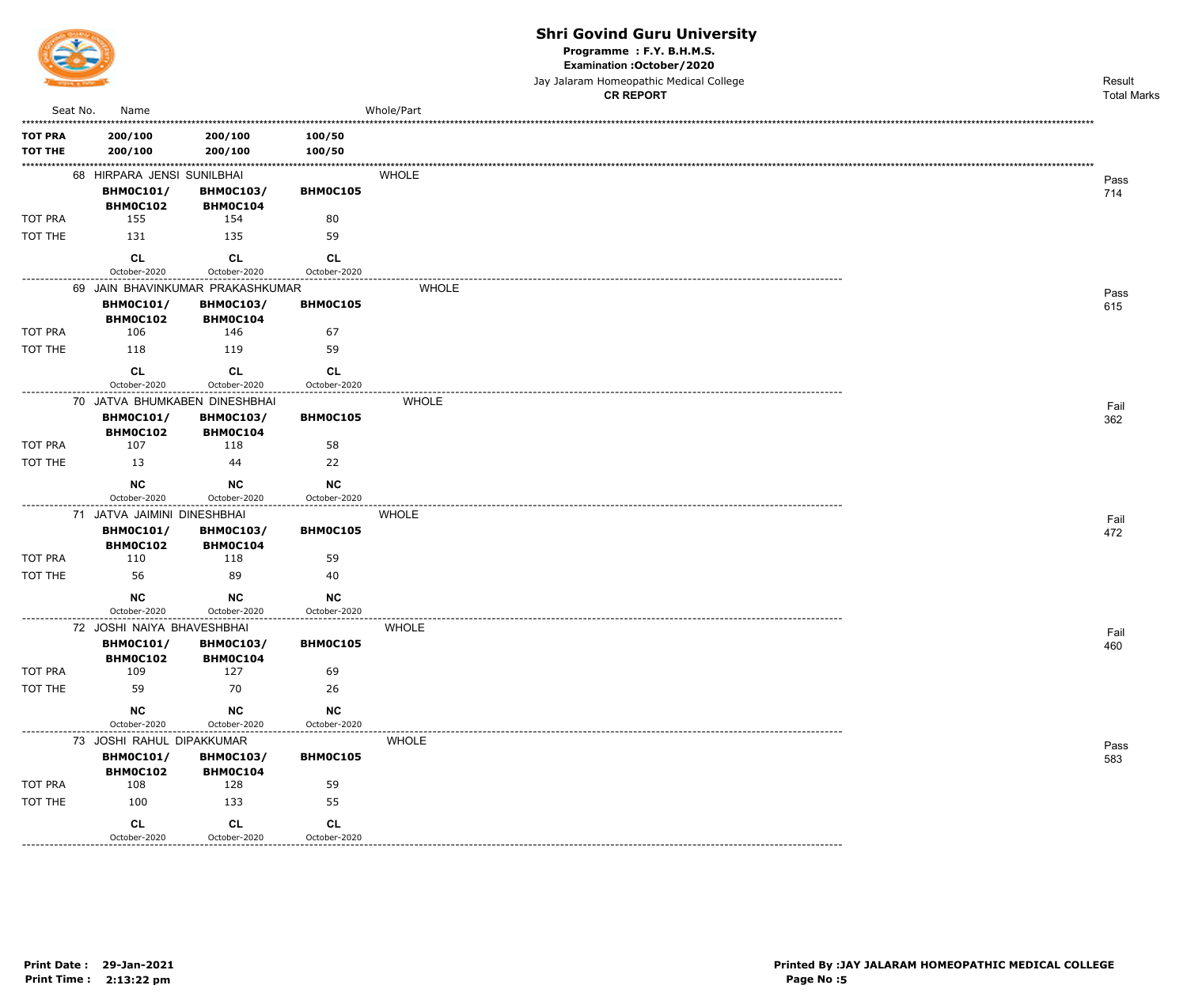

Programme : F.Y. B.H.M.S.

Examination : October / 2020

Jay Jalaram Homeopathic Medical College<br>CR RFPORT

|                                  |                                                             |                                            |                          | <b>CR REPORT</b> | <b>Total Marks</b> |
|----------------------------------|-------------------------------------------------------------|--------------------------------------------|--------------------------|------------------|--------------------|
| Seat No.                         | Name                                                        |                                            |                          | Whole/Part       |                    |
| <b>TOT PRA</b><br><b>TOT THE</b> | 200/100<br>200/100                                          | 200/100<br>200/100                         | 100/50<br>100/50         |                  |                    |
|                                  | 68 HIRPARA JENSI SUNILBHAI<br><b>BHM0C101/</b>              | <b>BHM0C103/</b>                           | <b>BHMOC105</b>          | WHOLE            | Pass<br>714        |
|                                  | BHM0C102                                                    | BHM0C104                                   |                          |                  |                    |
| TOT PRA                          | 155                                                         | 154                                        | 80                       |                  |                    |
| TOT THE                          | 131                                                         | 135                                        | 59                       |                  |                    |
|                                  | <b>CL</b>                                                   | <b>CL</b>                                  | <b>CL</b>                |                  |                    |
|                                  | October-2020                                                | October-2020                               | October-2020             |                  |                    |
|                                  | 69 JAIN BHAVINKUMAR PRAKASHKUMAR                            |                                            |                          | <b>WHOLE</b>     | Pass               |
|                                  | <b>BHM0C101/</b><br>BHM0C102                                | <b>BHM0C103/</b><br>BHM0C104               | BHM0C105                 |                  | 615                |
| TOT PRA                          | 106                                                         | 146                                        | 67                       |                  |                    |
| TOT THE                          | 118                                                         | 119                                        | 59                       |                  |                    |
|                                  | CL<br>October-2020                                          | <b>CL</b><br>October-2020                  | CL<br>October-2020       |                  |                    |
|                                  | 70 JATVA BHUMKABEN DINESHBHAI                               |                                            |                          | <b>WHOLE</b>     |                    |
|                                  | <b>BHM0C101/</b><br>BHM0C102                                | <b>BHM0C103/</b><br>BHM0C104               | BHM0C105                 |                  | Fail<br>362        |
| TOT PRA                          | 107                                                         | 118                                        | 58                       |                  |                    |
| TOT THE                          | 13                                                          | 44                                         | 22                       |                  |                    |
|                                  | <b>NC</b><br>October-2020                                   | <b>NC</b><br>October-2020                  | NC                       |                  |                    |
| ----------------                 | 71 JATVA JAIMINI DINESHBHAI<br><b>BHM0C101/</b><br>BHM0C102 | ----------<br><b>BHM0C103/</b><br>BHM0C104 | October-2020<br>BHM0C105 | <b>WHOLE</b>     | Fail<br>472        |
| TOT PRA                          | 110                                                         | 118                                        | 59                       |                  |                    |
| TOT THE                          | 56                                                          | 89                                         | 40                       |                  |                    |
|                                  | <b>NC</b><br>October-2020                                   | <b>NC</b><br>October-2020                  | NC<br>October-2020       |                  |                    |
|                                  | 72 JOSHI NAIYA BHAVESHBHAI                                  |                                            | -------------            | <b>WHOLE</b>     | Fail               |
|                                  | <b>BHM0C101/</b><br>BHM0C102                                | <b>BHM0C103/</b><br>BHM0C104               | BHM0C105                 |                  | 460                |
| TOT PRA                          | 109                                                         | 127                                        | 69                       |                  |                    |
| TOT THE                          | 59                                                          | 70                                         | 26                       |                  |                    |
|                                  | <b>NC</b><br>October-2020                                   | NC<br>October-2020                         | $NC$<br>October-2020     |                  |                    |
|                                  | 73 JOSHI RAHUL DIPAKKUMAR                                   |                                            |                          | <b>WHOLE</b>     |                    |
|                                  | <b>BHM0C101/</b>                                            | <b>BHM0C103/</b>                           | BHM0C105                 |                  | Pass<br>583        |
| TOT PRA                          | BHM0C102<br>108                                             | BHM0C104<br>128                            | 59                       |                  |                    |
| TOT THE                          | 100                                                         | 133                                        | 55                       |                  |                    |
|                                  | CL                                                          | CL                                         | <b>CL</b>                |                  |                    |
|                                  | October-2020                                                | October-2020                               | October-2020             |                  |                    |

 $- - - - -$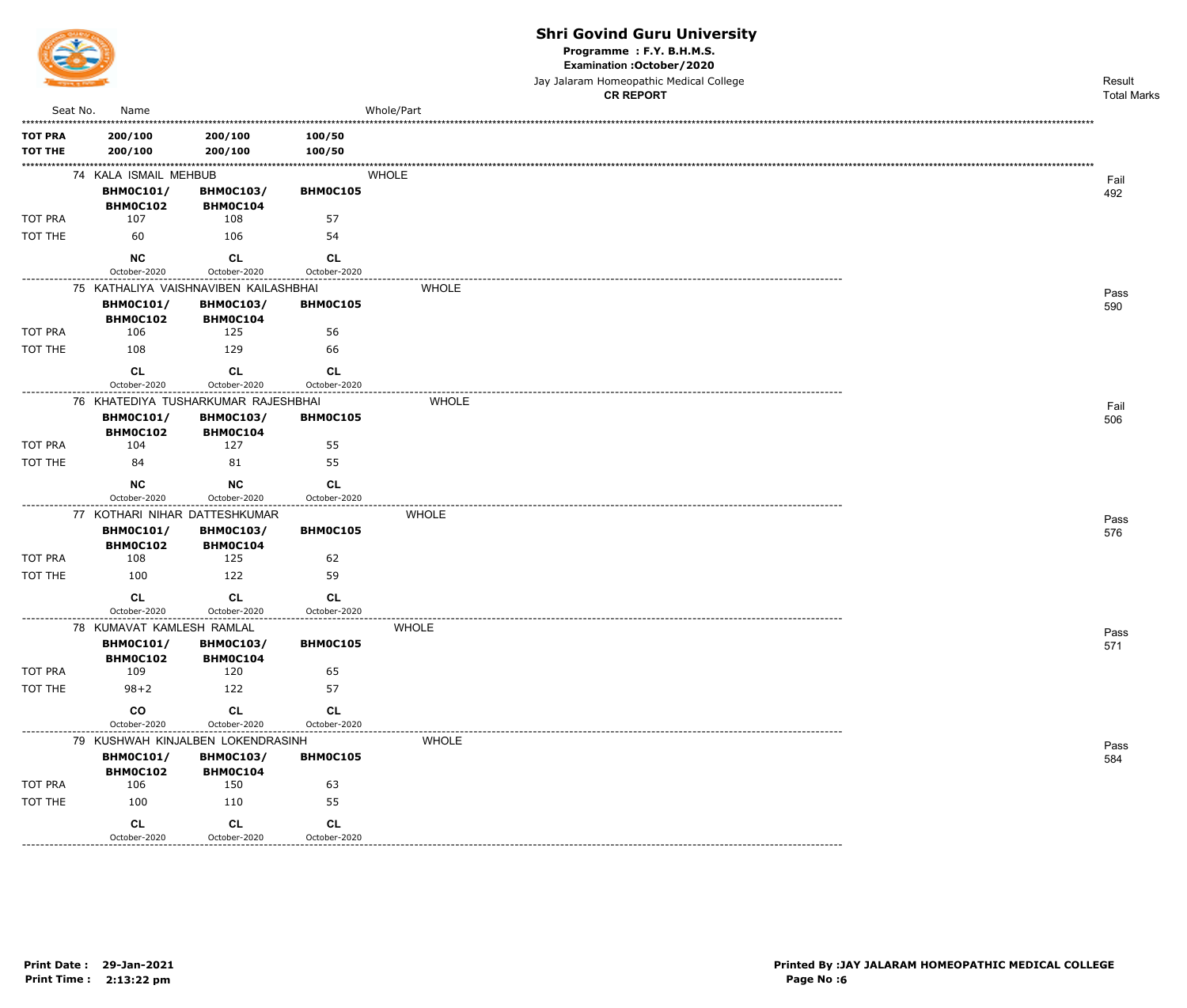

Programme : F.Y. B.H.M.S.

Examination : October / 2020

Jay Jalaram Homeopathic Medical College  $\overline{a}$ 

|                 |                              |                                       |                                      | <b>CR REPORT</b> | <b>Total Marks</b> |
|-----------------|------------------------------|---------------------------------------|--------------------------------------|------------------|--------------------|
| Seat No.        | Name                         |                                       |                                      | Whole/Part       |                    |
| <b>TOT PRA</b>  | 200/100                      | 200/100                               | 100/50                               |                  |                    |
| <b>TOT THE</b>  | 200/100                      | 200/100                               | 100/50                               |                  |                    |
|                 | 74 KALA ISMAIL MEHBUB        |                                       |                                      | <b>WHOLE</b>     |                    |
|                 | <b>BHM0C101/</b>             | <b>BHM0C103/</b>                      | BHM0C105                             |                  | Fail<br>492        |
|                 | BHM0C102                     | BHM0C104                              |                                      |                  |                    |
| <b>TOT PRA</b>  | 107                          | 108                                   | 57                                   |                  |                    |
| TOT THE         | 60                           | 106                                   | 54                                   |                  |                    |
|                 | <b>NC</b>                    | <b>CL</b>                             | <b>CL</b>                            |                  |                    |
| --------------- | October-2020                 | October-2020                          | October-2020                         |                  |                    |
|                 |                              | 75 KATHALIYA VAISHNAVIBEN KAILASHBHAI |                                      | <b>WHOLE</b>     | Pass               |
|                 | <b>BHM0C101/</b>             | <b>BHM0C103/</b>                      | BHM0C105                             |                  | 590                |
| TOT PRA         | BHM0C102<br>106              | BHM0C104<br>125                       | 56                                   |                  |                    |
| TOT THE         | 108                          | 129                                   | 66                                   |                  |                    |
|                 |                              |                                       |                                      |                  |                    |
|                 | CL<br>October-2020           | CL<br>October-2020                    | <b>CL</b><br>October-2020            |                  |                    |
|                 |                              | 76 KHATEDIYA TUSHARKUMAR RAJESHBHAI   |                                      | <b>WHOLE</b>     |                    |
|                 | <b>BHM0C101/</b>             | <b>BHM0C103/</b>                      | BHM0C105                             |                  | Fail<br>506        |
|                 | BHM0C102                     | BHM0C104                              |                                      |                  |                    |
| <b>TOT PRA</b>  | 104                          | 127                                   | 55                                   |                  |                    |
| TOT THE         | 84                           | 81                                    | 55                                   |                  |                    |
|                 | <b>NC</b>                    | <b>NC</b>                             | <b>CL</b>                            |                  |                    |
|                 | October-2020                 | October-2020                          | October-2020                         |                  |                    |
|                 |                              | 77 KOTHARI NIHAR DATTESHKUMAR         |                                      | <b>WHOLE</b>     | Pass               |
|                 | <b>BHM0C101/</b>             | <b>BHM0C103/</b>                      | BHM0C105                             |                  | 576                |
| TOT PRA         | <b>BHM0C102</b><br>108       | <b>BHM0C104</b><br>125                | 62                                   |                  |                    |
| TOT THE         | 100                          | 122                                   | 59                                   |                  |                    |
|                 | CL                           | CL                                    | <b>CL</b>                            |                  |                    |
|                 | October-2020                 | October-2020                          | October-2020                         |                  |                    |
|                 | 78 KUMAVAT KAMLESH RAMLAL    |                                       | ------------------------------------ | <b>WHOLE</b>     | Pass               |
|                 | <b>BHM0C101/</b>             | <b>BHM0C103/</b>                      | BHM0C105                             |                  | 571                |
|                 | BHM0C102                     | BHM0C104                              |                                      |                  |                    |
| TOT PRA         | 109                          | 120                                   | 65                                   |                  |                    |
| TOT THE         | $98 + 2$                     | 122                                   | 57                                   |                  |                    |
|                 | $\mathsf{co}$                | <b>CL</b>                             | CL                                   |                  |                    |
|                 | October-2020                 | October-2020                          | October-2020                         |                  |                    |
|                 |                              | 79 KUSHWAH KINJALBEN LOKENDRASINH     |                                      | <b>WHOLE</b>     | Pass               |
|                 | <b>BHM0C101/</b><br>BHM0C102 | <b>BHM0C103/</b><br><b>BHM0C104</b>   | BHM0C105                             |                  | 584                |
| TOT PRA         | 106                          | 150                                   | 63                                   |                  |                    |
| TOT THE         | 100                          | 110                                   | 55                                   |                  |                    |
|                 | <b>CL</b>                    | <b>CL</b>                             | <b>CL</b>                            |                  |                    |
|                 | October-2020                 | October-2020                          | October-2020                         |                  |                    |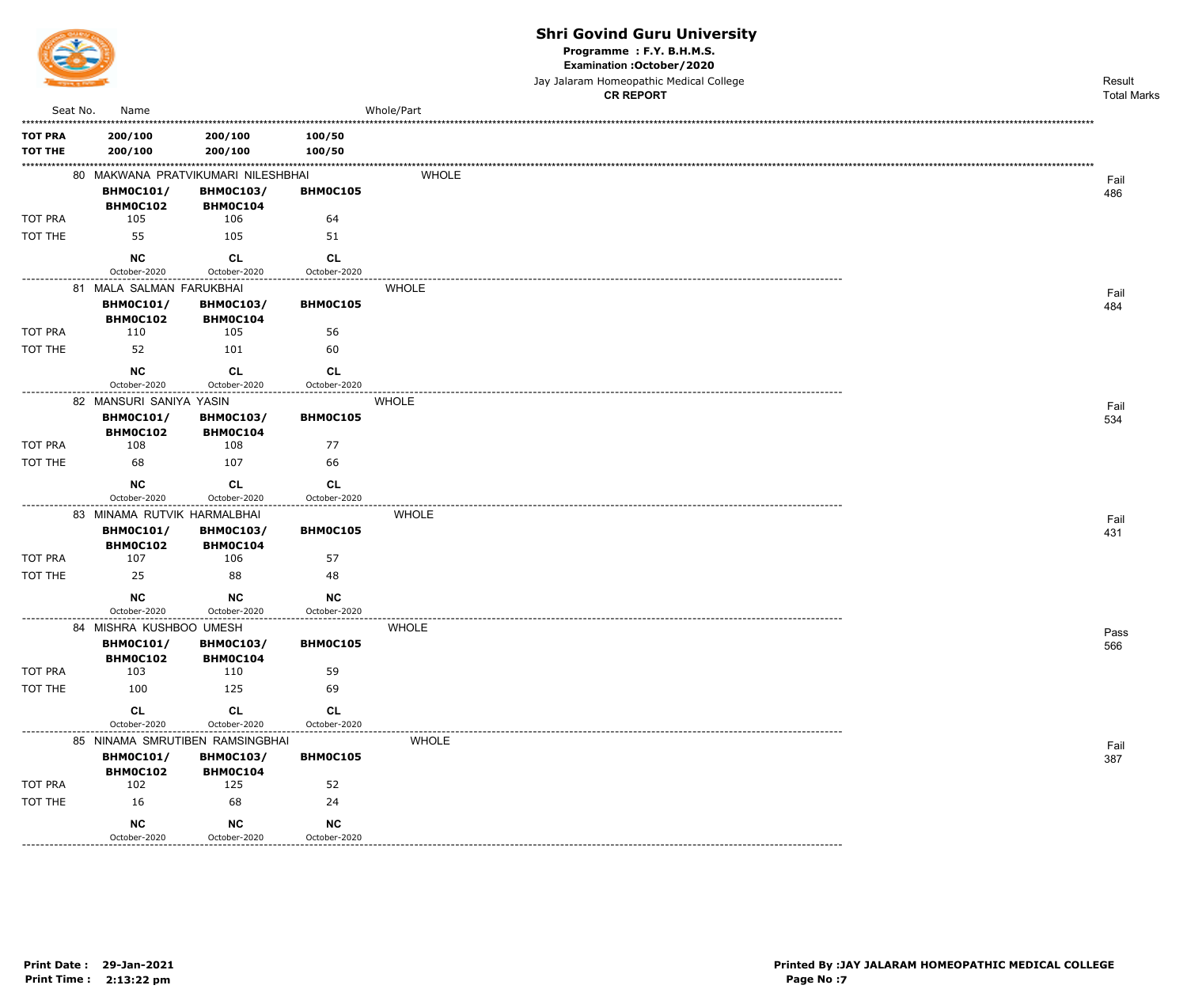

Programme : F.Y. B.H.M.S.

Examination : October / 2020

Jay Jalaram Homeopathic Medical College

|                 |                                             |                                                      |                                              | <b>CR REPORT</b> | <b>Total Marks</b> |
|-----------------|---------------------------------------------|------------------------------------------------------|----------------------------------------------|------------------|--------------------|
| Seat No.        | Name                                        |                                                      |                                              | Whole/Part       |                    |
| <b>TOT PRA</b>  | 200/100                                     | 200/100                                              | 100/50                                       |                  |                    |
| <b>TOT THE</b>  | 200/100                                     | 200/100                                              | 100/50                                       |                  |                    |
|                 |                                             | 80 MAKWANA PRATVIKUMARI NILESHBHAI                   |                                              | <b>WHOLE</b>     |                    |
|                 | <b>BHM0C101/</b>                            | <b>BHM0C103/</b>                                     | BHM0C105                                     |                  | Fail<br>486        |
|                 | <b>BHM0C102</b>                             | BHM0C104                                             |                                              |                  |                    |
| TOT PRA         | 105                                         | 106                                                  | 64                                           |                  |                    |
| TOT THE         | 55                                          | 105                                                  | 51                                           |                  |                    |
|                 | <b>NC</b>                                   | <b>CL</b>                                            | <b>CL</b>                                    |                  |                    |
| --------------- | October-2020                                | October-2020                                         | October-2020<br>---------------------------- |                  |                    |
|                 | 81 MALA SALMAN FARUKBHAI                    |                                                      |                                              | <b>WHOLE</b>     | Fail               |
|                 | <b>BHM0C101/</b>                            | <b>BHM0C103/</b>                                     | BHM0C105                                     |                  | 484                |
| TOT PRA         | BHM0C102<br>110                             | BHM0C104<br>105                                      | 56                                           |                  |                    |
| TOT THE         | 52                                          | 101                                                  |                                              |                  |                    |
|                 |                                             |                                                      | 60                                           |                  |                    |
|                 | <b>NC</b>                                   | <b>CL</b>                                            | <b>CL</b>                                    |                  |                    |
|                 | October-2020                                | October-2020                                         | October-2020                                 |                  |                    |
|                 | 82 MANSURI SANIYA YASIN<br><b>BHM0C101/</b> | <b>BHM0C103/</b>                                     | BHM0C105                                     | <b>WHOLE</b>     | Fail               |
|                 | <b>BHM0C102</b>                             | BHM0C104                                             |                                              |                  | 534                |
| TOT PRA         | 108                                         | 108                                                  | 77                                           |                  |                    |
| TOT THE         | 68                                          | 107                                                  | 66                                           |                  |                    |
|                 | <b>NC</b>                                   | CL                                                   | CL                                           |                  |                    |
|                 | October-2020                                | October-2020                                         | October-2020                                 |                  |                    |
|                 | 83 MINAMA RUTVIK HARMALBHAI                 |                                                      |                                              | <b>WHOLE</b>     | Fail               |
|                 | <b>BHM0C101/</b>                            | <b>BHM0C103/</b>                                     | BHM0C105                                     |                  | 431                |
|                 | <b>BHM0C102</b>                             | <b>BHM0C104</b>                                      |                                              |                  |                    |
| TOT PRA         | 107                                         | 106                                                  | 57                                           |                  |                    |
| TOT THE         | 25                                          | 88                                                   | 48                                           |                  |                    |
|                 | <b>NC</b>                                   | <b>NC</b>                                            | <b>NC</b>                                    |                  |                    |
|                 | October-2020                                | October-2020<br>------------------------------------ | October-2020                                 |                  |                    |
|                 | 84 MISHRA KUSHBOO UMESH                     |                                                      |                                              | <b>WHOLE</b>     | Pass               |
|                 | <b>BHM0C101/</b><br>BHM0C102                | <b>BHM0C103/</b><br><b>BHM0C104</b>                  | BHM0C105                                     |                  | 566                |
| TOT PRA         | 103                                         | 110                                                  | 59                                           |                  |                    |
| TOT THE         | 100                                         | 125                                                  | 69                                           |                  |                    |
|                 | <b>CL</b>                                   | <b>CL</b>                                            | CL                                           |                  |                    |
|                 | October-2020                                | October-2020                                         | October-2020                                 |                  |                    |
|                 |                                             | 85 NINAMA SMRUTIBEN RAMSINGBHAI                      |                                              | <b>WHOLE</b>     | Fail               |
|                 | <b>BHM0C101/</b>                            | <b>BHM0C103/</b>                                     | BHM0C105                                     |                  | 387                |
|                 | <b>BHM0C102</b>                             | <b>BHM0C104</b>                                      |                                              |                  |                    |
| TOT PRA         | 102                                         | 125                                                  | 52                                           |                  |                    |
| TOT THE         | 16                                          | 68                                                   | 24                                           |                  |                    |
|                 | <b>NC</b>                                   | <b>NC</b>                                            | <b>NC</b>                                    |                  |                    |
|                 | October-2020                                | October-2020                                         | October-2020                                 |                  |                    |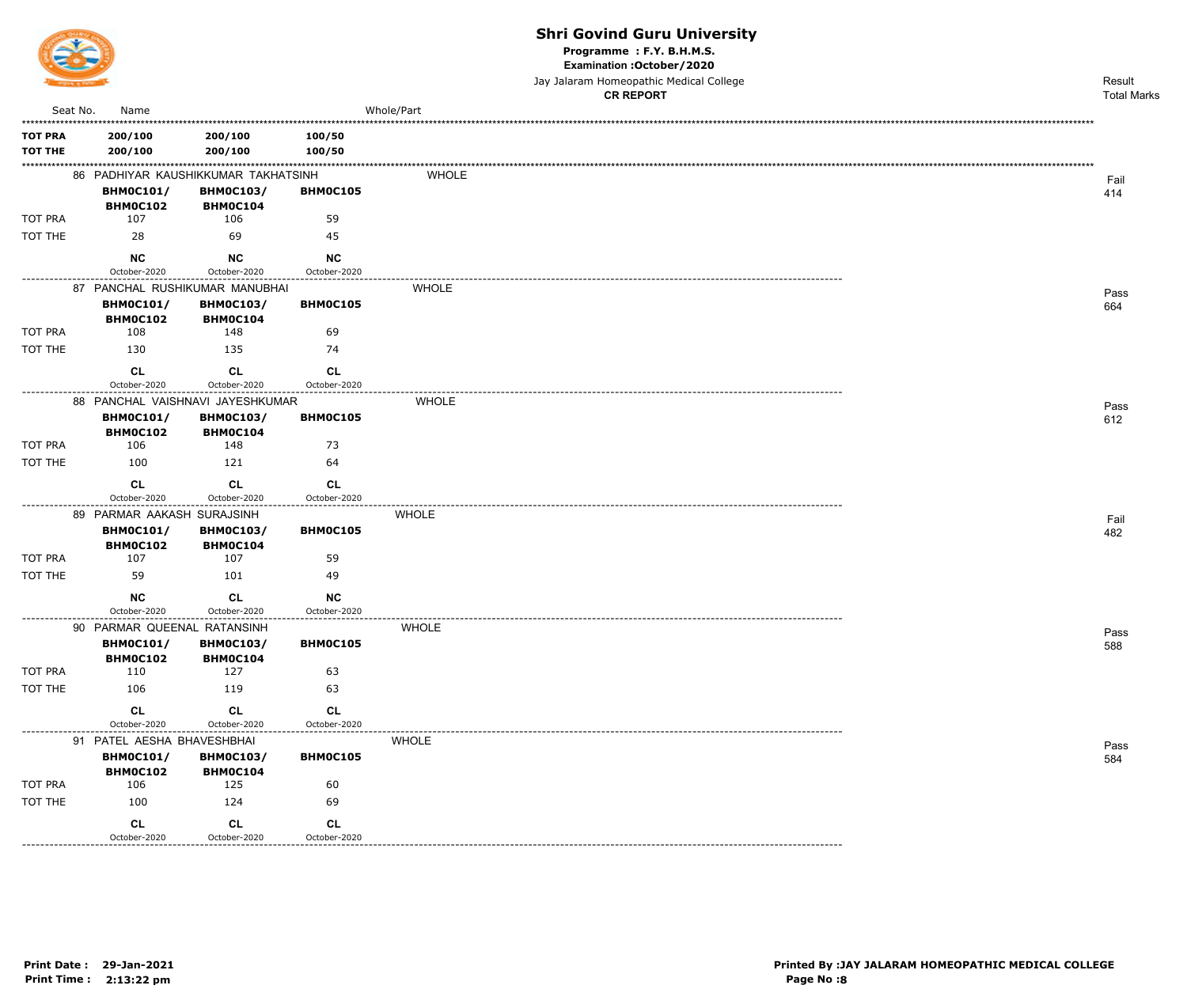

Programme : F.Y. B.H.M.S.

Examination : October / 2020

Jay Jalaram Homeopathic Medical College  $\overline{a}$ 

|                   |                                     |                                     |                    | <b>CR REPORT</b> | <b>Total Marks</b> |
|-------------------|-------------------------------------|-------------------------------------|--------------------|------------------|--------------------|
| Seat No.          | Name                                |                                     |                    | Whole/Part       |                    |
| <b>TOT PRA</b>    | 200/100                             | 200/100                             | 100/50             |                  |                    |
| <b>TOT THE</b>    | 200/100                             | 200/100                             | 100/50             |                  |                    |
|                   |                                     | 86 PADHIYAR KAUSHIKKUMAR TAKHATSINH |                    | WHOLE            | Fail               |
|                   | <b>BHM0C101/</b>                    | <b>BHM0C103/</b>                    | <b>BHM0C105</b>    |                  | 414                |
|                   | BHM0C102                            | BHM0C104                            |                    |                  |                    |
| TOT PRA           | 107                                 | 106                                 | 59                 |                  |                    |
| TOT THE           | 28                                  | 69                                  | 45                 |                  |                    |
|                   | <b>NC</b>                           | <b>NC</b>                           | <b>NC</b>          |                  |                    |
|                   | October-2020                        | October-2020                        | October-2020       |                  |                    |
|                   |                                     | 87 PANCHAL RUSHIKUMAR MANUBHAI      |                    | <b>WHOLE</b>     | Pass               |
|                   | <b>BHM0C101/</b><br><b>BHM0C102</b> | <b>BHM0C103/</b><br>BHM0C104        | BHM0C105           |                  | 664                |
| <b>TOT PRA</b>    | 108                                 | 148                                 | 69                 |                  |                    |
| TOT THE           | 130                                 | 135                                 | 74                 |                  |                    |
|                   | CL<br>October-2020                  | <b>CL</b><br>October-2020           | CL<br>October-2020 |                  |                    |
| ----------------- |                                     | 88 PANCHAL VAISHNAVI JAYESHKUMAR    |                    | <b>WHOLE</b>     | Pass               |
|                   | <b>BHM0C101/</b>                    | <b>BHM0C103/</b>                    | BHMOC105           |                  | 612                |
|                   | <b>BHM0C102</b>                     | BHM0C104                            |                    |                  |                    |
| <b>TOT PRA</b>    | 106                                 | 148                                 | 73                 |                  |                    |
| TOT THE           | 100                                 | 121                                 | 64                 |                  |                    |
|                   | <b>CL</b>                           | <b>CL</b>                           | <b>CL</b>          |                  |                    |
|                   | October-2020                        | October-2020                        | October-2020       |                  |                    |
|                   | 89 PARMAR AAKASH SURAJSINH          |                                     |                    | <b>WHOLE</b>     | Fail               |
|                   | <b>BHM0C101/</b>                    | <b>BHM0C103/</b>                    | BHM0C105           |                  | 482                |
| <b>TOT PRA</b>    | <b>BHM0C102</b><br>107              | BHM0C104<br>107                     | 59                 |                  |                    |
| TOT THE           | 59                                  | 101                                 | 49                 |                  |                    |
|                   |                                     |                                     |                    |                  |                    |
|                   | <b>NC</b><br>October-2020           | CL<br>October-2020                  | <b>NC</b>          |                  |                    |
|                   | 90 PARMAR QUEENAL RATANSINH         |                                     | October-2020       | <b>WHOLE</b>     |                    |
|                   | <b>BHM0C101/</b>                    | <b>BHM0C103/</b>                    | BHM0C105           |                  | Pass<br>588        |
|                   | <b>BHM0C102</b>                     | <b>BHM0C104</b>                     |                    |                  |                    |
| TOT PRA           | 110                                 | 127                                 | 63                 |                  |                    |
| TOT THE           | 106                                 | 119                                 | 63                 |                  |                    |
|                   | CL                                  | CL                                  | CL                 |                  |                    |
|                   | October-2020                        | October-2020                        | October-2020       |                  |                    |
|                   | 91 PATEL AESHA BHAVESHBHAI          |                                     |                    | <b>WHOLE</b>     | Pass               |
|                   | <b>BHM0C101/</b>                    | <b>BHM0C103/</b>                    | BHM0C105           |                  | 584                |
| TOT PRA           | <b>BHM0C102</b><br>106              | BHM0C104<br>125                     | 60                 |                  |                    |
| TOT THE           | 100                                 | 124                                 | 69                 |                  |                    |
|                   |                                     |                                     |                    |                  |                    |
|                   | CL                                  | CL                                  | CL                 |                  |                    |
|                   | October-2020                        | October-2020                        | October-2020       |                  |                    |

------------------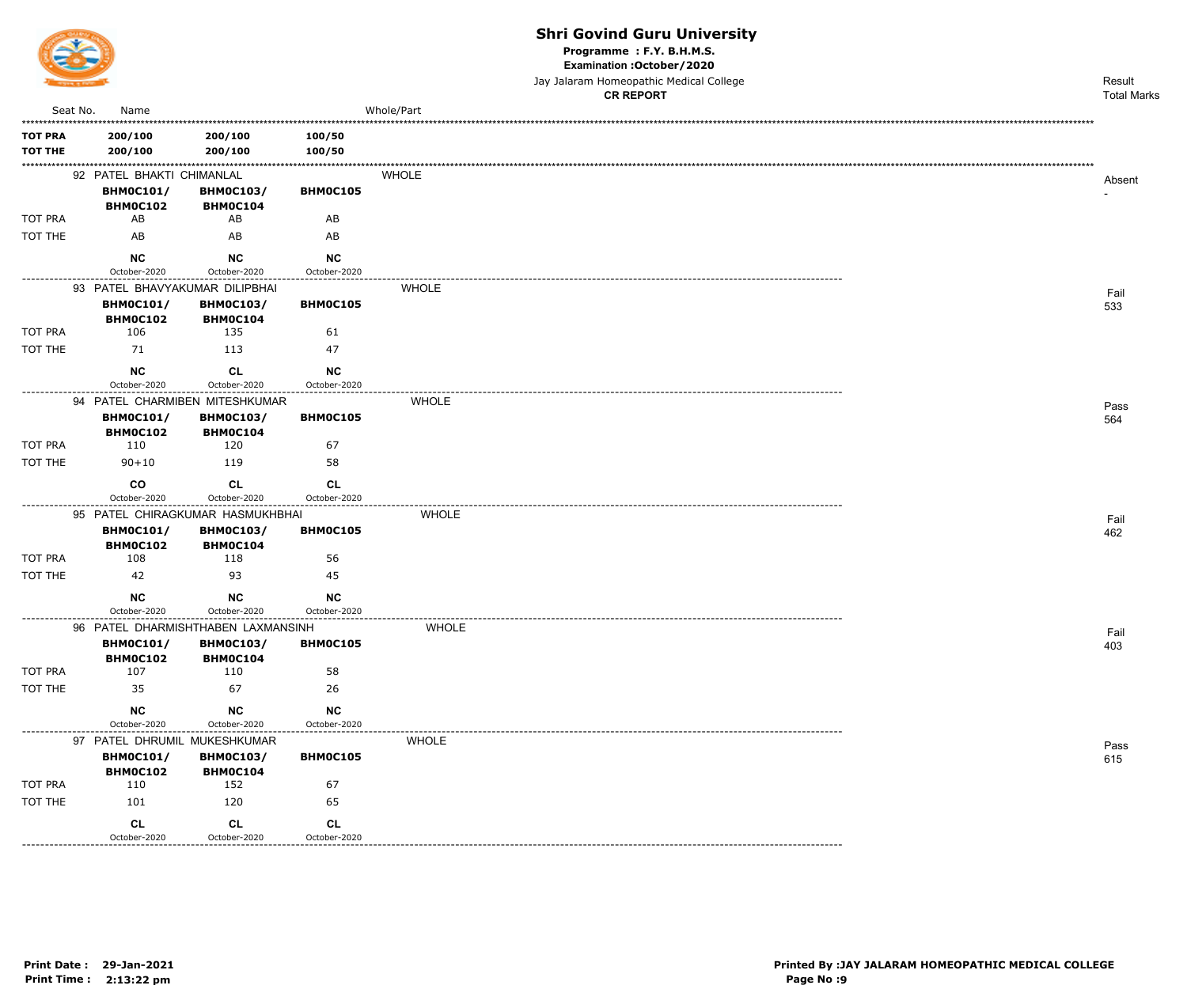

Programme : F.Y. B.H.M.S.

Examination : October / 2020

Jay Jalaram Homeopathic Medical College

|                              |                                |                                    |                                   | <b>CR REPORT</b> | <b>Total Marks</b> |
|------------------------------|--------------------------------|------------------------------------|-----------------------------------|------------------|--------------------|
| Seat No.                     | Name                           |                                    |                                   | Whole/Part       |                    |
| <b>TOT PRA</b>               | 200/100                        | 200/100                            | 100/50                            |                  |                    |
| <b>TOT THE</b>               | 200/100                        | 200/100                            | 100/50                            |                  |                    |
|                              | 92 PATEL BHAKTI CHIMANLAL      |                                    |                                   | <b>WHOLE</b>     |                    |
|                              | <b>BHM0C101/</b>               | <b>BHM0C103/</b>                   | BHM0C105                          |                  | Absent             |
|                              | BHM0C102                       | BHM0C104                           |                                   |                  |                    |
| TOT PRA                      | AB                             | AB                                 | AB                                |                  |                    |
| TOT THE                      | AB                             | AB                                 | AB                                |                  |                    |
|                              | <b>NC</b>                      | <b>NC</b>                          | NC                                |                  |                    |
|                              | October-2020                   | October-2020                       | October-2020                      |                  |                    |
|                              | 93 PATEL BHAVYAKUMAR DILIPBHAI |                                    |                                   | <b>WHOLE</b>     | Fail               |
|                              | <b>BHM0C101/</b>               | <b>BHM0C103/</b>                   | <b>BHMOC105</b>                   |                  | 533                |
| TOT PRA                      | <b>BHM0C102</b><br>106         | BHM0C104<br>135                    | 61                                |                  |                    |
| TOT THE                      | 71                             | 113                                | 47                                |                  |                    |
|                              |                                |                                    |                                   |                  |                    |
|                              | <b>NC</b><br>October-2020      | CL<br>October-2020                 | <b>NC</b><br>October-2020         |                  |                    |
|                              |                                | 94 PATEL CHARMIBEN MITESHKUMAR     |                                   | <b>WHOLE</b>     |                    |
|                              | <b>BHM0C101/</b>               | <b>BHM0C103/</b>                   | BHM0C105                          |                  | Pass<br>564        |
|                              | BHM0C102                       | BHMOC104                           |                                   |                  |                    |
| TOT PRA                      | 110                            | 120                                | 67                                |                  |                    |
| TOT THE                      | $90 + 10$                      | 119                                | 58                                |                  |                    |
|                              | co                             | <b>CL</b>                          | <b>CL</b>                         |                  |                    |
|                              | October-2020                   | October-2020                       | October-2020                      |                  |                    |
|                              |                                | 95 PATEL CHIRAGKUMAR HASMUKHBHAI   |                                   | <b>WHOLE</b>     | Fail               |
|                              | <b>BHM0C101/</b>               | <b>BHM0C103/</b>                   | <b>BHMOC105</b>                   |                  | 462                |
| TOT PRA                      | BHM0C102<br>108                | BHM0C104<br>118                    | 56                                |                  |                    |
| TOT THE                      | 42                             | 93                                 | 45                                |                  |                    |
|                              |                                |                                    |                                   |                  |                    |
|                              | <b>NC</b><br>October-2020      | <b>NC</b><br>October-2020          | NC<br>October-2020                |                  |                    |
|                              |                                | 96 PATEL DHARMISHTHABEN LAXMANSINH | .                                 | <b>WHOLE</b>     |                    |
|                              | <b>BHM0C101/</b>               | <b>BHM0C103/</b>                   | BHM0C105                          |                  | Fail<br>403        |
|                              | BHM0C102                       | BHM0C104                           |                                   |                  |                    |
| TOT PRA                      | 107                            | 110                                | 58                                |                  |                    |
| TOT THE                      | 35                             | 67                                 | 26                                |                  |                    |
|                              | <b>NC</b>                      | NC                                 | $NC$                              |                  |                    |
| ---------------------------- | October-2020                   | October-2020                       | October-2020<br>----------------- |                  |                    |
|                              | 97 PATEL DHRUMIL MUKESHKUMAR   |                                    |                                   | <b>WHOLE</b>     | Pass               |
|                              | <b>BHM0C101/</b>               | <b>BHM0C103/</b>                   | BHM0C105                          |                  | 615                |
| TOT PRA                      | <b>BHM0C102</b><br>110         | BHM0C104<br>152                    | 67                                |                  |                    |
| TOT THE                      | 101                            | 120                                | 65                                |                  |                    |
|                              |                                |                                    |                                   |                  |                    |
|                              | <b>CL</b><br>October-2020      | CL<br>October-2020                 | <b>CL</b><br>October-2020         |                  |                    |

October-2020

--------------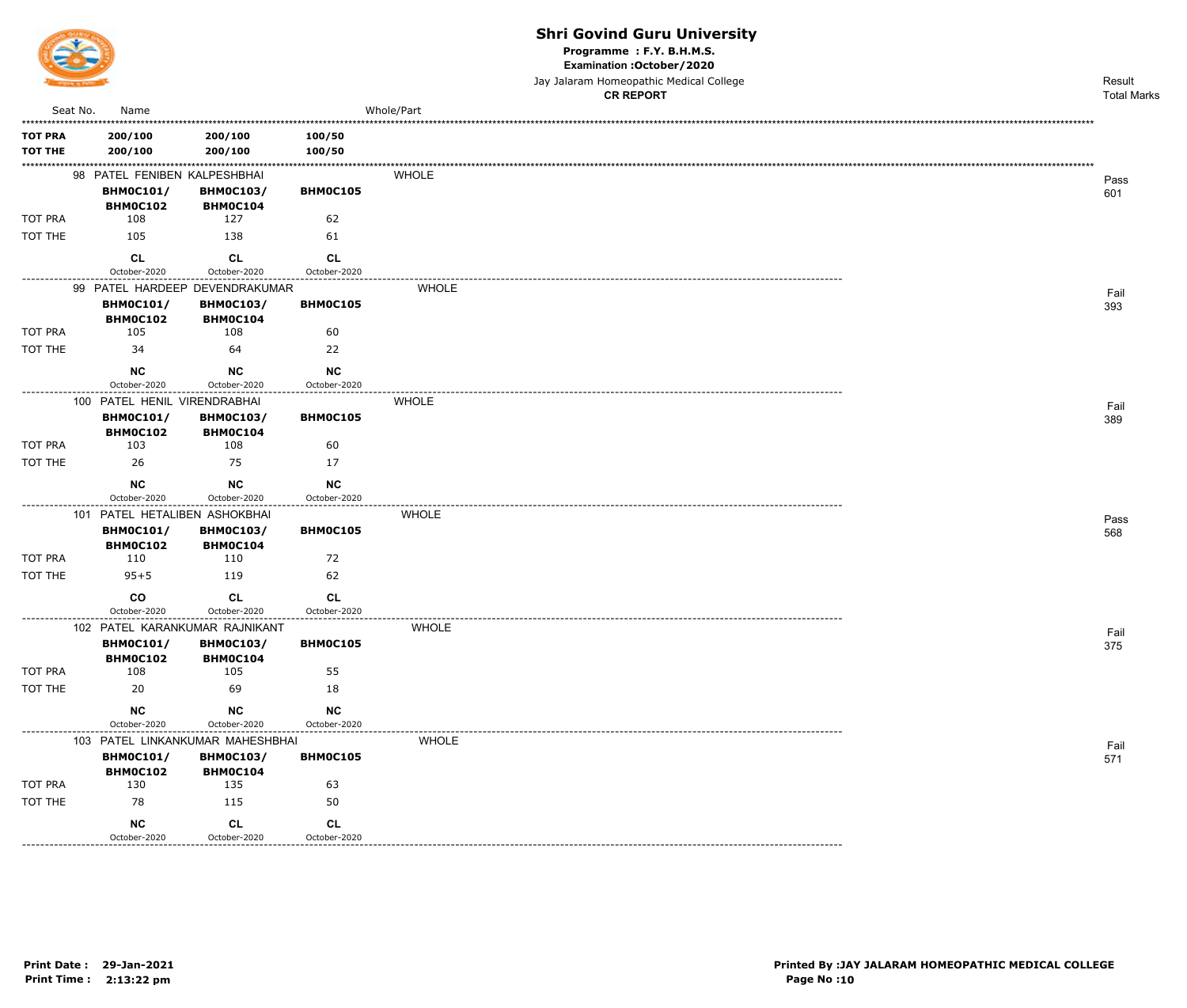

Programme : F.Y. B.H.M.S.

Examination : October / 2020

Jay Jalaram Homeopathic Medical College

|                |          |                               |                                     |                           | <b>CR REPORT</b> | <b>Total Marks</b> |
|----------------|----------|-------------------------------|-------------------------------------|---------------------------|------------------|--------------------|
|                | Seat No. | Name                          |                                     |                           | Whole/Part       |                    |
| <b>TOT PRA</b> |          | 200/100                       | 200/100                             | 100/50                    |                  |                    |
| <b>TOT THE</b> |          | 200/100                       | 200/100                             | 100/50                    |                  |                    |
|                |          | 98 PATEL FENIBEN KALPESHBHAI  |                                     |                           | <b>WHOLE</b>     | Pass               |
|                |          | <b>BHM0C101/</b>              | <b>BHM0C103/</b>                    | BHM0C105                  |                  | 601                |
|                |          | BHM0C102                      | BHM0C104                            |                           |                  |                    |
| TOT PRA        |          | 108                           | 127                                 | 62                        |                  |                    |
| TOT THE        |          | 105                           | 138                                 | 61                        |                  |                    |
|                |          | <b>CL</b>                     | <b>CL</b>                           | <b>CL</b>                 |                  |                    |
|                |          | October-2020                  | October-2020                        | October-2020              |                  |                    |
|                |          |                               | 99 PATEL HARDEEP DEVENDRAKUMAR      |                           | <b>WHOLE</b>     | Fail               |
|                |          | <b>BHM0C101/</b><br>BHM0C102  | <b>BHM0C103/</b><br>BHM0C104        | BHM0C105                  |                  | 393                |
| TOT PRA        |          | 105                           | 108                                 | 60                        |                  |                    |
| TOT THE        |          | 34                            | 64                                  | 22                        |                  |                    |
|                |          | <b>NC</b>                     | <b>NC</b>                           | NC                        |                  |                    |
|                |          | October-2020                  | October-2020                        | October-2020              |                  |                    |
|                |          | 100 PATEL HENIL VIRENDRABHAI  |                                     |                           | <b>WHOLE</b>     | Fail               |
|                |          | <b>BHM0C101/</b>              | <b>BHM0C103/</b>                    | BHM0C105                  |                  | 389                |
|                |          | BHM0C102                      | BHM0C104                            |                           |                  |                    |
| TOT PRA        |          | 103                           | 108                                 | 60                        |                  |                    |
| TOT THE        |          | 26                            | -75                                 | 17                        |                  |                    |
|                |          | NC                            | <b>NC</b>                           | <b>NC</b>                 |                  |                    |
|                |          | October-2020                  | October-2020                        | October-2020              |                  |                    |
|                |          | 101 PATEL HETALIBEN ASHOKBHAI |                                     |                           | <b>WHOLE</b>     | Pass               |
|                |          | <b>BHM0C101/</b><br>BHM0C102  | <b>BHM0C103/</b><br><b>BHM0C104</b> | BHM0C105                  |                  | 568                |
| TOT PRA        |          | 110                           | 110                                 | 72                        |                  |                    |
| TOT THE        |          | $95 + 5$                      | 119                                 | 62                        |                  |                    |
|                |          | co                            | CL                                  | <b>CL</b>                 |                  |                    |
|                |          | October-2020                  | October-2020                        | October-2020              |                  |                    |
|                |          |                               | 102 PATEL KARANKUMAR RAJNIKANT      |                           | <b>WHOLE</b>     | Fail               |
|                |          | <b>BHMOC101/</b>              | <b>BHM0C103/</b>                    | BHM0C105                  |                  | 375                |
| TOT PRA        |          | BHM0C102<br>108               | <b>BHM0C104</b><br>105              | 55                        |                  |                    |
| TOT THE        |          | 20                            | 69                                  | 18                        |                  |                    |
|                |          |                               |                                     |                           |                  |                    |
|                |          | <b>NC</b><br>October-2020     | <b>NC</b><br>October-2020           | <b>NC</b><br>October-2020 |                  |                    |
|                |          |                               | 103 PATEL LINKANKUMAR MAHESHBHAI    |                           | <b>WHOLE</b>     |                    |
|                |          | <b>BHM0C101/</b>              | <b>BHM0C103/</b>                    | BHM0C105                  |                  | Fail<br>571        |
|                |          | BHM0C102                      | BHM0C104                            |                           |                  |                    |
| TOT PRA        |          | 130                           | 135                                 | 63                        |                  |                    |
| TOT THE        |          | 78                            | 115                                 | 50                        |                  |                    |
|                |          | NC                            | <b>CL</b>                           | <b>CL</b>                 |                  |                    |
|                |          | October-2020                  | October-2020                        | October-2020              |                  |                    |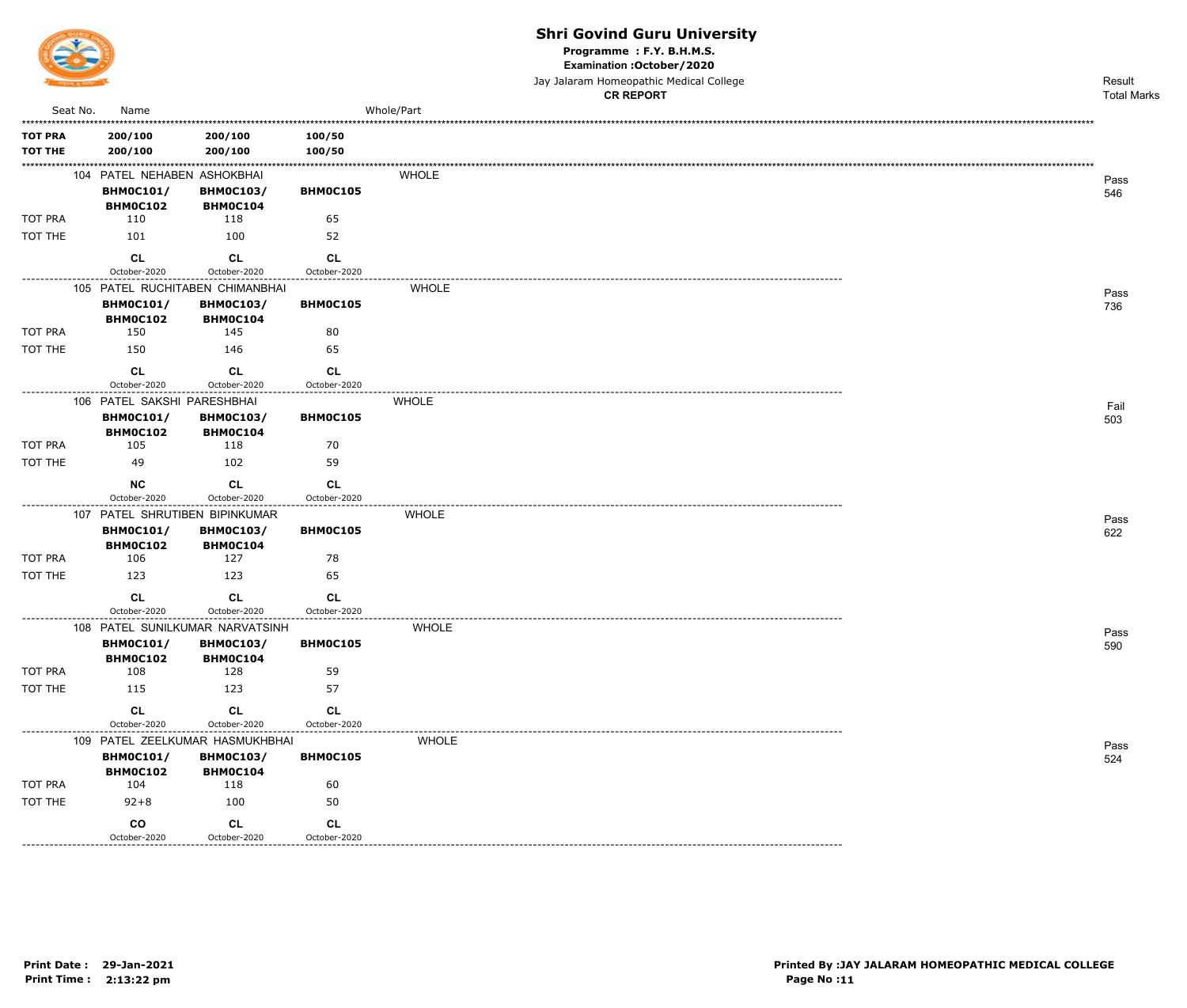

Programme : F.Y. B.H.M.S.

Examination : October / 2020

Jay Jalaram Homeopathic Medical College

|                |          |                                 |                              |                                             | <b>CR REPORT</b> | <b>Total Marks</b> |
|----------------|----------|---------------------------------|------------------------------|---------------------------------------------|------------------|--------------------|
|                | Seat No. | Name                            |                              |                                             | Whole/Part       |                    |
| <b>TOT PRA</b> |          | 200/100                         | 200/100                      | 100/50                                      |                  |                    |
| <b>TOT THE</b> |          | 200/100                         | 200/100                      | 100/50                                      |                  |                    |
|                |          | 104 PATEL NEHABEN ASHOKBHAI     |                              |                                             | <b>WHOLE</b>     | Pass               |
|                |          | <b>BHM0C101/</b>                | <b>BHM0C103/</b>             | BHM0C105                                    |                  | 546                |
|                |          | BHM0C102                        | BHMOC104                     |                                             |                  |                    |
| TOT PRA        |          | 110                             | 118                          | 65                                          |                  |                    |
| TOT THE        |          | 101                             | 100                          | 52                                          |                  |                    |
|                |          | <b>CL</b>                       | <b>CL</b>                    | <b>CL</b>                                   |                  |                    |
|                |          | October-2020                    | October-2020                 | October-2020                                |                  |                    |
|                |          | 105 PATEL RUCHITABEN CHIMANBHAI |                              |                                             | <b>WHOLE</b>     | Pass               |
|                |          | <b>BHM0C101/</b><br>BHM0C102    | <b>BHM0C103/</b><br>BHM0C104 | BHM0C105                                    |                  | 736                |
| TOT PRA        |          | 150                             | 145                          | 80                                          |                  |                    |
| TOT THE        |          | 150                             | 146                          | 65                                          |                  |                    |
|                |          |                                 |                              |                                             |                  |                    |
|                |          | <b>CL</b><br>October-2020       | CL<br>October-2020           | CL<br>October-2020                          |                  |                    |
|                |          | 106 PATEL SAKSHI PARESHBHAI     |                              | ---------------                             | <b>WHOLE</b>     |                    |
|                |          | <b>BHM0C101/</b>                | <b>BHM0C103/</b>             | BHM0C105                                    |                  | Fail<br>503        |
|                |          | BHM0C102                        | <b>BHM0C104</b>              |                                             |                  |                    |
| <b>TOT PRA</b> |          | 105                             | 118                          | 70                                          |                  |                    |
| TOT THE        |          | 49                              | 102                          | 59                                          |                  |                    |
|                |          | <b>NC</b>                       | <b>CL</b>                    | <b>CL</b>                                   |                  |                    |
|                |          | October-2020                    | October-2020                 | October-2020<br>. _ _ _ _ _ _ _ _ _ _ _ _ _ |                  |                    |
|                |          | 107 PATEL SHRUTIBEN BIPINKUMAR  |                              |                                             | <b>WHOLE</b>     | Pass               |
|                |          | <b>BHM0C101/</b>                | <b>BHM0C103/</b>             | BHM0C105                                    |                  | 622                |
| TOT PRA        |          | BHM0C102<br>106                 | <b>BHM0C104</b><br>127       | 78                                          |                  |                    |
| TOT THE        |          | 123                             | 123                          | 65                                          |                  |                    |
|                |          |                                 |                              |                                             |                  |                    |
|                |          | <b>CL</b><br>October-2020       | CL<br>October-2020           | <b>CL</b><br>October-2020                   |                  |                    |
|                |          | 108 PATEL SUNILKUMAR NARVATSINH |                              |                                             | <b>WHOLE</b>     |                    |
|                |          | <b>BHM0C101/</b>                | <b>BHM0C103/</b>             | BHM0C105                                    |                  | Pass<br>590        |
|                |          | BHM0C102                        | BHM0C104                     |                                             |                  |                    |
| TOT PRA        |          | 108                             | 128                          | 59                                          |                  |                    |
| TOT THE        |          | 115                             | 123                          | 57                                          |                  |                    |
|                |          | <b>CL</b>                       | CL                           | CL                                          |                  |                    |
|                |          | October-2020                    | October-2020                 | October-2020                                |                  |                    |
|                |          | 109 PATEL ZEELKUMAR HASMUKHBHAI |                              |                                             | <b>WHOLE</b>     | Pass               |
|                |          | <b>BHM0C101/</b>                | <b>BHM0C103/</b>             | BHM0C105                                    |                  | 524                |
| TOT PRA        |          | <b>BHM0C102</b><br>104          | BHM0C104<br>118              | 60                                          |                  |                    |
| TOT THE        |          | $92 + 8$                        | 100                          | 50                                          |                  |                    |
|                |          |                                 |                              |                                             |                  |                    |
|                |          | co<br>October-2020              | CL<br>October-2020           | CL<br>October-2020                          |                  |                    |
|                |          |                                 |                              |                                             |                  |                    |

\_\_\_\_\_\_\_\_\_\_\_\_\_\_\_\_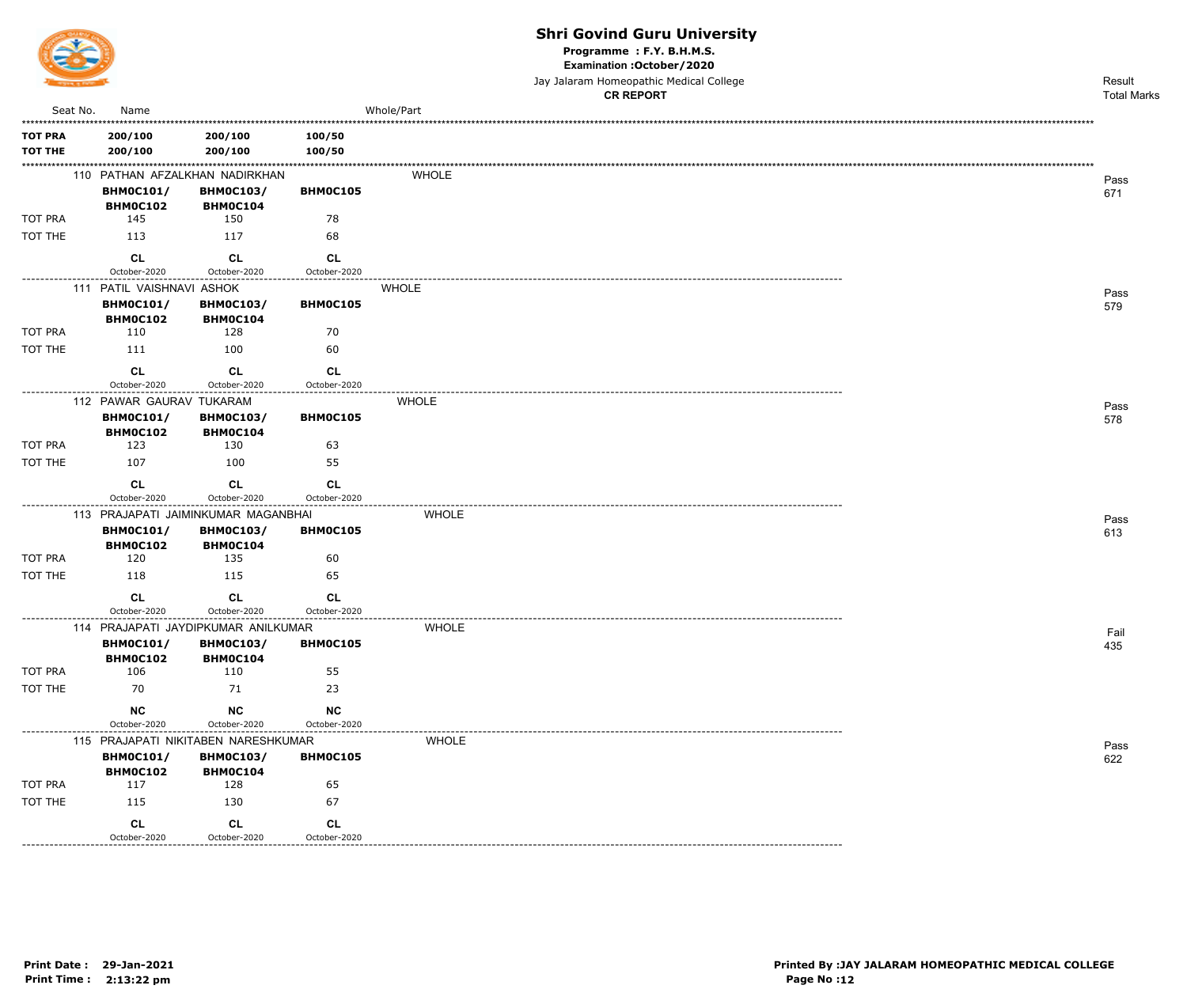

Programme : F.Y. B.H.M.S.

Examination : October / 2020

Jay Jalaram Homeopathic Medical College

|                                  |                                          |                                                                |                                                 | <b>CR REPORT</b> | <b>Total Marks</b> |
|----------------------------------|------------------------------------------|----------------------------------------------------------------|-------------------------------------------------|------------------|--------------------|
| Seat No.                         | Name                                     |                                                                |                                                 | Whole/Part       |                    |
| <b>TOT PRA</b><br><b>TOT THE</b> | 200/100<br>200/100                       | 200/100<br>200/100                                             | 100/50<br>100/50                                |                  |                    |
|                                  | <b>BHM0C101/</b><br>BHM0C102             | 110 PATHAN AFZALKHAN NADIRKHAN<br><b>BHM0C103/</b><br>BHM0C104 | BHM0C105                                        | <b>WHOLE</b>     | Pass<br>671        |
| TOT PRA                          | 145                                      | 150                                                            | 78                                              |                  |                    |
| TOT THE                          | 113                                      | 117                                                            | 68                                              |                  |                    |
|                                  | CL<br>October-2020                       | <b>CL</b><br>October-2020                                      | <b>CL</b><br>October-2020                       |                  |                    |
|                                  | 111 PATIL VAISHNAVI ASHOK                |                                                                |                                                 | <b>WHOLE</b>     | Pass               |
|                                  | <b>BHM0C101/</b><br>BHM0C102             | <b>BHM0C103/</b><br>BHM0C104                                   | BHM0C105                                        |                  | 579                |
| TOT PRA                          | 110                                      | 128                                                            | 70                                              |                  |                    |
| TOT THE                          | 111                                      | 100                                                            | 60                                              |                  |                    |
|                                  | CL<br>October-2020                       | <b>CL</b><br>October-2020                                      | <b>CL</b><br>October-2020                       |                  |                    |
|                                  | ------------<br>112 PAWAR GAURAV TUKARAM |                                                                | . <b>.</b> .                                    | <b>WHOLE</b>     | Pass               |
|                                  | <b>BHM0C101/</b><br>BHM0C102             | <b>BHM0C103/</b><br>BHM0C104                                   | BHMOC105                                        |                  | 578                |
| TOT PRA                          | 123                                      | 130                                                            | 63                                              |                  |                    |
| TOT THE                          | 107                                      | 100                                                            | 55                                              |                  |                    |
|                                  | CL<br>October-2020                       | <b>CL</b><br>October-2020                                      | CL<br>October-2020                              |                  |                    |
|                                  |                                          | 113 PRAJAPATI JAIMINKUMAR MAGANBHAI                            |                                                 | <b>WHOLE</b>     |                    |
|                                  | <b>BHM0C101/</b><br><b>BHM0C102</b>      | <b>BHM0C103/</b><br>BHM0C104                                   | BHMOC105                                        |                  | Pass<br>613        |
| TOT PRA                          | 120                                      | 135                                                            | 60                                              |                  |                    |
| TOT THE                          | 118                                      | 115                                                            | 65                                              |                  |                    |
|                                  | <b>CL</b><br>October-2020                | <b>CL</b><br>October-2020                                      | <b>CL</b><br>October-2020                       |                  |                    |
|                                  |                                          | 114 PRAJAPATI JAYDIPKUMAR ANILKUMAR                            |                                                 | <b>WHOLE</b>     | Fail               |
|                                  | <b>BHM0C101/</b><br>BHM0C102             | <b>BHM0C103/</b><br>BHM0C104                                   | <b>BHMOC105</b>                                 |                  | 435                |
| TOT PRA                          | 106                                      | 110                                                            | 55                                              |                  |                    |
| TOT THE                          | 70                                       | 71                                                             | 23                                              |                  |                    |
|                                  | <b>NC</b><br>October-2020                | NC<br>October-2020                                             | <b>NC</b><br>October-2020                       |                  |                    |
| . _ _ _ _ _ _ _ _ _ _ _ _ _ _ _  |                                          | 115 PRAJAPATI NIKITABEN NARESHKUMAR                            |                                                 | <b>WHOLE</b>     | Pass               |
|                                  | <b>BHM0C101/</b><br>BHM0C102             | <b>BHM0C103/</b><br><b>BHM0C104</b>                            | BHM0C105                                        |                  | 622                |
| TOT PRA                          | 117                                      | 128                                                            | 65                                              |                  |                    |
| TOT THE                          | 115                                      | 130                                                            | 67                                              |                  |                    |
|                                  | <b>CL</b><br>October-2020                | <b>CL</b><br>October-2020<br>. _ _ _ _ _ _ _ _ _ _ _ _ _ _ _   | CL<br>October-2020<br>------------------------- |                  |                    |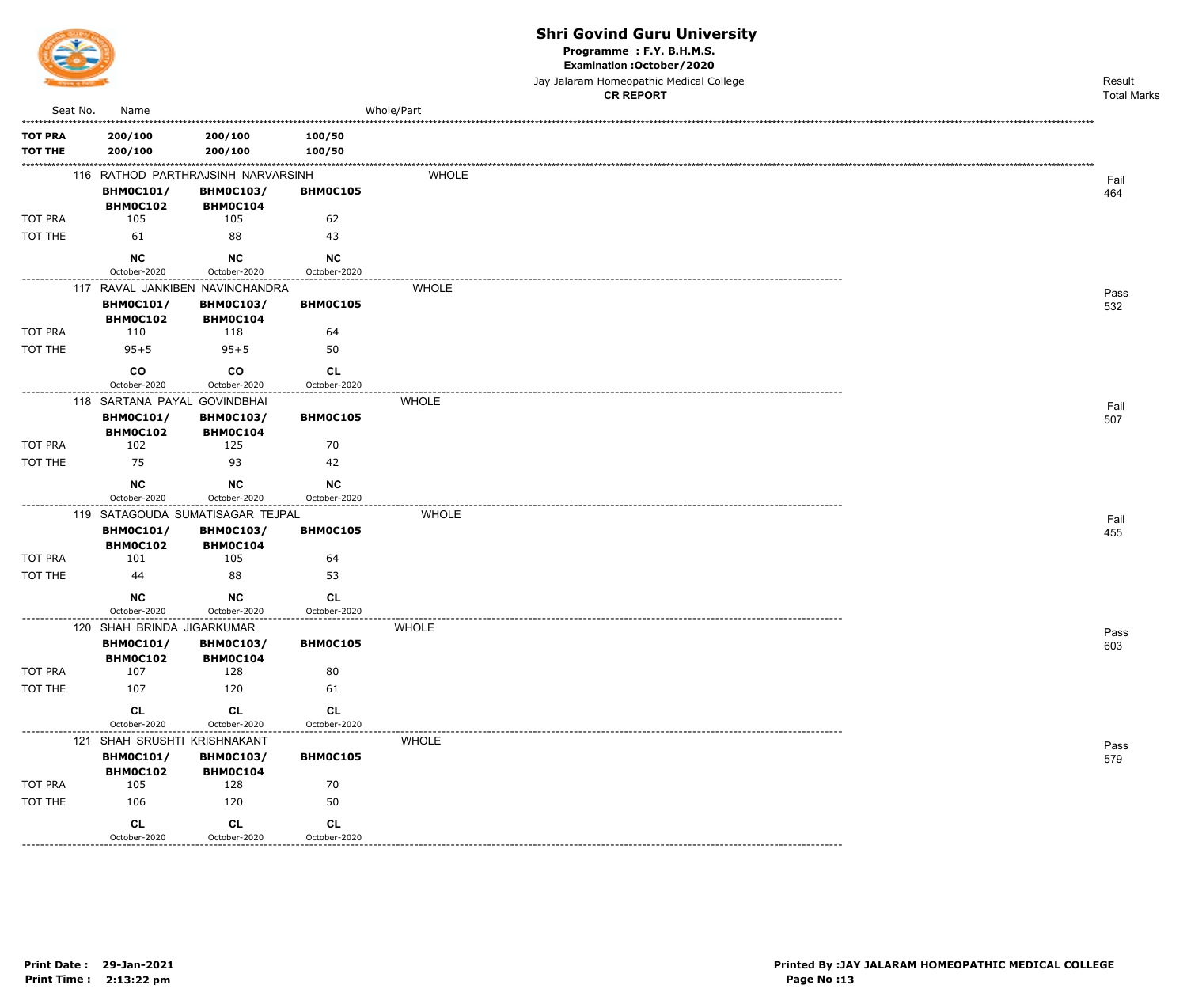

Programme : F.Y. B.H.M.S.

Examination : October / 2020

Jay Jalaram Homeopathic Medical College

|                   |                              |                                                        |                                               | <b>CR REPORT</b> | <b>Total Marks</b> |
|-------------------|------------------------------|--------------------------------------------------------|-----------------------------------------------|------------------|--------------------|
| Seat No.          | Name                         |                                                        |                                               | Whole/Part       |                    |
| <b>TOT PRA</b>    | 200/100                      | 200/100                                                | 100/50                                        |                  |                    |
| <b>TOT THE</b>    | 200/100                      | 200/100                                                | 100/50                                        |                  |                    |
|                   |                              |                                                        |                                               |                  |                    |
|                   | <b>BHM0C101/</b>             | 116 RATHOD PARTHRAJSINH NARVARSINH<br><b>BHM0C103/</b> | BHM0C105                                      | <b>WHOLE</b>     | Fail               |
|                   | BHM0C102                     | BHM0C104                                               |                                               |                  | 464                |
| TOT PRA           | 105                          | 105                                                    | 62                                            |                  |                    |
| TOT THE           | 61                           | 88                                                     | 43                                            |                  |                    |
|                   | <b>NC</b>                    | <b>NC</b>                                              | <b>NC</b>                                     |                  |                    |
|                   | October-2020                 | October-2020                                           | October-2020                                  |                  |                    |
|                   |                              | 117 RAVAL JANKIBEN NAVINCHANDRA                        |                                               | <b>WHOLE</b>     | Pass               |
|                   | <b>BHM0C101/</b>             | <b>BHM0C103/</b>                                       | BHM0C105                                      |                  | 532                |
|                   | <b>BHM0C102</b>              | BHM0C104<br>118                                        |                                               |                  |                    |
| TOT PRA           | 110                          |                                                        | 64                                            |                  |                    |
| TOT THE           | $95 + 5$                     | $95 + 5$                                               | 50                                            |                  |                    |
|                   | co                           | co                                                     | <b>CL</b>                                     |                  |                    |
|                   | October-2020                 | October-2020                                           | October-2020                                  |                  |                    |
|                   | 118 SARTANA PAYAL GOVINDBHAI |                                                        |                                               | <b>WHOLE</b>     | Fail               |
|                   | <b>BHM0C101/</b><br>BHM0C102 | <b>BHM0C103/</b><br>BHM0C104                           | BHM0C105                                      |                  | 507                |
| TOT PRA           | 102                          | 125                                                    | 70                                            |                  |                    |
| TOT THE           | 75                           | 93                                                     | 42                                            |                  |                    |
|                   | <b>NC</b>                    | NC                                                     | <b>NC</b>                                     |                  |                    |
|                   | October-2020                 | October-2020                                           | October-2020                                  |                  |                    |
| ----------------- |                              | 119 SATAGOUDA SUMATISAGAR TEJPAL                       | ------------------------                      | <b>WHOLE</b>     | Fail               |
|                   | <b>BHM0C101/</b>             | <b>BHM0C103/</b>                                       | BHM0C105                                      |                  | 455                |
|                   | BHM0C102                     | BHMOC104                                               |                                               |                  |                    |
| TOT PRA           | 101                          | 105                                                    | 64                                            |                  |                    |
| TOT THE           | 44                           | 88                                                     | 53                                            |                  |                    |
|                   | <b>NC</b>                    | <b>NC</b>                                              | CL                                            |                  |                    |
|                   | October-2020                 | October-2020                                           | October-2020<br>. _ _ _ _ _ _ _ _ _ _ _ _ _ _ |                  |                    |
|                   | 120 SHAH BRINDA JIGARKUMAR   |                                                        |                                               | <b>WHOLE</b>     | Pass               |
|                   | <b>BHM0C101/</b><br>BHM0C102 | <b>BHM0C103/</b><br>BHM0C104                           | BHM0C105                                      |                  | 603                |
| TOT PRA           | 107                          | 128                                                    | 80                                            |                  |                    |
| TOT THE           | 107                          | 120                                                    | 61                                            |                  |                    |
|                   | <b>CL</b>                    | <b>CL</b>                                              | <b>CL</b>                                     |                  |                    |
|                   | October-2020                 | October-2020                                           | October-2020                                  |                  |                    |
|                   | 121 SHAH SRUSHTI KRISHNAKANT |                                                        |                                               | <b>WHOLE</b>     |                    |
|                   | <b>BHM0C101/</b>             | <b>BHM0C103/</b>                                       | BHM0C105                                      |                  | Pass<br>579        |
|                   | BHM0C102                     | <b>BHM0C104</b>                                        |                                               |                  |                    |
| TOT PRA           | 105                          | 128                                                    | 70                                            |                  |                    |
| TOT THE           | 106                          | 120                                                    | 50                                            |                  |                    |
|                   | <b>CL</b>                    | CL                                                     | <b>CL</b>                                     |                  |                    |
|                   | October-2020                 | October-2020<br>------------------                     | October-2020                                  |                  |                    |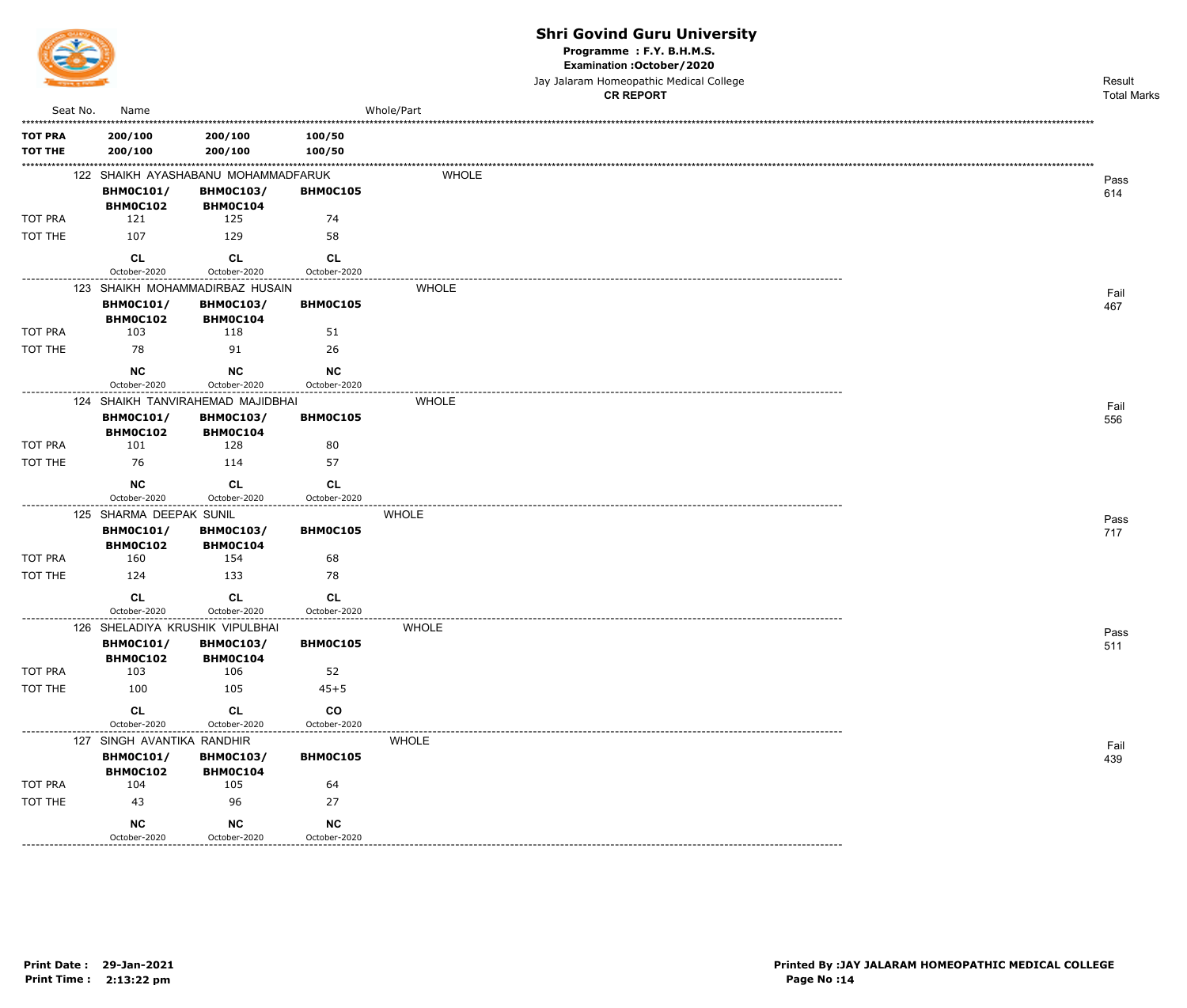

Programme : F.Y. B.H.M.S.

Examination : October / 2020

Jay Jalaram Homeopathic Medical College  $\overline{a}$ 

|                           |                                                |                                     |                    | <b>CR REPORT</b> | <b>Total Marks</b> |
|---------------------------|------------------------------------------------|-------------------------------------|--------------------|------------------|--------------------|
| Seat No.                  | Name                                           |                                     |                    | Whole/Part       |                    |
| <b>TOT PRA</b>            | 200/100                                        | 200/100                             | 100/50             |                  |                    |
| <b>TOT THE</b>            | 200/100                                        | 200/100                             | 100/50             |                  |                    |
|                           |                                                | 122 SHAIKH AYASHABANU MOHAMMADFARUK |                    | <b>WHOLE</b>     |                    |
|                           | <b>BHM0C101/</b>                               | <b>BHM0C103/</b>                    | BHM0C105           |                  | Pass<br>614        |
|                           | <b>BHM0C102</b>                                | <b>BHM0C104</b>                     |                    |                  |                    |
| TOT PRA                   | 121                                            | 125                                 | 74                 |                  |                    |
| TOT THE                   | 107                                            | 129                                 | 58                 |                  |                    |
|                           | CL                                             | <b>CL</b>                           | <b>CL</b>          |                  |                    |
| -------------             | October-2020                                   | October-2020                        | October-2020       |                  |                    |
|                           |                                                | 123 SHAIKH MOHAMMADIRBAZ HUSAIN     |                    | <b>WHOLE</b>     | Fail               |
|                           | <b>BHM0C101/</b>                               | <b>BHM0C103/</b>                    | BHM0C105           |                  | 467                |
|                           | <b>BHM0C102</b>                                | <b>BHM0C104</b>                     |                    |                  |                    |
| TOT PRA                   | 103                                            | 118                                 | 51                 |                  |                    |
| TOT THE                   | 78                                             | 91                                  | 26                 |                  |                    |
|                           | <b>NC</b>                                      | <b>NC</b>                           | <b>NC</b>          |                  |                    |
| . _ _ _ _ _ _ _ _ _ _ _ _ | October-2020                                   | October-2020                        | October-2020       |                  |                    |
|                           |                                                | 124 SHAIKH TANVIRAHEMAD MAJIDBHAI   |                    | <b>WHOLE</b>     | Fail               |
|                           | <b>BHM0C101/</b><br><b>BHM0C102</b>            | <b>BHM0C103/</b><br>BHM0C104        | BHM0C105           |                  | 556                |
| <b>TOT PRA</b>            | 101                                            | 128                                 | 80                 |                  |                    |
| TOT THE                   | 76                                             | 114                                 | 57                 |                  |                    |
|                           |                                                |                                     |                    |                  |                    |
|                           | <b>NC</b><br>October-2020                      | <b>CL</b><br>October-2020           | CL<br>October-2020 |                  |                    |
|                           | 125 SHARMA DEEPAK SUNIL                        | ------------                        | . <u>.</u>         | <b>WHOLE</b>     |                    |
|                           | <b>BHM0C101/</b>                               | <b>BHM0C103/</b>                    | <b>BHMOC105</b>    |                  | Pass<br>717        |
|                           | BHM0C102                                       | BHM0C104                            |                    |                  |                    |
| TOT PRA                   | 160                                            | 154                                 | 68                 |                  |                    |
| TOT THE                   | 124                                            | 133                                 | 78                 |                  |                    |
|                           | <b>CL</b>                                      | <b>CL</b>                           | <b>CL</b>          |                  |                    |
|                           | October-2020                                   | October-2020                        | October-2020       |                  |                    |
|                           | 126 SHELADIYA KRUSHIK VIPULBHAI                |                                     |                    | WHOLE            | Pass               |
|                           | <b>BHM0C101/</b>                               | <b>BHM0C103/</b>                    | <b>BHMOC105</b>    |                  | 511                |
| TOT PRA                   | BHM0C102<br>103                                | <b>BHM0C104</b><br>106              | 52                 |                  |                    |
| TOT THE                   | 100                                            | 105                                 | $45 + 5$           |                  |                    |
|                           |                                                |                                     |                    |                  |                    |
|                           | <b>CL</b>                                      | CL                                  | co                 |                  |                    |
| -----------------         | October-2020                                   | October-2020                        | October-2020       |                  |                    |
|                           | 127 SINGH AVANTIKA RANDHIR<br><b>BHM0C101/</b> | <b>BHM0C103/</b>                    | <b>BHM0C105</b>    | <b>WHOLE</b>     | Fail               |
|                           | BHM0C102                                       | <b>BHM0C104</b>                     |                    |                  | 439                |
| TOT PRA                   | 104                                            | 105                                 | 64                 |                  |                    |
| TOT THE                   | 43                                             | 96                                  | 27                 |                  |                    |
|                           | <b>NC</b>                                      | <b>NC</b>                           | NC                 |                  |                    |
|                           | October-2020                                   | October-2020                        | October-2020       |                  |                    |
| .                         |                                                |                                     |                    |                  |                    |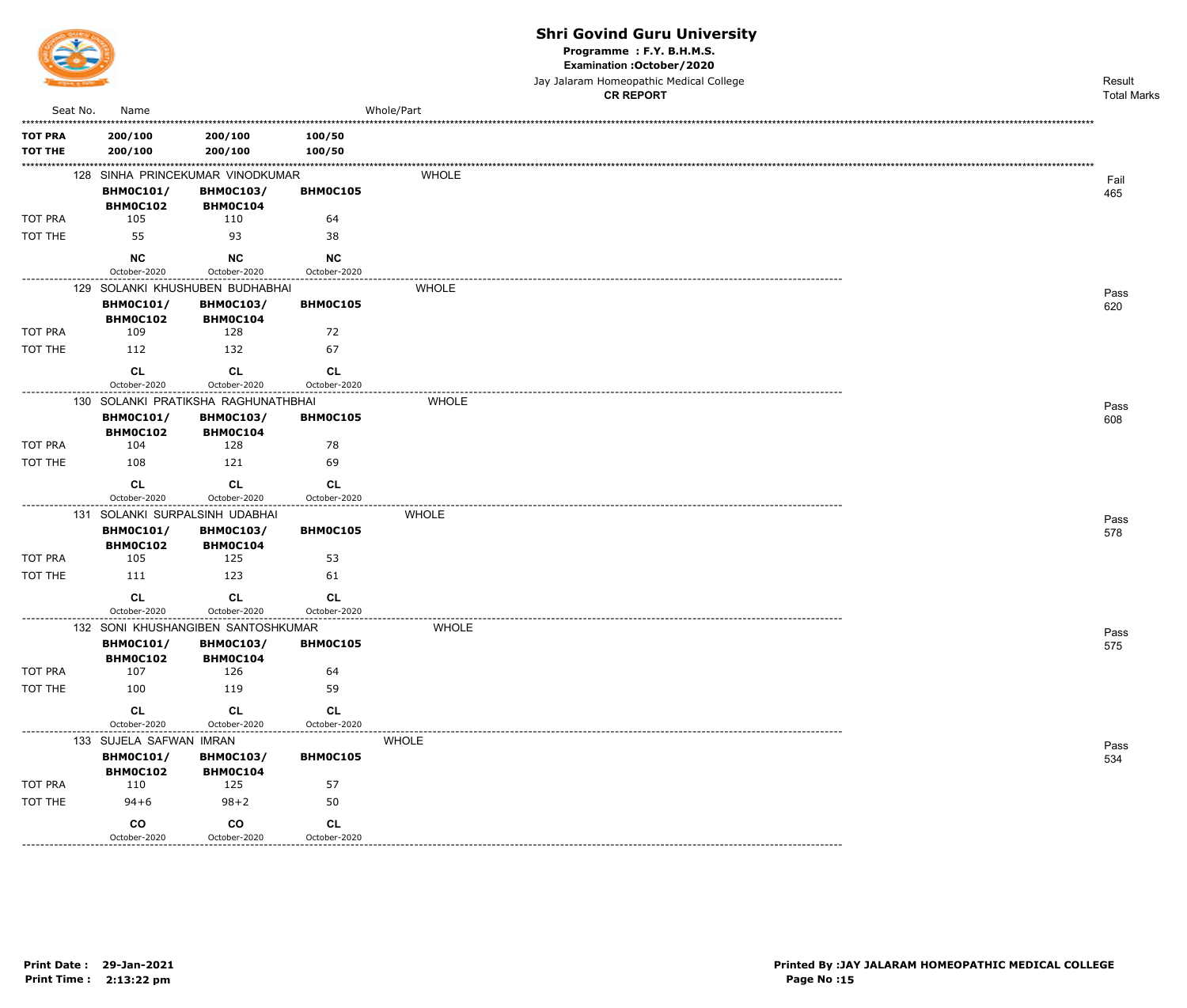

Programme : F.Y. B.H.M.S.

Examination : October / 2020

Jay Jalaram Homeopathic Medical College

|                                  |                              |                                                                       |                                           |              | <b>CR REPORT</b> | <b>Total Marks</b> |
|----------------------------------|------------------------------|-----------------------------------------------------------------------|-------------------------------------------|--------------|------------------|--------------------|
| Seat No.                         | Name                         |                                                                       |                                           | Whole/Part   |                  |                    |
| <b>TOT PRA</b><br><b>TOT THE</b> | 200/100<br>200/100           | 200/100<br>200/100                                                    | 100/50<br>100/50                          |              |                  |                    |
|                                  | <b>BHM0C101/</b>             | 128 SINHA PRINCEKUMAR VINODKUMAR<br><b>BHM0C103/</b>                  | BHM0C105                                  | <b>WHOLE</b> |                  | Fail<br>465        |
| <b>TOT PRA</b>                   | BHM0C102<br>105              | BHMOC104<br>110                                                       | 64                                        |              |                  |                    |
| TOT THE                          | 55                           | 93                                                                    | 38                                        |              |                  |                    |
|                                  | <b>NC</b><br>October-2020    | <b>NC</b><br>October-2020                                             | <b>NC</b><br>October-2020                 |              |                  |                    |
|                                  |                              | 129 SOLANKI KHUSHUBEN BUDHABHAI                                       |                                           | <b>WHOLE</b> |                  | Pass               |
|                                  | <b>BHM0C101/</b><br>BHM0C102 | <b>BHM0C103/</b><br>BHM0C104                                          | BHM0C105                                  |              |                  | 620                |
| TOT PRA                          | 109                          | 128                                                                   | 72                                        |              |                  |                    |
| TOT THE                          | 112                          | 132                                                                   | 67                                        |              |                  |                    |
|                                  | CL<br>October-2020           | CL<br>October-2020                                                    | CL<br>October-2020                        |              |                  |                    |
|                                  |                              |                                                                       |                                           |              |                  |                    |
|                                  | <b>BHM0C101/</b>             | 130 SOLANKI PRATIKSHA RAGHUNATHBHAI<br><b>BHM0C103/</b>               | BHM0C105                                  | <b>WHOLE</b> |                  | Pass<br>608        |
|                                  | BHM0C102                     | BHMOC104                                                              |                                           |              |                  |                    |
| <b>TOT PRA</b>                   | 104                          | 128                                                                   | 78                                        |              |                  |                    |
| TOT THE                          | 108                          | 121                                                                   | 69                                        |              |                  |                    |
|                                  | <b>CL</b><br>October-2020    | <b>CL</b><br>October-2020                                             | <b>CL</b><br>October-2020<br>. <b>.</b> . |              |                  |                    |
|                                  | <b>BHM0C101/</b><br>BHM0C102 | 131 SOLANKI SURPALSINH UDABHAI<br><b>BHM0C103/</b><br><b>BHM0C104</b> | BHM0C105                                  | <b>WHOLE</b> |                  | Pass<br>578        |
| TOT PRA                          | 105                          | 125                                                                   | 53                                        |              |                  |                    |
| TOT THE                          | 111                          | 123                                                                   | 61                                        |              |                  |                    |
|                                  | <b>CL</b><br>October-2020    | CL<br>October-2020                                                    | <b>CL</b><br>October-2020                 |              |                  |                    |
|                                  |                              | 132 SONI KHUSHANGIBEN SANTOSHKUMAR                                    |                                           | <b>WHOLE</b> |                  | Pass               |
|                                  | <b>BHM0C101/</b><br>BHM0C102 | <b>BHM0C103/</b><br>BHM0C104                                          | BHM0C105                                  |              |                  | 575                |
| TOT PRA                          | 107                          | 126                                                                   | 64                                        |              |                  |                    |
| TOT THE                          | 100                          | 119                                                                   | 59                                        |              |                  |                    |
|                                  | CL<br>October-2020           | CL<br>October-2020                                                    | CL<br>October-2020                        |              |                  |                    |
|                                  | 133 SUJELA SAFWAN IMRAN      |                                                                       |                                           | <b>WHOLE</b> |                  | Pass               |
|                                  | <b>BHM0C101/</b>             | <b>BHM0C103/</b>                                                      | BHM0C105                                  |              |                  | 534                |
| TOT PRA                          | <b>BHM0C102</b><br>110       | BHM0C104<br>125                                                       | 57                                        |              |                  |                    |
| TOT THE                          | $94 + 6$                     | $98 + 2$                                                              | 50                                        |              |                  |                    |
|                                  | co<br>October-2020           | co<br>October-2020                                                    | CL<br>October-2020                        |              |                  |                    |

<u>\_\_\_\_\_\_\_\_\_\_</u>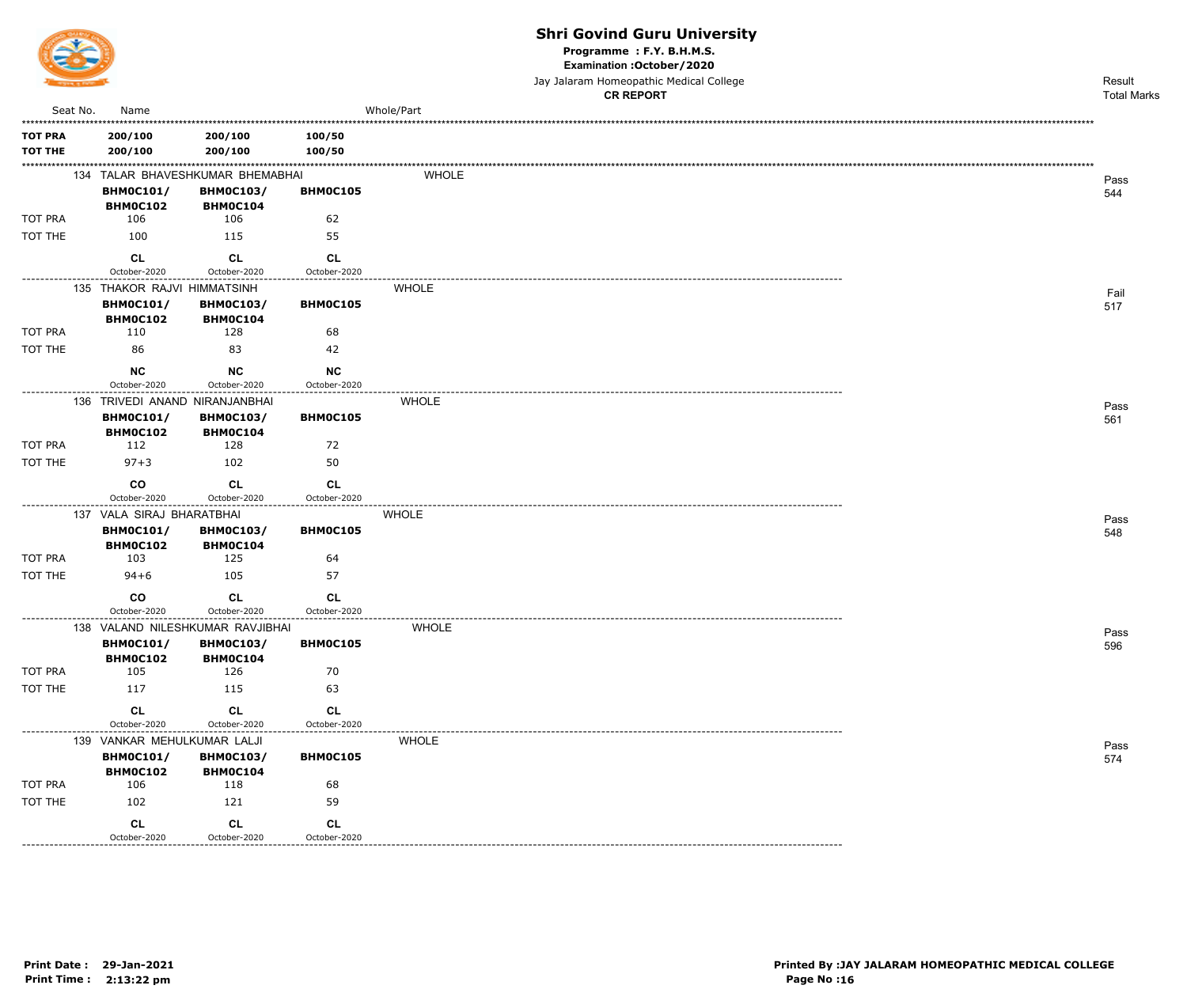

Programme : F.Y. B.H.M.S.

Examination : October / 2020

Jay Jalaram Homeopathic Medical College

|                                  |          |                                                           |                                     |                                | <b>CR REPORT</b> | <b>Total Marks</b> |
|----------------------------------|----------|-----------------------------------------------------------|-------------------------------------|--------------------------------|------------------|--------------------|
|                                  | Seat No. | Name                                                      |                                     |                                | Whole/Part       |                    |
| <b>TOT PRA</b><br><b>TOT THE</b> |          | 200/100<br>200/100                                        | 200/100<br>200/100                  | 100/50<br>100/50               |                  |                    |
|                                  |          |                                                           | 134 TALAR BHAVESHKUMAR BHEMABHAI    |                                | <b>WHOLE</b>     | Pass               |
|                                  |          | <b>BHM0C101/</b><br><b>BHM0C102</b>                       | <b>BHM0C103/</b><br><b>BHM0C104</b> | BHM0C105                       |                  | 544                |
| TOT PRA                          |          | 106                                                       | 106                                 | 62                             |                  |                    |
| TOT THE                          |          | 100                                                       | 115                                 | 55                             |                  |                    |
|                                  |          | <b>CL</b><br>October-2020                                 | <b>CL</b><br>October-2020           | <b>CL</b><br>October-2020      |                  |                    |
|                                  |          | 135 THAKOR RAJVI HIMMATSINH                               |                                     |                                | <b>WHOLE</b>     | Fail               |
|                                  |          | <b>BHM0C101/</b><br>BHM0C102                              | <b>BHM0C103/</b><br><b>BHM0C104</b> | BHM0C105                       |                  | 517                |
| TOT PRA                          |          | 110                                                       | 128                                 | 68                             |                  |                    |
| TOT THE                          |          | 86                                                        | 83                                  | 42                             |                  |                    |
|                                  |          | <b>NC</b>                                                 | <b>NC</b>                           | NC                             |                  |                    |
|                                  |          | October-2020                                              | October-2020                        | October-2020<br>-------------- |                  |                    |
|                                  |          | 136 TRIVEDI ANAND NIRANJANBHAI<br><b>BHM0C101/</b>        | <b>BHM0C103/</b>                    | BHM0C105                       | <b>WHOLE</b>     | Pass<br>561        |
|                                  |          | BHM0C102                                                  | BHMOC104                            |                                |                  |                    |
| <b>TOT PRA</b>                   |          | 112                                                       | 128                                 | 72                             |                  |                    |
| TOT THE                          |          | $97 + 3$                                                  | 102                                 | 50                             |                  |                    |
|                                  |          | co<br>October-2020                                        | <b>CL</b><br>October-2020           | <b>CL</b><br>October-2020      |                  |                    |
|                                  |          | 137 VALA SIRAJ BHARATBHAI<br><b>BHM0C101/</b><br>BHM0C102 | <b>BHM0C103/</b><br><b>BHM0C104</b> | . <u>.</u> .<br>BHM0C105       | <b>WHOLE</b>     | Pass<br>548        |
| TOT PRA                          |          | 103                                                       | 125                                 | 64                             |                  |                    |
| TOT THE                          |          | $94 + 6$                                                  | 105                                 | 57                             |                  |                    |
|                                  |          | co<br>October-2020                                        | <b>CL</b><br>October-2020           | <b>CL</b><br>October-2020      |                  |                    |
|                                  |          |                                                           | 138 VALAND NILESHKUMAR RAVJIBHAI    |                                | <b>WHOLE</b>     | Pass               |
|                                  |          | <b>BHM0C101/</b><br>BHM0C102                              | <b>BHM0C103/</b><br>BHM0C104        | BHM0C105                       |                  | 596                |
| TOT PRA                          |          | 105                                                       | 126                                 | 70                             |                  |                    |
| TOT THE                          |          | 117                                                       | 115                                 | 63                             |                  |                    |
|                                  |          | CL                                                        | CL                                  | CL                             |                  |                    |
|                                  |          | October-2020                                              | October-2020                        | October-2020                   |                  |                    |
|                                  |          | 139 VANKAR MEHULKUMAR LALJI<br><b>BHM0C101/</b>           | <b>BHM0C103/</b>                    | BHM0C105                       | <b>WHOLE</b>     | Pass               |
| TOT PRA                          |          | BHM0C102<br>106                                           | BHM0C104<br>118                     | 68                             |                  | 574                |
| TOT THE                          |          | 102                                                       | 121                                 | 59                             |                  |                    |
|                                  |          |                                                           |                                     |                                |                  |                    |
|                                  |          | CL<br>October-2020                                        | CL<br>October-2020                  | CL<br>October-2020             |                  |                    |

<u>\_\_\_\_\_\_\_\_\_\_</u>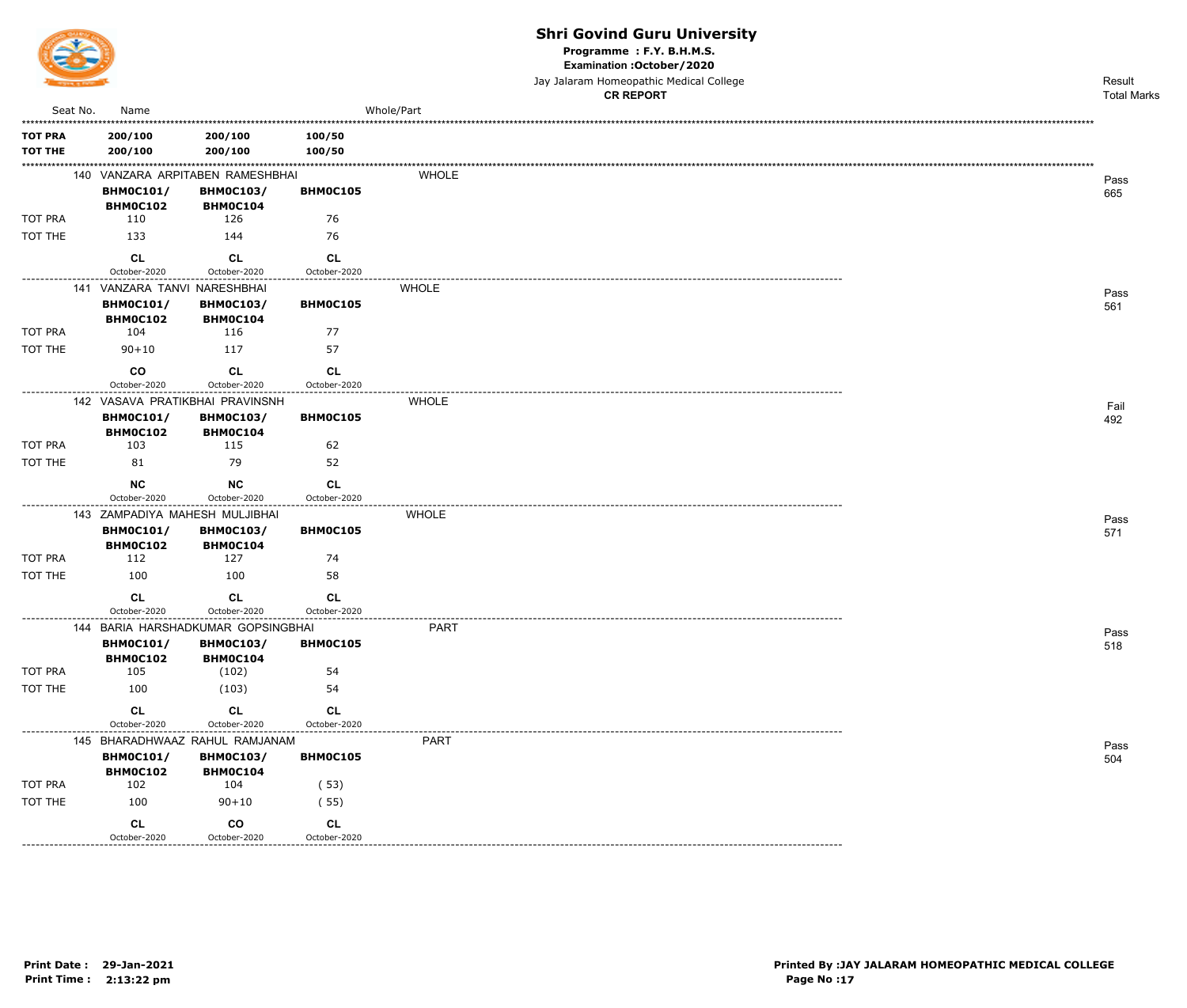

Programme : F.Y. B.H.M.S.

Examination : October / 2020

Jay Jalaram Homeopathic Medical College

|                                  |                              |                                                      |                                 |              | <b>CR REPORT</b> | <b>Total Marks</b> |
|----------------------------------|------------------------------|------------------------------------------------------|---------------------------------|--------------|------------------|--------------------|
| Seat No.                         | Name                         |                                                      |                                 | Whole/Part   |                  |                    |
| <b>TOT PRA</b><br><b>TOT THE</b> | 200/100<br>200/100           | 200/100<br>200/100                                   | 100/50<br>100/50                |              |                  |                    |
|                                  | <b>BHM0C101/</b>             | 140 VANZARA ARPITABEN RAMESHBHAI<br><b>BHM0C103/</b> | BHM0C105                        | <b>WHOLE</b> |                  | Pass               |
|                                  | BHM0C102                     | BHM0C104                                             |                                 |              |                  | 665                |
| TOT PRA                          | 110                          | 126                                                  | 76                              |              |                  |                    |
| TOT THE                          | 133                          | 144                                                  | 76                              |              |                  |                    |
|                                  | <b>CL</b>                    | <b>CL</b>                                            | <b>CL</b>                       |              |                  |                    |
|                                  | October-2020                 | October-2020                                         | October-2020                    |              |                  |                    |
|                                  | 141 VANZARA TANVI NARESHBHAI |                                                      |                                 | <b>WHOLE</b> |                  | Pass               |
|                                  | <b>BHM0C101/</b><br>BHM0C102 | <b>BHM0C103/</b><br>BHM0C104                         | BHM0C105                        |              |                  | 561                |
| TOT PRA                          | 104                          | 116                                                  | 77                              |              |                  |                    |
| TOT THE                          | $90 + 10$                    | 117                                                  | 57                              |              |                  |                    |
|                                  | co                           | <b>CL</b>                                            | CL                              |              |                  |                    |
|                                  | October-2020                 | October-2020                                         | October-2020                    |              |                  |                    |
|                                  | <b>BHM0C101/</b>             | 142 VASAVA PRATIKBHAI PRAVINSNH<br><b>BHM0C103/</b>  | BHM0C105                        | <b>WHOLE</b> |                  | Fail<br>492        |
|                                  | BHM0C102                     | BHM0C104                                             |                                 |              |                  |                    |
| TOT PRA                          | 103                          | 115                                                  | 62                              |              |                  |                    |
| TOT THE                          | 81                           | 79                                                   | 52                              |              |                  |                    |
|                                  | <b>NC</b>                    | <b>NC</b>                                            | <b>CL</b>                       |              |                  |                    |
| ----------------                 | October-2020                 | October-2020                                         | October-2020<br>--------------- |              |                  |                    |
|                                  |                              | 143 ZAMPADIYA MAHESH MULJIBHAI                       |                                 | <b>WHOLE</b> |                  | Pass               |
|                                  | <b>BHM0C101/</b><br>BHM0C102 | <b>BHM0C103/</b><br>BHM0C104                         | BHM0C105                        |              |                  | 571                |
| TOT PRA                          | 112                          | 127                                                  | 74                              |              |                  |                    |
| TOT THE                          | 100                          | 100                                                  | 58                              |              |                  |                    |
|                                  | <b>CL</b><br>October-2020    | CL<br>October-2020                                   | <b>CL</b><br>October-2020       |              |                  |                    |
|                                  |                              | 144 BARIA HARSHADKUMAR GOPSINGBHAI                   | .                               | <b>PART</b>  |                  |                    |
|                                  | <b>BHM0C101/</b>             | <b>BHM0C103/</b><br>BHM0C104                         | BHM0C105                        |              |                  | Pass<br>518        |
| TOT PRA                          | BHM0C102<br>105              | (102)                                                | 54                              |              |                  |                    |
| TOT THE                          | 100                          | (103)                                                | 54                              |              |                  |                    |
|                                  | CL                           | CL                                                   | CL                              |              |                  |                    |
|                                  | October-2020                 | October-2020                                         | October-2020                    |              |                  |                    |
|                                  |                              | 145 BHARADHWAAZ RAHUL RAMJANAM                       |                                 | <b>PART</b>  |                  | Pass               |
|                                  | <b>BHM0C101/</b><br>BHM0C102 | <b>BHM0C103/</b>                                     | BHM0C105                        |              |                  | 504                |
| TOT PRA                          | 102                          | BHM0C104<br>104                                      | (53)                            |              |                  |                    |
| TOT THE                          | 100                          | $90 + 10$                                            | (55)                            |              |                  |                    |
|                                  | CL                           | co                                                   | CL                              |              |                  |                    |
|                                  | October-2020                 | October-2020                                         | October-2020                    |              |                  |                    |

-----------------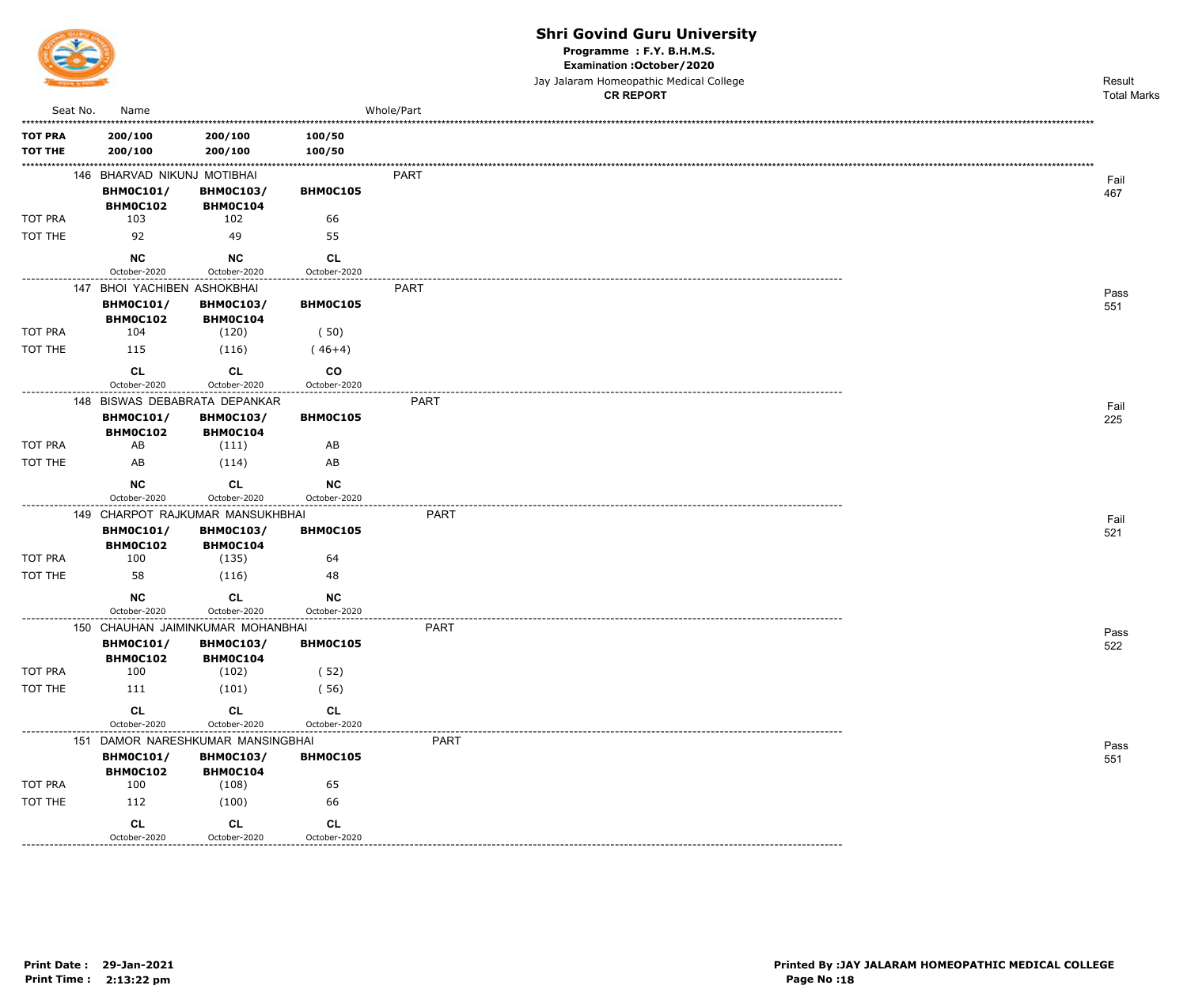

Programme : F.Y. B.H.M.S.

Examination : October / 2020

|                                  |          |                                                                   |                                              |                           |             | Jay Jalaram Homeopathic Medical College<br><b>CR REPORT</b> | Result<br><b>Total Marks</b> |
|----------------------------------|----------|-------------------------------------------------------------------|----------------------------------------------|---------------------------|-------------|-------------------------------------------------------------|------------------------------|
|                                  | Seat No. | Name                                                              |                                              |                           | Whole/Part  |                                                             |                              |
| <b>TOT PRA</b><br><b>TOT THE</b> |          | 200/100<br>200/100                                                | 200/100<br>200/100                           | 100/50<br>100/50          |             |                                                             |                              |
|                                  |          | 146 BHARVAD NIKUNJ MOTIBHAI<br><b>BHM0C101/</b><br>BHM0C102       | <b>BHM0C103/</b><br><b>BHMOC104</b>          | BHM0C105                  | PART        |                                                             | Fail<br>467                  |
| TOT PRA                          |          | 103                                                               | 102                                          | 66                        |             |                                                             |                              |
| TOT THE                          |          | 92                                                                | 49                                           | 55                        |             |                                                             |                              |
|                                  |          | <b>NC</b><br>October-2020                                         | <b>NC</b><br>October-2020                    | <b>CL</b><br>October-2020 |             |                                                             |                              |
|                                  |          | 147 BHOI YACHIBEN ASHOKBHAI                                       |                                              |                           | <b>PART</b> |                                                             |                              |
| TOT PRA                          |          | <b>BHM0C101/</b><br>BHM0C102<br>104                               | <b>BHM0C103/</b><br><b>BHM0C104</b><br>(120) | BHM0C105<br>(50)          |             |                                                             | Pass<br>551                  |
| TOT THE                          |          | 115                                                               | (116)                                        | $(46+4)$                  |             |                                                             |                              |
|                                  |          | CL<br>October-2020                                                | CL<br>October-2020                           | CO<br>October-2020        |             |                                                             |                              |
|                                  |          | 148 BISWAS DEBABRATA DEPANKAR                                     |                                              |                           | <b>PART</b> |                                                             |                              |
|                                  |          | <b>BHM0C101/</b><br><b>BHM0C102</b>                               | <b>BHM0C103/</b><br>BHM0C104                 | BHM0C105                  |             |                                                             | Fail<br>225                  |
| <b>TOT PRA</b>                   |          | AB                                                                | (111)                                        | AB                        |             |                                                             |                              |
| TOT THE                          |          | AB                                                                | (114)                                        | AB                        |             |                                                             |                              |
|                                  |          | <b>NC</b>                                                         | <b>CL</b>                                    | NC                        |             |                                                             |                              |
|                                  |          | October-2020                                                      | October-2020                                 | October-2020              |             |                                                             |                              |
|                                  |          | 149 CHARPOT RAJKUMAR MANSUKHBHAI<br><b>BHM0C101/</b><br>BHM0C102  | <b>BHM0C103/</b><br><b>BHM0C104</b>          | BHM0C105                  | <b>PART</b> |                                                             | Fail<br>521                  |
| TOT PRA                          |          | 100                                                               | (135)                                        | 64                        |             |                                                             |                              |
| TOT THE                          |          | 58                                                                | (116)                                        | 48                        |             |                                                             |                              |
|                                  |          | <b>NC</b>                                                         | CL                                           | NC                        |             |                                                             |                              |
|                                  |          | October-2020<br>150 CHAUHAN JAIMINKUMAR MOHANBHAI                 | October-2020                                 | October-2020              | <b>PART</b> |                                                             |                              |
|                                  |          | <b>BHM0C101/</b><br>BHM0C102                                      | <b>BHM0C103/</b><br>BHM0C104                 | BHM0C105                  |             |                                                             | Pass<br>522                  |
| TOT PRA                          |          | 100                                                               | (102)                                        | (52)                      |             |                                                             |                              |
| TOT THE                          |          | 111                                                               | (101)                                        | (56)                      |             |                                                             |                              |
|                                  |          | CL                                                                | CL                                           | CL                        |             |                                                             |                              |
|                                  |          | October-2020                                                      | October-2020                                 | October-2020              | <b>PART</b> |                                                             |                              |
|                                  |          | 151 DAMOR NARESHKUMAR MANSINGBHAI<br><b>BHM0C101/</b><br>BHM0C102 | <b>BHM0C103/</b><br>BHM0C104                 | BHM0C105                  |             |                                                             | Pass<br>551                  |
| TOT PRA                          |          | 100                                                               | (108)                                        | 65                        |             |                                                             |                              |
| TOT THE                          |          | 112                                                               | (100)                                        | 66                        |             |                                                             |                              |
|                                  |          | CL<br>October-2020                                                | CL<br>October-2020                           | CL<br>October-2020        |             |                                                             |                              |

-----------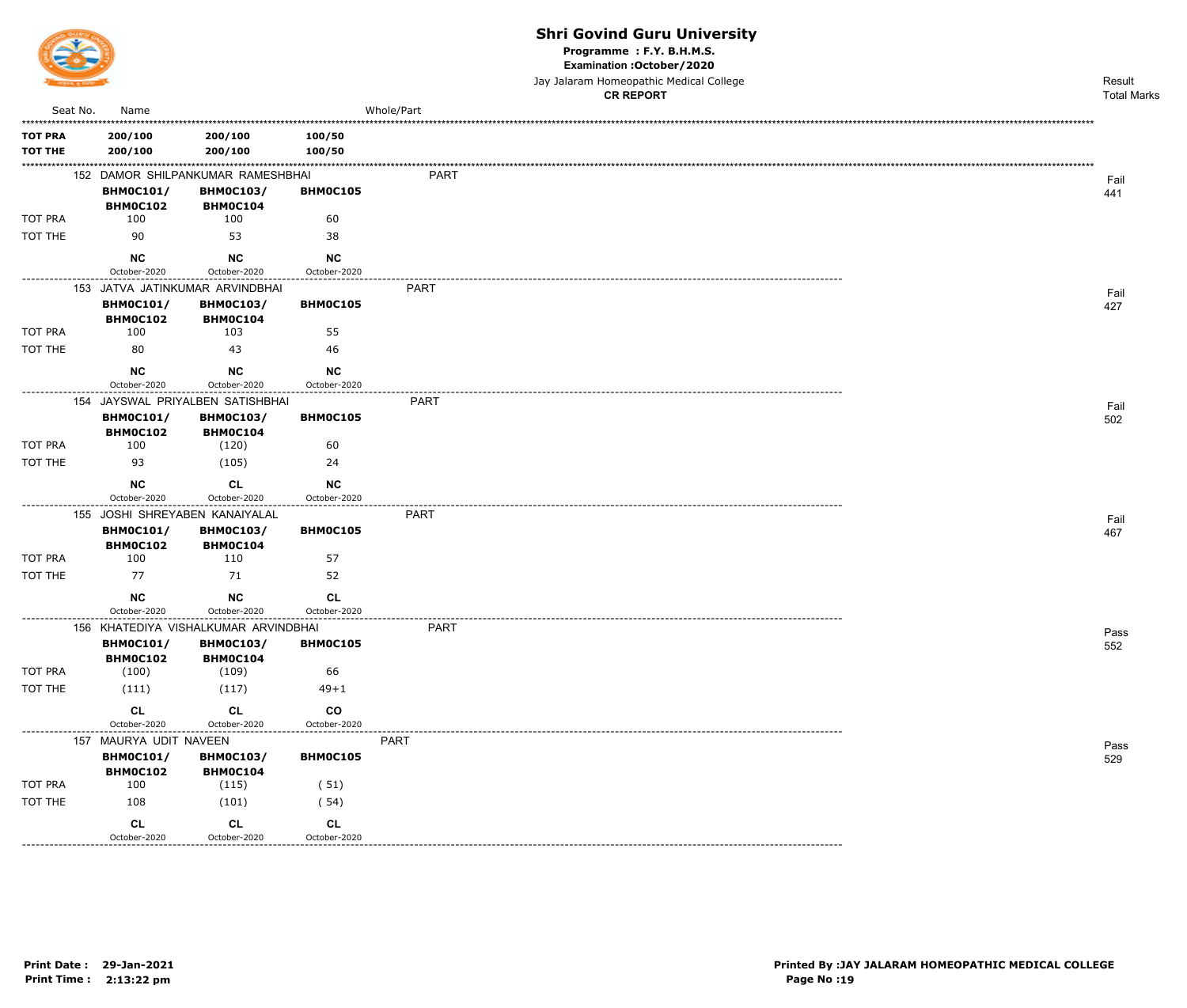

Programme : F.Y. B.H.M.S.

Examination : October / 2020

Jay Jalaram Homeopathic Medical College

|                                  |                                     |                                      |                               |             | <b>CR REPORT</b> | <b>Total Marks</b> |
|----------------------------------|-------------------------------------|--------------------------------------|-------------------------------|-------------|------------------|--------------------|
| Seat No.                         | Name                                |                                      |                               | Whole/Part  |                  |                    |
| <b>TOT PRA</b><br><b>TOT THE</b> | 200/100<br>200/100                  | 200/100<br>200/100                   | 100/50<br>100/50              |             |                  |                    |
|                                  |                                     | 152 DAMOR SHILPANKUMAR RAMESHBHAI    |                               | <b>PART</b> |                  | Fail               |
|                                  | <b>BHM0C101/</b><br>BHM0C102        | <b>BHM0C103/</b><br>BHM0C104         | <b>BHMOC105</b>               |             |                  | 441                |
| TOT PRA                          | 100                                 | 100                                  | 60                            |             |                  |                    |
| TOT THE                          | 90                                  | 53                                   | 38                            |             |                  |                    |
|                                  | <b>NC</b><br>October-2020           | <b>NC</b><br>October-2020            | <b>NC</b><br>October-2020     |             |                  |                    |
|                                  |                                     | 153 JATVA JATINKUMAR ARVINDBHAI      |                               | <b>PART</b> |                  | Fail               |
|                                  | <b>BHM0C101/</b><br><b>BHM0C102</b> | <b>BHM0C103/</b><br>BHM0C104         | BHM0C105                      |             |                  | 427                |
| TOT PRA                          | 100                                 | 103                                  | 55                            |             |                  |                    |
| TOT THE                          | 80                                  | 43                                   | 46                            |             |                  |                    |
|                                  | NC                                  | NC                                   | <b>NC</b>                     |             |                  |                    |
| ---------------                  | October-2020                        | October-2020                         | October-2020<br>.             |             |                  |                    |
|                                  |                                     | 154 JAYSWAL PRIYALBEN SATISHBHAI     |                               | <b>PART</b> |                  | Fail               |
|                                  | <b>BHM0C101/</b><br><b>BHM0C102</b> | <b>BHM0C103/</b><br>BHM0C104         | BHM0C105                      |             |                  | 502                |
| TOT PRA                          | 100                                 | (120)                                | 60                            |             |                  |                    |
| TOT THE                          | 93                                  | (105)                                | 24                            |             |                  |                    |
|                                  | <b>NC</b><br>October-2020           | <b>CL</b><br>October-2020            | <b>NC</b><br>October-2020     |             |                  |                    |
|                                  | 155 JOSHI SHREYABEN KANAIYALAL      |                                      |                               | PART        |                  | Fail               |
|                                  | <b>BHM0C101/</b><br><b>BHM0C102</b> | <b>BHM0C103/</b><br>BHM0C104         | BHM0C105                      |             |                  | 467                |
| TOT PRA                          | 100                                 | 110                                  | 57                            |             |                  |                    |
| TOT THE                          | 77                                  | 71                                   | 52                            |             |                  |                    |
|                                  | <b>NC</b><br>October-2020           | <b>NC</b><br>October-2020            | <b>CL</b><br>October-2020     |             |                  |                    |
|                                  |                                     | 156 KHATEDIYA VISHALKUMAR ARVINDBHAI | ---------------               | <b>PART</b> |                  | Pass               |
|                                  | <b>BHM0C101/</b><br>BHM0C102        | <b>BHM0C103/</b><br>BHM0C104         | BHM0C105                      |             |                  | 552                |
| TOT PRA                          | (100)                               | (109)                                | 66                            |             |                  |                    |
| TOT THE                          | (111)                               | (117)                                | $49 + 1$                      |             |                  |                    |
|                                  | CL<br>October-2020                  | <b>CL</b><br>October-2020            | $\mathsf{co}$<br>October-2020 |             |                  |                    |
| ----------------                 | 157 MAURYA UDIT NAVEEN              |                                      |                               | <b>PART</b> |                  |                    |
|                                  | <b>BHM0C101/</b>                    | <b>BHM0C103/</b>                     | BHM0C105                      |             |                  | Pass<br>529        |
| TOT PRA                          | BHM0C102<br>100                     | BHM0C104<br>(115)                    | (51)                          |             |                  |                    |
| TOT THE                          | 108                                 | (101)                                | (54)                          |             |                  |                    |
|                                  | CL                                  | CL                                   | CL                            |             |                  |                    |
|                                  | October-2020                        | October-2020                         | October-2020                  |             |                  |                    |

------------------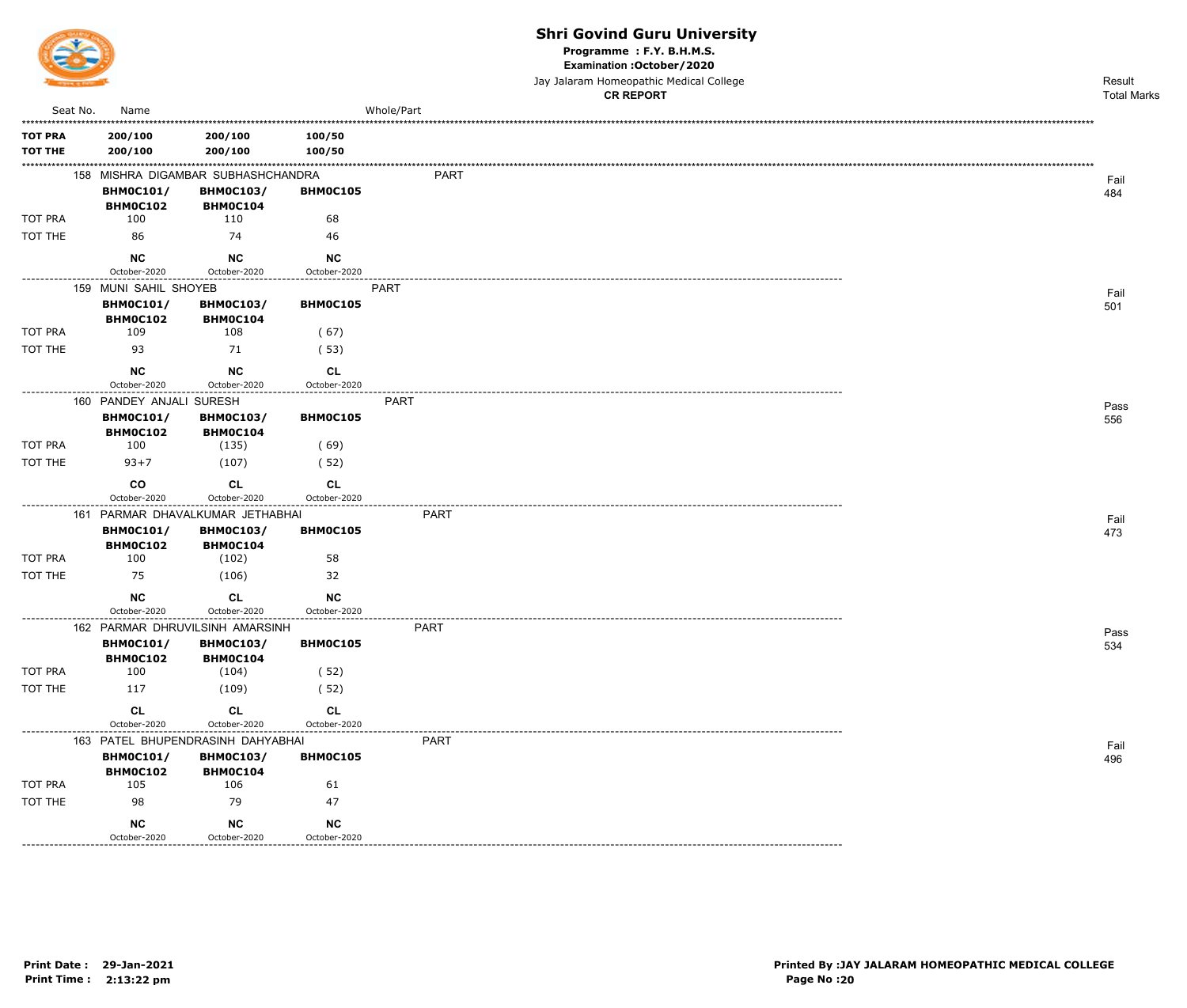

Programme : F.Y. B.H.M.S.

Examination : October / 2020

Jay Jalaram Homeopathic Medical College

|                   |                                     |                                     |                    |             | <b>CR REPORT</b> | <b>Total Marks</b> |
|-------------------|-------------------------------------|-------------------------------------|--------------------|-------------|------------------|--------------------|
| Seat No.          | Name                                |                                     |                    | Whole/Part  |                  |                    |
| <b>TOT PRA</b>    | 200/100                             | 200/100                             | 100/50             |             |                  |                    |
| <b>TOT THE</b>    | 200/100                             | 200/100                             | 100/50             |             |                  |                    |
|                   |                                     | 158 MISHRA DIGAMBAR SUBHASHCHANDRA  |                    | PART        |                  | Fail               |
|                   | <b>BHM0C101/</b>                    | <b>BHM0C103/</b>                    | <b>BHM0C105</b>    |             |                  | 484                |
|                   | BHM0C102                            | <b>BHM0C104</b>                     |                    |             |                  |                    |
| TOT PRA           | 100                                 | 110                                 | 68                 |             |                  |                    |
| TOT THE           | 86                                  | 74                                  | 46                 |             |                  |                    |
|                   | <b>NC</b>                           | <b>NC</b>                           | <b>NC</b>          |             |                  |                    |
|                   | October-2020                        | October-2020                        | October-2020       |             |                  |                    |
|                   | 159 MUNI SAHIL SHOYEB               |                                     |                    | PART        |                  | Fail               |
|                   | <b>BHM0C101/</b><br><b>BHM0C102</b> | <b>BHM0C103/</b><br><b>BHM0C104</b> | BHM0C105           |             |                  | 501                |
| <b>TOT PRA</b>    | 109                                 | 108                                 | (67)               |             |                  |                    |
| TOT THE           | 93                                  | 71                                  | (53)               |             |                  |                    |
|                   | NC                                  | <b>NC</b>                           |                    |             |                  |                    |
|                   | October-2020                        | October-2020                        | CL<br>October-2020 |             |                  |                    |
|                   | 160 PANDEY ANJALI SURESH            |                                     | ---------------    | <b>PART</b> |                  | Pass               |
|                   | <b>BHM0C101/</b>                    | <b>BHM0C103/</b>                    | BHM0C105           |             |                  | 556                |
|                   | <b>BHM0C102</b>                     | <b>BHM0C104</b>                     |                    |             |                  |                    |
| TOT PRA           | 100                                 | (135)                               | (69)               |             |                  |                    |
| TOT THE           | $93 + 7$                            | (107)                               | (52)               |             |                  |                    |
|                   | co                                  | <b>CL</b>                           | CL                 |             |                  |                    |
| ----------------- | October-2020                        | October-2020                        | October-2020       |             |                  |                    |
|                   |                                     | 161 PARMAR DHAVALKUMAR JETHABHAI    |                    | <b>PART</b> |                  | Fail               |
|                   | <b>BHM0C101/</b><br><b>BHM0C102</b> | <b>BHM0C103/</b><br><b>BHM0C104</b> | <b>BHM0C105</b>    |             |                  | 473                |
| TOT PRA           | 100                                 | (102)                               | 58                 |             |                  |                    |
| TOT THE           | 75                                  | (106)                               | 32                 |             |                  |                    |
|                   | NC                                  | CL                                  | <b>NC</b>          |             |                  |                    |
|                   | October-2020                        | October-2020                        | October-2020       |             |                  |                    |
|                   |                                     | 162 PARMAR DHRUVILSINH AMARSINH     |                    | <b>PART</b> |                  | Pass               |
|                   | <b>BHM0C101/</b>                    | <b>BHM0C103/</b>                    | BHM0C105           |             |                  | 534                |
|                   | BHM0C102                            | <b>BHM0C104</b>                     |                    |             |                  |                    |
| TOT PRA           | 100                                 | (104)                               | (52)               |             |                  |                    |
| TOT THE           | 117                                 | (109)                               | (52)               |             |                  |                    |
|                   | CL                                  | <b>CL</b>                           | <b>CL</b>          |             |                  |                    |
|                   | October-2020                        | October-2020                        | October-2020       |             |                  |                    |
|                   |                                     | 163 PATEL BHUPENDRASINH DAHYABHAI   |                    | <b>PART</b> |                  | Fail               |
|                   | <b>BHM0C101/</b><br>BHM0C102        | <b>BHM0C103/</b><br><b>BHM0C104</b> | BHM0C105           |             |                  | 496                |
| TOT PRA           | 105                                 | 106                                 | 61                 |             |                  |                    |
| TOT THE           | 98                                  | 79                                  | 47                 |             |                  |                    |
|                   | $NC$                                | <b>NC</b>                           | <b>NC</b>          |             |                  |                    |
|                   | October-2020                        | October-2020                        | October-2020       |             |                  |                    |
|                   |                                     |                                     |                    |             |                  |                    |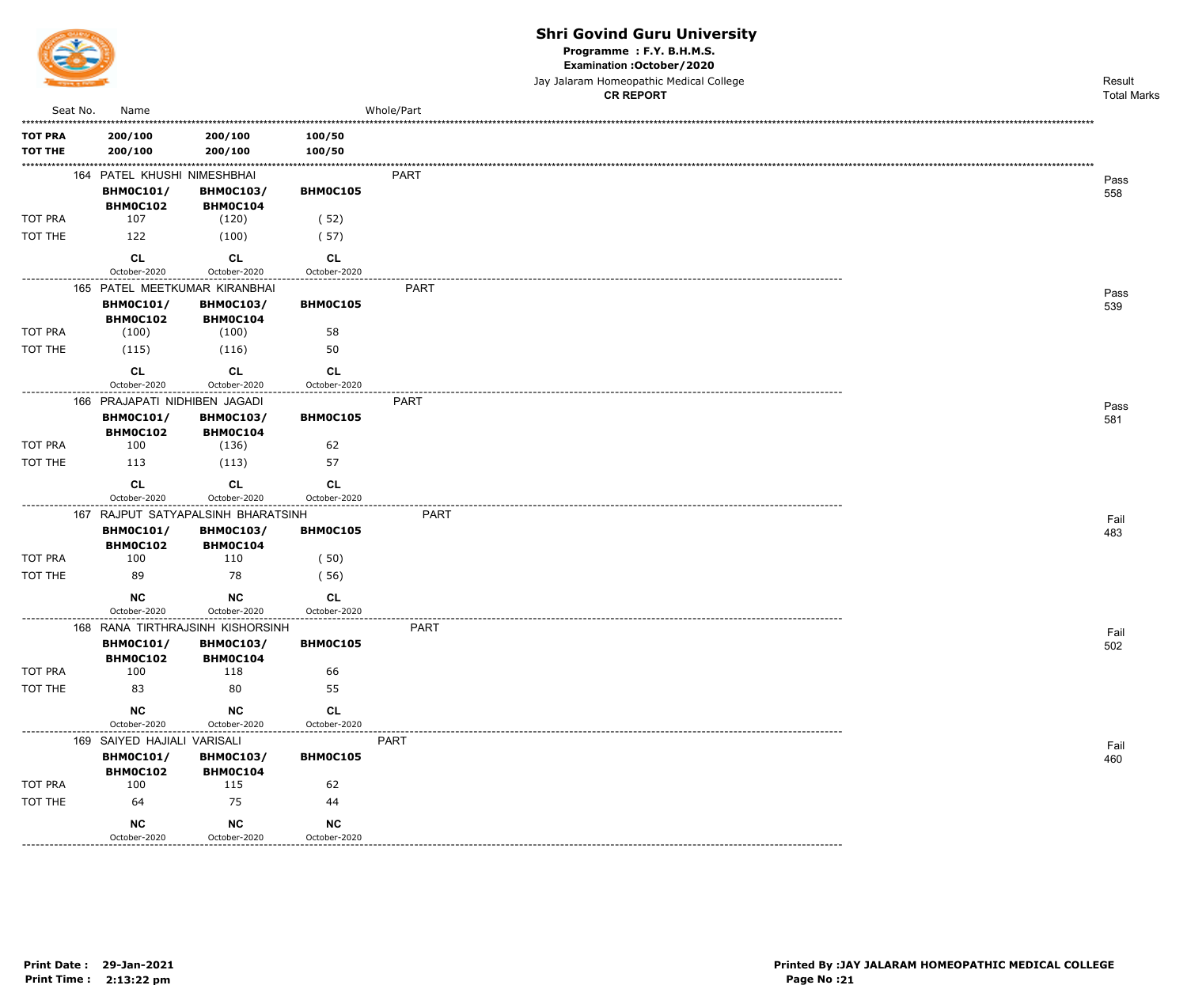

Programme : F.Y. B.H.M.S.

Examination : October / 2020

Jay Jalaram Homeopathic Medical College

|                  |                               |                                    |                           | <b>CR REPORT</b> | <b>Total Marks</b> |
|------------------|-------------------------------|------------------------------------|---------------------------|------------------|--------------------|
| Seat No.         | Name                          |                                    |                           | Whole/Part       |                    |
| <b>TOT PRA</b>   | 200/100                       | 200/100                            | 100/50                    |                  |                    |
| <b>TOT THE</b>   | 200/100                       | 200/100                            | 100/50                    |                  |                    |
|                  | 164 PATEL KHUSHI NIMESHBHAI   |                                    |                           | PART             |                    |
|                  | <b>BHM0C101/</b>              | <b>BHM0C103/</b>                   | BHM0C105                  |                  | Pass<br>558        |
|                  | BHM0C102                      | BHMOC104                           |                           |                  |                    |
| TOT PRA          | 107                           | (120)                              | (52)                      |                  |                    |
| TOT THE          | 122                           | (100)                              | (57)                      |                  |                    |
|                  | CL                            | <b>CL</b>                          | CL                        |                  |                    |
|                  | October-2020                  | October-2020                       | October-2020              |                  |                    |
|                  | 165 PATEL MEETKUMAR KIRANBHAI |                                    |                           | <b>PART</b>      | Pass               |
|                  | <b>BHM0C101/</b>              | <b>BHM0C103/</b>                   | BHM0C105                  |                  | 539                |
| TOT PRA          | BHM0C102<br>(100)             | BHM0C104<br>(100)                  | 58                        |                  |                    |
| TOT THE          | (115)                         | (116)                              | 50                        |                  |                    |
|                  |                               |                                    |                           |                  |                    |
|                  | <b>CL</b><br>October-2020     | <b>CL</b><br>October-2020          | <b>CL</b><br>October-2020 |                  |                    |
| ---------------- | 166 PRAJAPATI NIDHIBEN JAGADI |                                    | -----------------         | PART             |                    |
|                  | <b>BHM0C101/</b>              | <b>BHM0C103/</b>                   | BHM0C105                  |                  | Pass<br>581        |
|                  | <b>BHM0C102</b>               | BHM0C104                           |                           |                  |                    |
| TOT PRA          | 100                           | (136)                              | 62                        |                  |                    |
| TOT THE          | 113                           | (113)                              | 57                        |                  |                    |
|                  | <b>CL</b>                     | <b>CL</b>                          | CL                        |                  |                    |
|                  | October-2020                  | October-2020                       | October-2020              |                  |                    |
|                  |                               | 167 RAJPUT SATYAPALSINH BHARATSINH |                           | <b>PART</b>      | Fail               |
|                  | <b>BHM0C101/</b>              | <b>BHM0C103/</b>                   | BHM0C105                  |                  | 483                |
| TOT PRA          | <b>BHM0C102</b><br>100        | BHM0C104<br>110                    | (50)                      |                  |                    |
| TOT THE          | 89                            | 78                                 | (56)                      |                  |                    |
|                  | <b>NC</b>                     | <b>NC</b>                          | CL                        |                  |                    |
|                  | October-2020                  | October-2020                       | October-2020              |                  |                    |
|                  |                               | 168 RANA TIRTHRAJSINH KISHORSINH   | ----------------------    | <b>PART</b>      | Fail               |
|                  | <b>BHM0C101/</b>              | <b>BHM0C103/</b>                   | BHM0C105                  |                  | 502                |
|                  | <b>BHM0C102</b>               | BHM0C104                           |                           |                  |                    |
| TOT PRA          | 100                           | 118                                | 66                        |                  |                    |
| TOT THE          | 83                            | 80                                 | 55                        |                  |                    |
|                  | NC                            | $NC$                               | CL                        |                  |                    |
|                  | October-2020                  | October-2020                       | October-2020              |                  |                    |
|                  | 169 SAIYED HAJIALI VARISALI   |                                    |                           | PART             | Fail               |
|                  | <b>BHM0C101/</b><br>BHM0C102  | <b>BHM0C103/</b><br>BHM0C104       | BHM0C105                  |                  | 460                |
| TOT PRA          | 100                           | 115                                | 62                        |                  |                    |
| TOT THE          | 64                            | 75                                 | 44                        |                  |                    |
|                  | <b>NC</b>                     | $NC$                               | ${\sf NC}$                |                  |                    |
|                  | October-2020                  | October-2020                       | October-2020              |                  |                    |
|                  |                               |                                    |                           |                  |                    |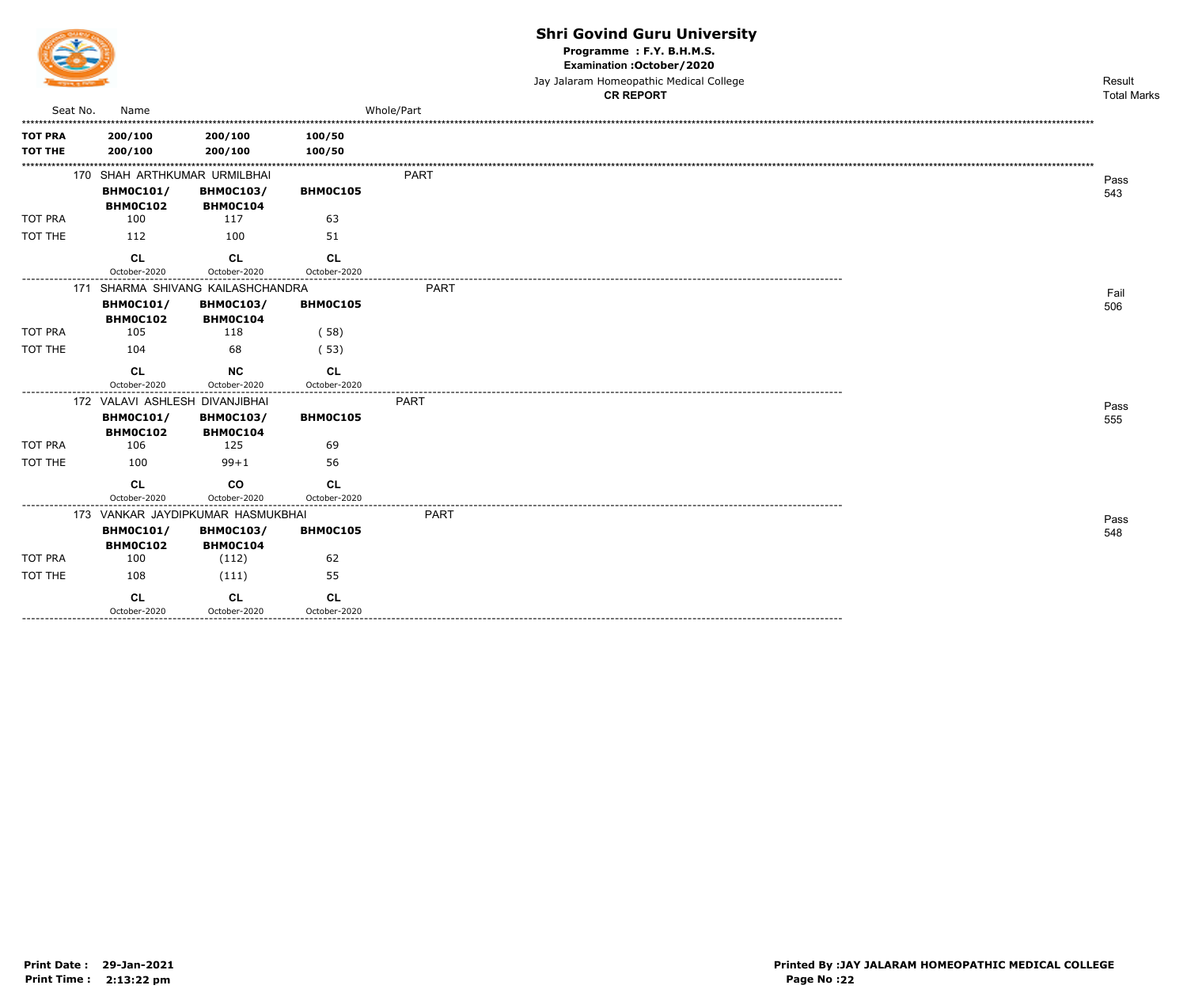

Programme : F.Y. B.H.M.S.

Examination : October / 2020

Jay Jalaram Homeopathic Medical College<br>CR RFPORT

|                                  |                                                                |                                   |                           | <b>CR REPORT</b> | <b>Total Marks</b> |
|----------------------------------|----------------------------------------------------------------|-----------------------------------|---------------------------|------------------|--------------------|
| Seat No.                         | Name                                                           |                                   |                           | Whole/Part       |                    |
| <b>TOT PRA</b><br><b>TOT THE</b> | 200/100<br>200/100                                             | 200/100<br>200/100                | 100/50<br>100/50          |                  |                    |
|                                  | 170 SHAH ARTHKUMAR URMILBHAI                                   |                                   |                           | <b>PART</b>      | Pass               |
|                                  | <b>BHM0C101/</b><br>BHM0C102                                   | <b>BHM0C103/</b><br>BHM0C104      | BHM0C105                  |                  | 543                |
| <b>TOT PRA</b>                   | 100                                                            | 117                               | 63                        |                  |                    |
| TOT THE                          | 112                                                            | 100                               | 51                        |                  |                    |
|                                  | <b>CL</b><br>October-2020                                      | <b>CL</b><br>October-2020         | CL<br>October-2020        |                  |                    |
|                                  |                                                                | 171 SHARMA SHIVANG KAILASHCHANDRA |                           | <b>PART</b>      | Fail               |
|                                  | <b>BHMOC101/</b><br>BHM0C102                                   | <b>BHM0C103/</b><br>BHM0C104      | <b>BHM0C105</b>           |                  | 506                |
| <b>TOT PRA</b>                   | 105                                                            | 118                               | (58)                      |                  |                    |
| TOT THE                          | 104                                                            | 68                                | (53)                      |                  |                    |
|                                  | <b>CL</b><br>October-2020                                      | <b>NC</b><br>October-2020         | CL<br>October-2020        |                  |                    |
|                                  | 172 VALAVI ASHLESH DIVANJIBHAI<br><b>BHM0C101/</b><br>BHM0C102 | <b>BHM0C103/</b><br>BHM0C104      | BHM0C105                  | <b>PART</b>      | Pass<br>555        |
| TOT PRA                          | 106                                                            | 125                               | 69                        |                  |                    |
| TOT THE                          | 100                                                            | $99 + 1$                          | 56                        |                  |                    |
|                                  | <b>CL</b><br>October-2020                                      | <b>CO</b><br>October-2020         | <b>CL</b><br>October-2020 |                  |                    |
|                                  |                                                                | 173 VANKAR JAYDIPKUMAR HASMUKBHAI | .                         | PART             | Pass               |
|                                  | <b>BHM0C101/</b><br>BHM0C102                                   | <b>BHM0C103/</b><br>BHM0C104      | <b>BHM0C105</b>           |                  | 548                |
| <b>TOT PRA</b>                   | 100                                                            | (112)                             | 62                        |                  |                    |
| TOT THE                          | 108                                                            | (111)                             | 55                        |                  |                    |
|                                  | <b>CL</b><br>October-2020                                      | CL<br>October-2020                | CL<br>October-2020        |                  |                    |
| --------------------             |                                                                |                                   |                           |                  |                    |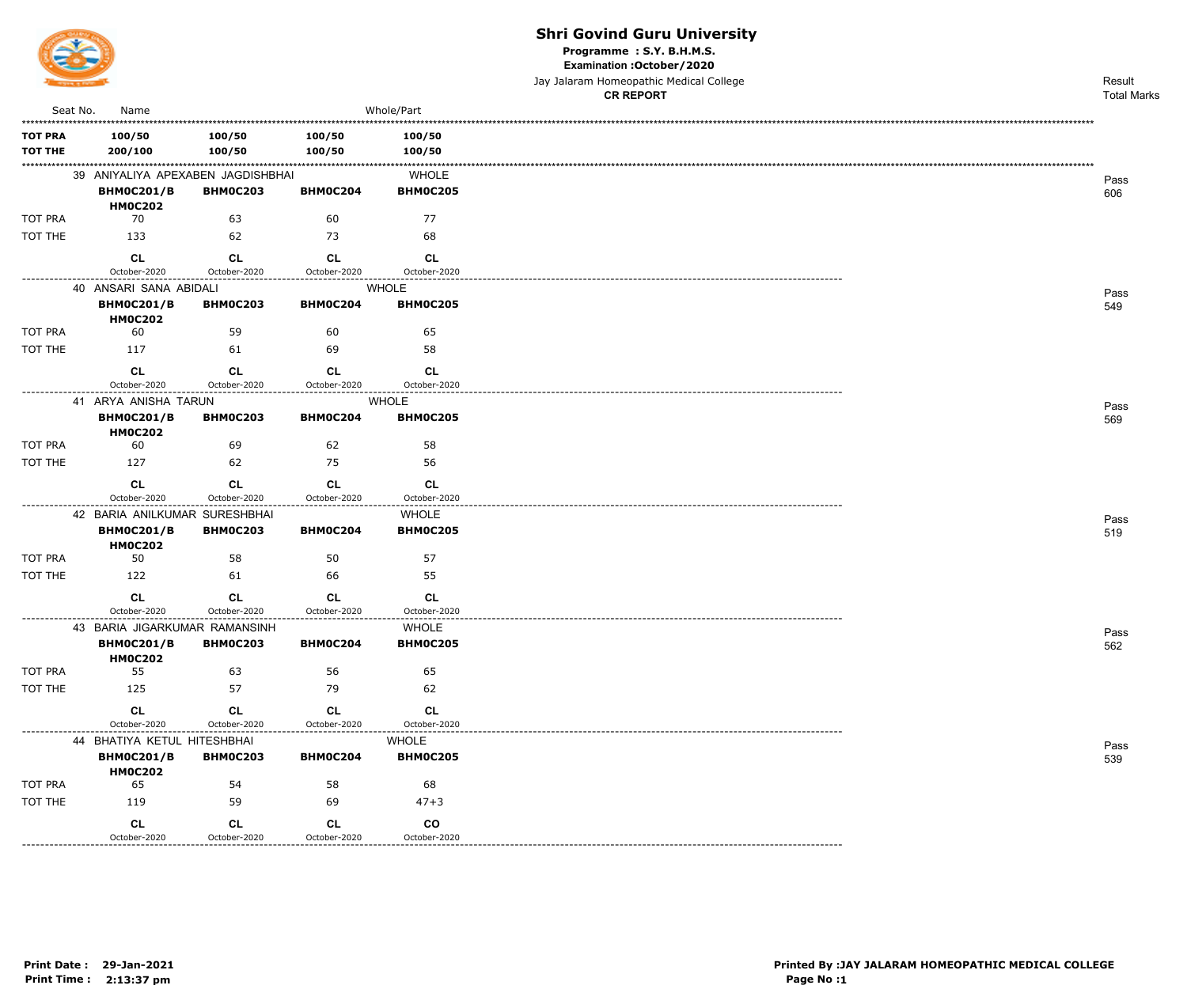

Programme : S.Y. B.H.M.S.

Examination : October / 2020

Jay Jalaram Homeopathic Medical College

|                           |                                               |                    |                    |                              | <b>CR REPORT</b> | <b>Total Marks</b> |
|---------------------------|-----------------------------------------------|--------------------|--------------------|------------------------------|------------------|--------------------|
| Seat No.                  | Name                                          |                    |                    | Whole/Part                   |                  |                    |
| <b>TOT PRA</b>            | 100/50                                        | 100/50             | 100/50             | 100/50                       |                  |                    |
| TOT THE                   | 200/100                                       | 100/50             | 100/50             | 100/50                       |                  |                    |
|                           | 39 ANIYALIYA APEXABEN JAGDISHBHAI             |                    |                    | <b>WHOLE</b>                 |                  | Pass               |
|                           | <b>BHM0C201/B</b>                             | <b>BHM0C203</b>    | BHM0C204           | <b>BHM0C205</b>              |                  | 606                |
|                           | <b>HM0C202</b>                                |                    |                    |                              |                  |                    |
| <b>TOT PRA</b><br>TOT THE | 70<br>133                                     | 63<br>62           | 60<br>73           | 77<br>68                     |                  |                    |
|                           |                                               |                    |                    |                              |                  |                    |
|                           | CL<br>October-2020                            | CL<br>October-2020 | CL<br>October-2020 | <b>CL</b><br>October-2020    |                  |                    |
| -----------               | 40 ANSARI SANA ABIDALI                        |                    |                    | <b>WHOLE</b>                 |                  |                    |
|                           | <b>BHM0C201/B</b><br><b>HM0C202</b>           | <b>BHM0C203</b>    | <b>BHM0C204</b>    | <b>BHM0C205</b>              |                  | Pass<br>549        |
| <b>TOT PRA</b>            | 60                                            | 59                 | 60                 | 65                           |                  |                    |
| TOT THE                   | 117                                           | 61                 | 69                 | 58                           |                  |                    |
|                           | CL                                            | CL                 | CL                 | <b>CL</b>                    |                  |                    |
| ------------------        | October-2020                                  | October-2020       | October-2020       | October-2020                 |                  |                    |
|                           | 41 ARYA ANISHA TARUN                          |                    |                    | <b>WHOLE</b>                 |                  | Pass               |
|                           | <b>BHM0C201/B</b><br><b>HM0C202</b>           | <b>BHM0C203</b>    | <b>BHM0C204</b>    | <b>BHM0C205</b>              |                  | 569                |
| <b>TOT PRA</b>            | 60                                            | 69                 | 62                 | 58                           |                  |                    |
| TOT THE                   | 127                                           | 62                 | 75                 | 56                           |                  |                    |
|                           | CL                                            | <b>CL</b>          | <b>CL</b>          | <b>CL</b>                    |                  |                    |
|                           | October-2020                                  | October-2020       | October-2020       | October-2020                 |                  |                    |
|                           | 42 BARIA ANILKUMAR SURESHBHAI                 |                    |                    | WHOLE                        |                  | Pass               |
|                           | <b>BHM0C201/B</b><br><b>HM0C202</b>           | <b>BHM0C203</b>    | BHM0C204           | <b>BHM0C205</b>              |                  | 519                |
| TOT PRA                   | 50                                            | 58                 | 50                 | 57                           |                  |                    |
| TOT THE                   | 122                                           | 61                 | 66                 | 55                           |                  |                    |
|                           | <b>CL</b>                                     | <b>CL</b>          | <b>CL</b>          | <b>CL</b>                    |                  |                    |
|                           | October-2020<br>43 BARIA JIGARKUMAR RAMANSINH | October-2020       | October-2020<br>.  | October-2020<br><b>WHOLE</b> |                  |                    |
|                           | <b>BHM0C201/B</b><br><b>HM0C202</b>           | <b>BHM0C203</b>    | BHM0C204           | <b>BHM0C205</b>              |                  | Pass<br>562        |
| TOT PRA                   | 55                                            | 63                 | 56                 | 65                           |                  |                    |
| TOT THE                   | 125                                           | 57                 | 79                 | 62                           |                  |                    |
|                           | CL                                            | <b>CL</b>          | <b>CL</b>          | <b>CL</b>                    |                  |                    |
| .                         | October-2020                                  | October-2020       | October-2020       | October-2020                 |                  |                    |
|                           | 44 BHATIYA KETUL HITESHBHAI                   |                    |                    | <b>WHOLE</b>                 |                  | Pass               |
|                           | <b>BHM0C201/B</b><br><b>HM0C202</b>           | <b>BHM0C203</b>    | BHM0C204           | <b>BHM0C205</b>              |                  | 539                |
| TOT PRA                   | 65                                            | 54                 | 58                 | 68                           |                  |                    |
| TOT THE                   | 119                                           | 59                 | 69                 | $47 + 3$                     |                  |                    |
|                           | <b>CL</b>                                     | <b>CL</b>          | CL                 | co                           |                  |                    |
|                           | October-2020                                  | October-2020       | October-2020       | October-2020                 |                  |                    |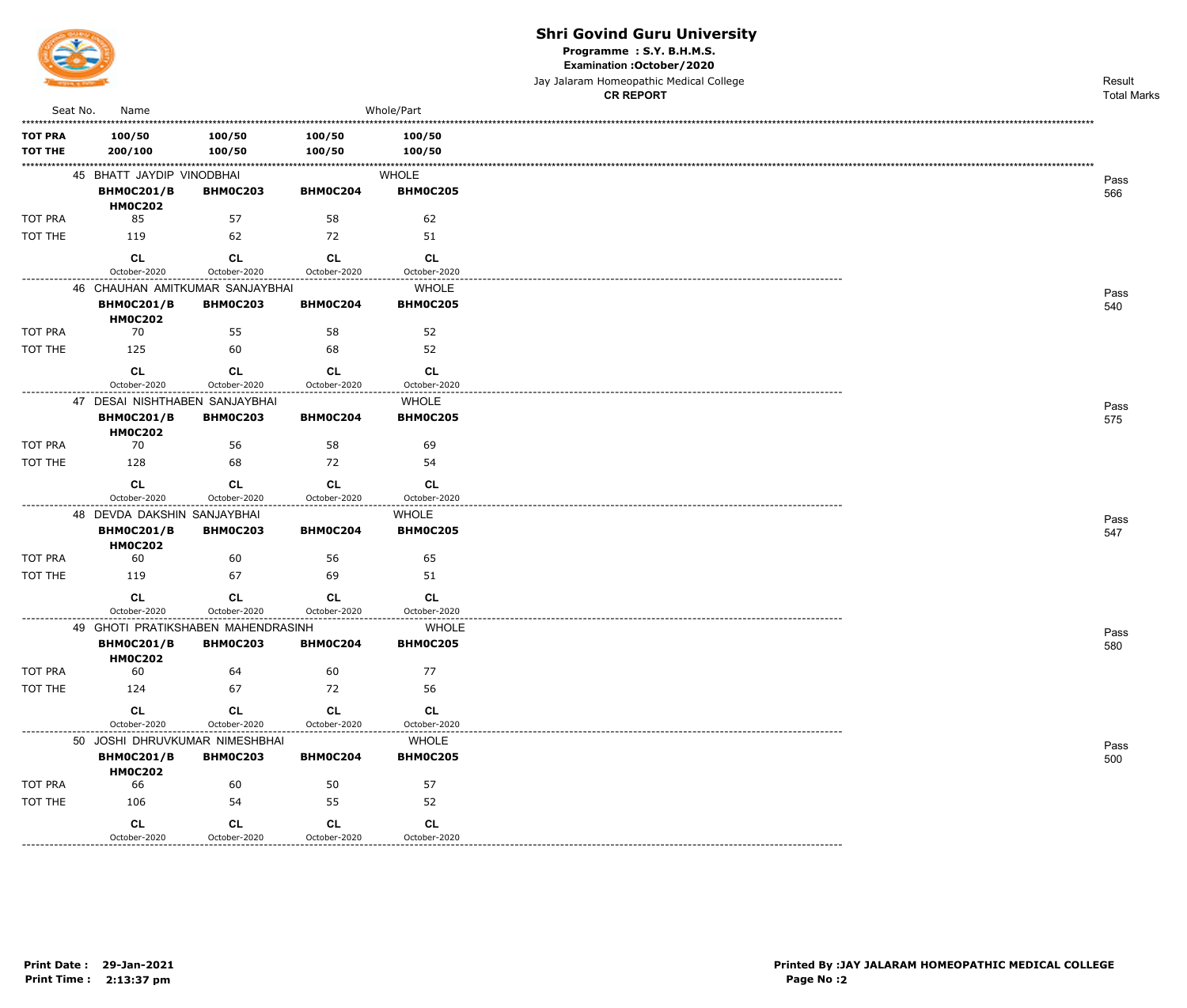

-------------

#### **Shri Govind Guru University**

Programme : S.Y. B.H.M.S.

Examination : October / 2020

|                                  |                                     |                                                   |                           |                                 | Jay Jalaram Homeopathic Medical College<br><b>CR REPORT</b> | Result<br><b>Total Marks</b> |
|----------------------------------|-------------------------------------|---------------------------------------------------|---------------------------|---------------------------------|-------------------------------------------------------------|------------------------------|
| Seat No.                         | Name                                |                                                   |                           | Whole/Part                      |                                                             |                              |
| <b>TOT PRA</b><br><b>TOT THE</b> | 100/50<br>200/100                   | 100/50<br>100/50                                  | 100/50<br>100/50          | 100/50<br>100/50                |                                                             |                              |
|                                  | 45 BHATT JAYDIP VINODBHAI           |                                                   |                           | <b>WHOLE</b>                    |                                                             | Pass                         |
|                                  | <b>BHM0C201/B</b><br><b>HM0C202</b> | BHM0C203                                          | BHM0C204                  | <b>BHM0C205</b>                 |                                                             | 566                          |
| <b>TOT PRA</b>                   | 85                                  | 57                                                | 58                        | 62                              |                                                             |                              |
| TOT THE                          | 119                                 | 62                                                | 72                        | 51                              |                                                             |                              |
|                                  | <b>CL</b>                           | <b>CL</b>                                         | <b>CL</b>                 | <b>CL</b>                       |                                                             |                              |
|                                  | October-2020                        | October-2020                                      | October-2020              | October-2020                    |                                                             |                              |
|                                  |                                     | 46 CHAUHAN AMITKUMAR SANJAYBHAI                   |                           | <b>WHOLE</b>                    |                                                             | Pass                         |
|                                  | <b>BHM0C201/B</b><br><b>HM0C202</b> | <b>BHM0C203</b>                                   | <b>BHM0C204</b>           | <b>BHM0C205</b>                 |                                                             | 540                          |
| TOT PRA                          | 70                                  | 55                                                | 58                        | 52                              |                                                             |                              |
| TOT THE                          | 125                                 | 60                                                | 68                        | 52                              |                                                             |                              |
|                                  | CL<br>October-2020                  | CL<br>October-2020                                | CL<br>October-2020        | <b>CL</b><br>October-2020       |                                                             |                              |
|                                  |                                     | 47 DESAI NISHTHABEN SANJAYBHAI                    |                           | <b>WHOLE</b>                    |                                                             |                              |
|                                  | <b>BHM0C201/B</b><br><b>HM0C202</b> | <b>BHM0C203</b>                                   | BHM0C204                  | BHM0C205                        |                                                             | Pass<br>575                  |
| <b>TOT PRA</b>                   | 70                                  | 56                                                | 58                        | 69                              |                                                             |                              |
| TOT THE                          | 128                                 | 68                                                | 72                        | 54                              |                                                             |                              |
|                                  | <b>CL</b>                           | <b>CL</b>                                         | CL                        | <b>CL</b>                       |                                                             |                              |
|                                  | October-2020                        | October-2020                                      | October-2020              | October-2020                    |                                                             |                              |
|                                  | 48 DEVDA DAKSHIN SANJAYBHAI         |                                                   |                           | <b>WHOLE</b>                    |                                                             | Pass                         |
|                                  | <b>BHM0C201/B</b><br><b>HM0C202</b> | <b>BHM0C203</b>                                   | BHM0C204                  | <b>BHM0C205</b>                 |                                                             | 547                          |
| TOT PRA                          | 60                                  | 60                                                | 56                        | 65                              |                                                             |                              |
| TOT THE                          | 119                                 | 67                                                | 69                        | 51                              |                                                             |                              |
|                                  | <b>CL</b><br>October-2020           | <b>CL</b><br>October-2020                         | <b>CL</b><br>October-2020 | <b>CL</b><br>October-2020       |                                                             |                              |
|                                  |                                     | 49 GHOTI PRATIKSHABEN MAHENDRASINH                |                           | WHOLE                           |                                                             | Pass                         |
|                                  | <b>BHM0C201/B</b><br><b>HM0C202</b> | <b>BHM0C203</b>                                   | <b>BHM0C204</b>           | <b>BHM0C205</b>                 |                                                             | 580                          |
| TOT PRA                          | 60                                  | 64                                                | 60                        | 77                              |                                                             |                              |
| TOT THE                          | 124                                 | 67                                                | 72                        | 56                              |                                                             |                              |
|                                  | CL                                  | CL                                                | CL                        | CL                              |                                                             |                              |
|                                  | October-2020                        | October-2020                                      | October-2020              | October-2020                    |                                                             |                              |
|                                  | <b>BHM0C201/B</b><br><b>HM0C202</b> | 50 JOSHI DHRUVKUMAR NIMESHBHAI<br><b>BHM0C203</b> | <b>BHM0C204</b>           | <b>WHOLE</b><br><b>BHM0C205</b> |                                                             | Pass<br>500                  |
| TOT PRA                          | 66                                  | 60                                                | 50                        | 57                              |                                                             |                              |
| TOT THE                          | 106                                 | 54                                                | 55                        | 52                              |                                                             |                              |
|                                  | CL                                  | CL                                                | CL                        | CL                              |                                                             |                              |

October-2020

October-2020

October-2020

October-2020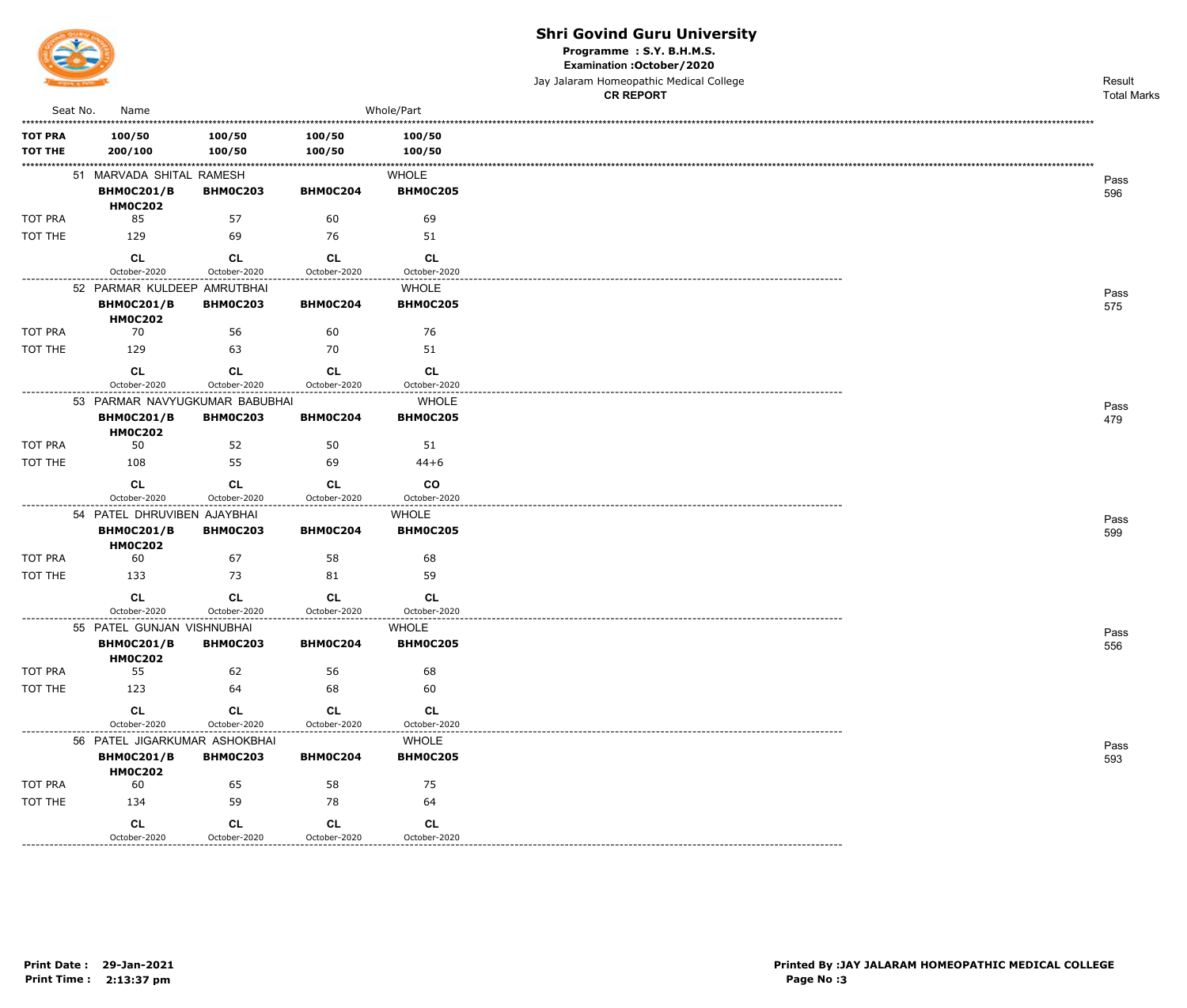

TOT THE

---------------

#### **Shri Govind Guru University**

Programme : S.Y. B.H.M.S.

Examination : October / 2020

|                                  |                                                                 |                           |                           |                                 | Jay Jalaram Homeopathic Medical College<br><b>CR REPORT</b> | Result<br><b>Total Marks</b> |
|----------------------------------|-----------------------------------------------------------------|---------------------------|---------------------------|---------------------------------|-------------------------------------------------------------|------------------------------|
| Seat No.                         | Name                                                            |                           |                           | Whole/Part                      |                                                             |                              |
| <b>TOT PRA</b><br><b>TOT THE</b> | 100/50<br>200/100                                               | 100/50<br>100/50          | 100/50<br>100/50          | 100/50<br>100/50                |                                                             |                              |
|                                  | 51 MARVADA SHITAL RAMESH<br><b>BHM0C201/B</b><br><b>HM0C202</b> | <b>BHM0C203</b>           | BHM0C204                  | <b>WHOLE</b><br><b>BHM0C205</b> |                                                             | Pass<br>596                  |
| <b>TOT PRA</b>                   | 85                                                              | 57                        | 60                        | 69                              |                                                             |                              |
| TOT THE                          | 129                                                             | 69                        | 76                        | 51                              |                                                             |                              |
| ----------------                 | <b>CL</b><br>October-2020                                       | <b>CL</b><br>October-2020 | <b>CL</b><br>October-2020 | <b>CL</b><br>October-2020       |                                                             |                              |
|                                  | 52 PARMAR KULDEEP AMRUTBHAI                                     |                           |                           | <b>WHOLE</b>                    |                                                             | Pass                         |
|                                  | <b>BHM0C201/B</b><br><b>HM0C202</b>                             | <b>BHM0C203</b>           | BHM0C204                  | <b>BHM0C205</b>                 |                                                             | 575                          |
| TOT PRA                          | 70                                                              | 56                        | 60                        | 76                              |                                                             |                              |
| TOT THE                          | 129                                                             | 63                        | 70                        | 51                              |                                                             |                              |
|                                  | CL                                                              | <b>CL</b>                 | CL                        | CL                              |                                                             |                              |
|                                  | October-2020                                                    | October-2020              | October-2020              | October-2020                    |                                                             |                              |
|                                  | 53 PARMAR NAVYUGKUMAR BABUBHAI                                  |                           |                           | <b>WHOLE</b>                    |                                                             | Pass                         |
|                                  | <b>BHM0C201/B</b><br><b>HM0C202</b>                             | <b>BHM0C203</b>           | BHM0C204                  | <b>BHM0C205</b>                 |                                                             | 479                          |
| <b>TOT PRA</b>                   | 50                                                              | 52                        | 50                        | 51                              |                                                             |                              |
| TOT THE                          | 108                                                             | 55                        | 69                        | $44 + 6$                        |                                                             |                              |
|                                  | <b>CL</b>                                                       | <b>CL</b>                 | CL                        | $_{\rm CO}$                     |                                                             |                              |
|                                  | October-2020                                                    | October-2020              | October-2020              | October-2020                    |                                                             |                              |
|                                  | 54 PATEL DHRUVIBEN AJAYBHAI                                     |                           |                           | <b>WHOLE</b>                    |                                                             | Pass                         |
|                                  | <b>BHM0C201/B</b><br><b>HM0C202</b>                             | <b>BHM0C203</b>           | BHM0C204                  | <b>BHM0C205</b>                 |                                                             | 599                          |
| <b>TOT PRA</b>                   | 60                                                              | 67                        | 58                        | 68                              |                                                             |                              |
| TOT THE                          | 133                                                             | 73                        | 81                        | 59                              |                                                             |                              |
|                                  | <b>CL</b>                                                       | CL                        | <b>CL</b>                 | CL                              |                                                             |                              |
|                                  | October-2020                                                    | October-2020              | October-2020              | October-2020                    |                                                             |                              |
|                                  | 55 PATEL GUNJAN VISHNUBHAI<br><b>BHM0C201/B</b>                 | <b>BHM0C203</b>           | <b>BHM0C204</b>           | WHOLE<br><b>BHM0C205</b>        |                                                             | Pass<br>556                  |
|                                  | <b>HM0C202</b>                                                  |                           |                           |                                 |                                                             |                              |
| TOT PRA                          | 55                                                              | 62                        | 56                        | 68                              |                                                             |                              |
| TOT THE                          | 123                                                             | 64                        | 68                        | 60                              |                                                             |                              |
|                                  | <b>CL</b>                                                       | <b>CL</b>                 | CL                        | CL                              |                                                             |                              |
|                                  | October-2020                                                    | October-2020              | October-2020              | October-2020                    |                                                             |                              |
|                                  | 56 PATEL JIGARKUMAR ASHOKBHAI                                   |                           |                           | <b>WHOLE</b>                    |                                                             | Pass                         |
|                                  | <b>BHM0C201/B</b><br><b>HM0C202</b>                             | <b>BHM0C203</b>           | BHM0C204                  | <b>BHM0C205</b>                 |                                                             | 593                          |
| TOT PRA                          | 60                                                              | 65                        | 58                        | 75                              |                                                             |                              |

134

 $CL$ 

October-2020

59

 $CL$ 

October-2020

78

 $CL$ 

October-2020

64

 $CL$ 

October-2020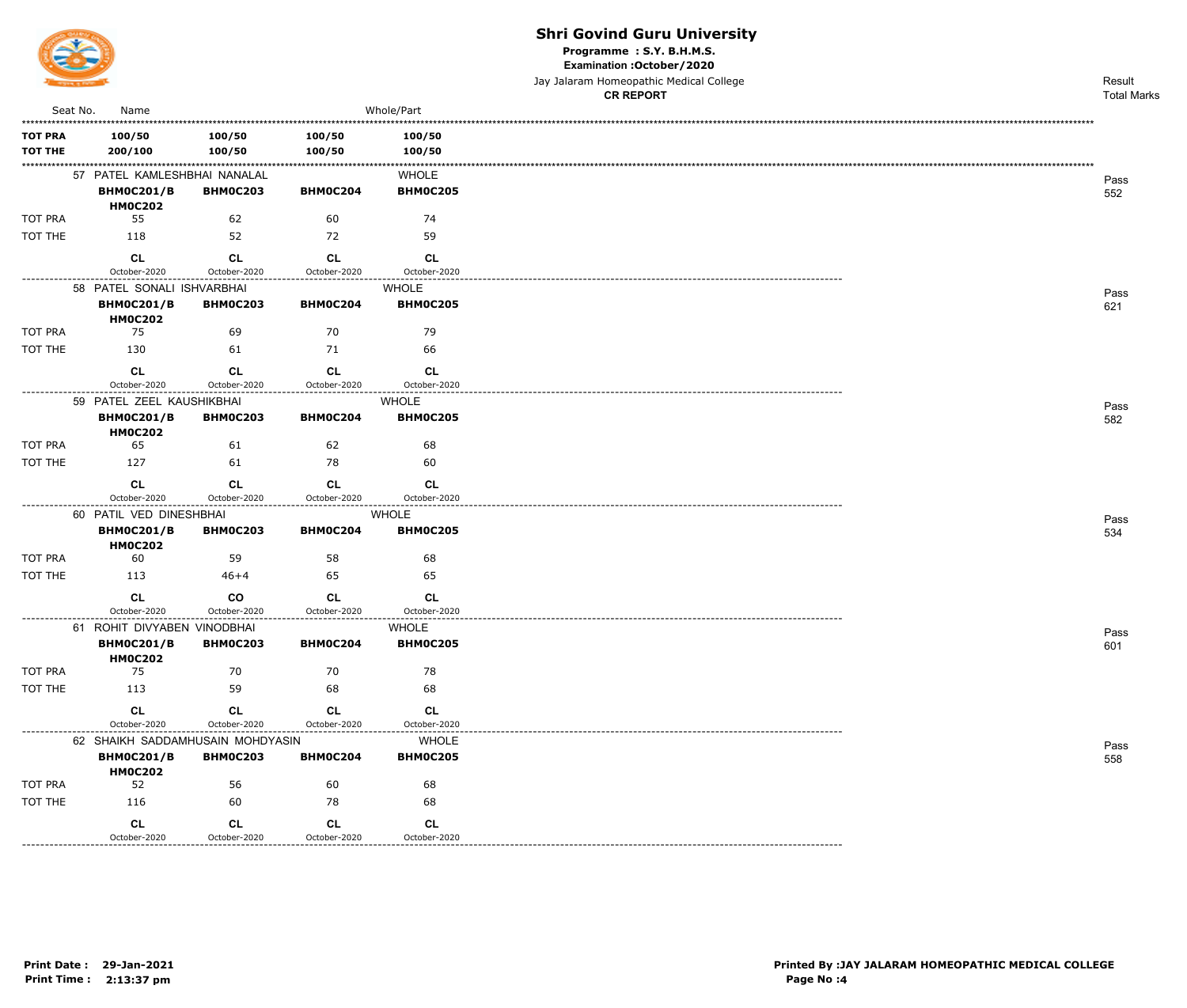

Programme : S.Y. B.H.M.S.

Examination : October / 2020

Jay Jalaram Homeopathic Medical College

|                  |                                                  |                           |                               |                                 | <b>CR REPORT</b> | <b>Total Marks</b> |
|------------------|--------------------------------------------------|---------------------------|-------------------------------|---------------------------------|------------------|--------------------|
| Seat No.         | Name                                             |                           |                               | Whole/Part                      |                  |                    |
| <b>TOT PRA</b>   | 100/50                                           | 100/50                    | 100/50                        | 100/50                          |                  |                    |
| <b>TOT THE</b>   | 200/100                                          | 100/50                    | 100/50                        | 100/50                          |                  |                    |
|                  | 57 PATEL KAMLESHBHAI NANALAL                     |                           |                               | <b>WHOLE</b>                    |                  | Pass               |
|                  | <b>BHM0C201/B</b>                                | <b>BHM0C203</b>           | BHM0C204                      | <b>BHM0C205</b>                 |                  | 552                |
| <b>TOT PRA</b>   | <b>HM0C202</b><br>55                             | 62                        | 60                            | 74                              |                  |                    |
| TOT THE          | 118                                              | 52                        | 72                            | 59                              |                  |                    |
|                  |                                                  |                           |                               |                                 |                  |                    |
|                  | CL<br>October-2020                               | <b>CL</b><br>October-2020 | CL<br>October-2020            | <b>CL</b><br>October-2020       |                  |                    |
|                  | 58 PATEL SONALI ISHVARBHAI                       |                           |                               | <b>WHOLE</b>                    |                  |                    |
|                  | <b>BHM0C201/B</b>                                | <b>BHM0C203</b>           | BHM0C204                      | <b>BHM0C205</b>                 |                  | Pass<br>621        |
|                  | <b>HM0C202</b>                                   |                           |                               |                                 |                  |                    |
| <b>TOT PRA</b>   | 75                                               | 69                        | 70                            | 79                              |                  |                    |
| TOT THE          | 130                                              | 61                        | 71                            | 66                              |                  |                    |
|                  | CL                                               | <b>CL</b>                 | CL                            | <b>CL</b>                       |                  |                    |
| ---------------- | October-2020                                     | October-2020              | October-2020                  | October-2020                    |                  |                    |
|                  | 59 PATEL ZEEL KAUSHIKBHAI                        |                           |                               | <b>WHOLE</b><br><b>BHM0C205</b> |                  | Pass               |
|                  | <b>BHM0C201/B</b><br><b>HM0C202</b>              | <b>BHM0C203</b>           | BHM0C204                      |                                 |                  | 582                |
| <b>TOT PRA</b>   | 65                                               | 61                        | 62                            | 68                              |                  |                    |
| TOT THE          | 127                                              | 61                        | 78                            | 60                              |                  |                    |
|                  | CL                                               | <b>CL</b>                 | CL                            | <b>CL</b>                       |                  |                    |
|                  | October-2020                                     | October-2020              | October-2020                  | October-2020                    |                  |                    |
|                  | 60 PATIL VED DINESHBHAI                          |                           |                               | WHOLE                           |                  | Pass               |
|                  | <b>BHM0C201/B</b><br><b>HM0C202</b>              | <b>BHM0C203</b>           | BHM0C204                      | <b>BHM0C205</b>                 |                  | 534                |
| <b>TOT PRA</b>   | 60                                               | 59                        | 58                            | 68                              |                  |                    |
| TOT THE          | 113                                              | $46 + 4$                  | 65                            | 65                              |                  |                    |
|                  | <b>CL</b>                                        | co                        | <b>CL</b>                     | <b>CL</b>                       |                  |                    |
|                  | October-2020                                     | October-2020              | October-2020                  | October-2020                    |                  |                    |
|                  | 61 ROHIT DIVYABEN VINODBHAI<br><b>BHM0C201/B</b> | <b>BHM0C203</b>           | BHM0C204                      | <b>WHOLE</b><br><b>BHM0C205</b> |                  | Pass               |
|                  | <b>HM0C202</b>                                   |                           |                               |                                 |                  | 601                |
| TOT PRA          | 75                                               | 70                        | 70                            | 78                              |                  |                    |
| TOT THE          | 113                                              | 59                        | 68                            | 68                              |                  |                    |
|                  | <b>CL</b>                                        | CL                        | <b>CL</b>                     | <b>CL</b>                       |                  |                    |
| --------------   | October-2020                                     | October-2020              | October-2020<br>------------- | October-2020                    |                  |                    |
|                  | 62 SHAIKH SADDAMHUSAIN MOHDYASIN                 |                           |                               | WHOLE                           |                  | Pass               |
|                  | <b>BHM0C201/B</b><br><b>HM0C202</b>              | <b>BHM0C203</b>           | BHM0C204                      | <b>BHM0C205</b>                 |                  | 558                |
| <b>TOT PRA</b>   | 52                                               | 56                        | 60                            | 68                              |                  |                    |
| TOT THE          | 116                                              | 60                        | 78                            | 68                              |                  |                    |
|                  | <b>CL</b>                                        | CL                        | <b>CL</b>                     | <b>CL</b>                       |                  |                    |
|                  | October-2020                                     | October-2020              | October-2020                  | October-2020                    |                  |                    |

-----------------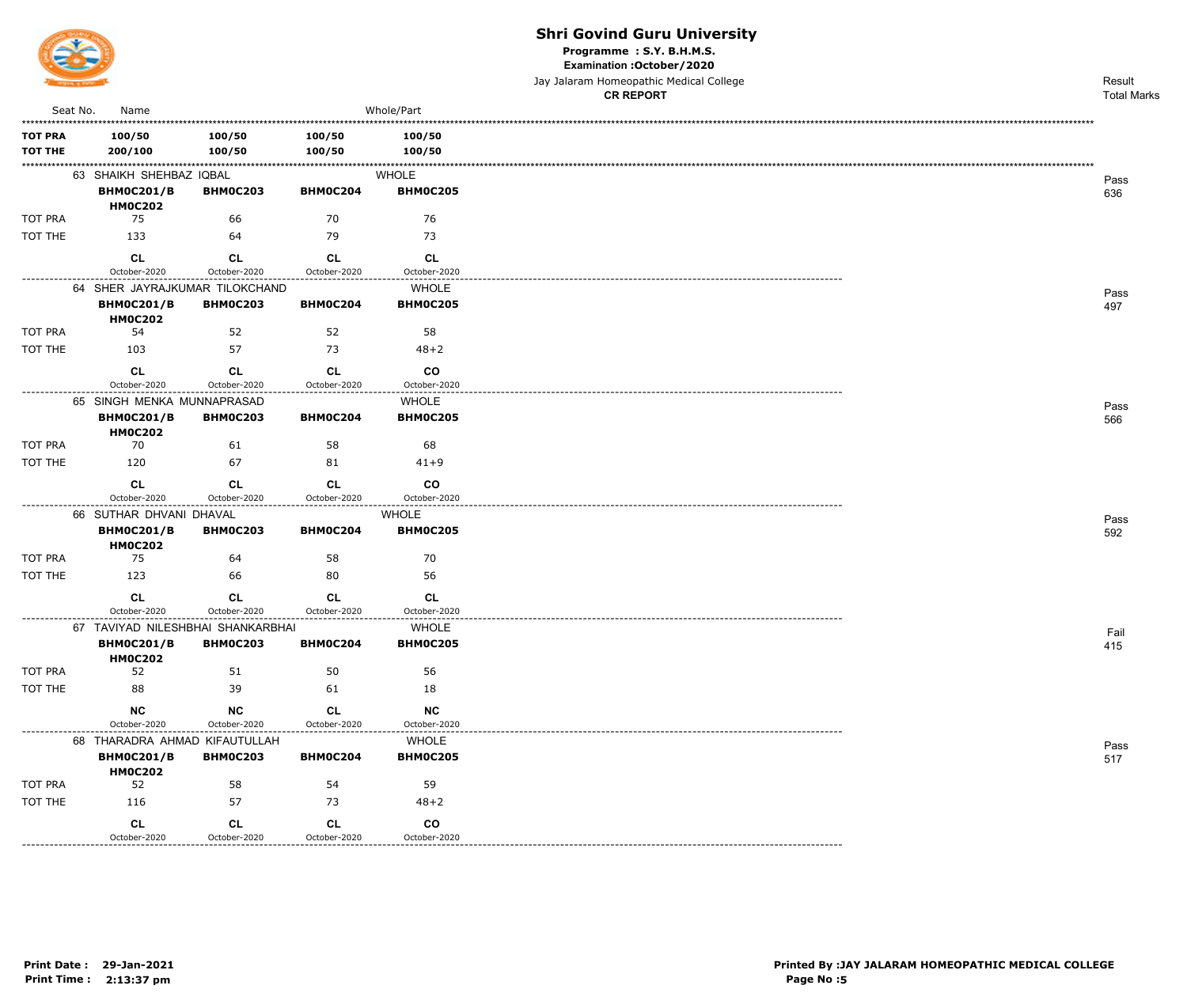

Programme : S.Y. B.H.M.S.

Examination : October / 2020

Jay Jalaram Homeopathic Medical College

|                                  |                                     |                                                       |                                                |                                                             | <b>CR REPORT</b> | <b>Total Marks</b> |
|----------------------------------|-------------------------------------|-------------------------------------------------------|------------------------------------------------|-------------------------------------------------------------|------------------|--------------------|
| Seat No.                         | Name                                |                                                       |                                                | Whole/Part                                                  |                  |                    |
| <b>TOT PRA</b><br><b>TOT THE</b> | 100/50<br>200/100                   | 100/50<br>100/50                                      | 100/50<br>100/50                               | 100/50<br>100/50                                            |                  |                    |
|                                  | 63 SHAIKH SHEHBAZ IQBAL             |                                                       |                                                | WHOLE                                                       |                  | Pass               |
|                                  | <b>BHM0C201/B</b><br><b>HM0C202</b> | <b>BHM0C203</b>                                       | BHM0C204                                       | <b>BHM0C205</b>                                             |                  | 636                |
| TOT PRA                          | 75                                  | 66                                                    | 70                                             | 76                                                          |                  |                    |
| TOT THE                          | 133                                 | 64                                                    | 79                                             | 73                                                          |                  |                    |
|                                  | <b>CL</b><br>October-2020           | <b>CL</b><br>October-2020                             | <b>CL</b><br>October-2020                      | <b>CL</b><br>October-2020                                   |                  |                    |
|                                  |                                     | 64 SHER JAYRAJKUMAR TILOKCHAND                        |                                                | WHOLE                                                       |                  | Pass               |
|                                  | <b>BHM0C201/B</b><br><b>HM0C202</b> | <b>BHM0C203</b>                                       | BHM0C204                                       | <b>BHM0C205</b>                                             |                  | 497                |
| TOT PRA                          | 54                                  | 52                                                    | 52                                             | 58                                                          |                  |                    |
| TOT THE                          | 103                                 | 57                                                    | 73                                             | $48 + 2$                                                    |                  |                    |
|                                  | CL<br>October-2020                  | CL<br>October-2020                                    | CL<br>October-2020                             | <b>CO</b><br>October-2020                                   |                  |                    |
| -------------                    | 65 SINGH MENKA MUNNAPRASAD          |                                                       | .                                              | <b>WHOLE</b>                                                |                  | Pass               |
|                                  | <b>BHM0C201/B</b><br><b>HM0C202</b> | <b>BHM0C203</b>                                       | <b>BHM0C204</b>                                | <b>BHM0C205</b>                                             |                  | 566                |
| TOT PRA                          | 70                                  | 61                                                    | 58                                             | 68                                                          |                  |                    |
| TOT THE                          | 120                                 | 67                                                    | 81                                             | $41 + 9$                                                    |                  |                    |
|                                  | CL<br>October-2020                  | CL<br>October-2020                                    | <b>CL</b><br>October-2020                      | <b>CO</b><br>October-2020                                   |                  |                    |
|                                  | 66 SUTHAR DHVANI DHAVAL             |                                                       |                                                | <b>WHOLE</b>                                                |                  |                    |
|                                  | <b>BHM0C201/B</b><br><b>HM0C202</b> | <b>BHM0C203</b>                                       | BHM0C204                                       | <b>BHM0C205</b>                                             |                  | Pass<br>592        |
| TOT PRA                          | 75                                  | 64                                                    | 58                                             | 70                                                          |                  |                    |
| TOT THE                          | 123                                 | 66                                                    | 80                                             | 56                                                          |                  |                    |
|                                  | <b>CL</b><br>October-2020           | <b>CL</b><br>October-2020                             | <b>CL</b><br>October-2020<br>----------------- | <b>CL</b><br>October-2020                                   |                  |                    |
|                                  |                                     | 67 TAVIYAD NILESHBHAI SHANKARBHAI                     |                                                | ----------------<br><b>WHOLE</b>                            |                  | Fail               |
|                                  | <b>BHM0C201/B</b><br><b>HM0C202</b> | <b>BHM0C203</b>                                       | <b>BHM0C204</b>                                | <b>BHM0C205</b>                                             |                  | 415                |
| TOT PRA                          | 52                                  | 51                                                    | 50                                             | 56                                                          |                  |                    |
| TOT THE                          | 88                                  | 39                                                    | 61                                             | 18                                                          |                  |                    |
|                                  | <b>NC</b><br>October-2020           | NC<br>October-2020                                    | <b>CL</b><br>October-2020                      | <b>NC</b><br>October-2020                                   |                  |                    |
| ---------------                  | 68 THARADRA AHMAD KIFAUTULLAH       |                                                       |                                                | <b>WHOLE</b>                                                |                  | Pass               |
|                                  | <b>BHM0C201/B</b><br><b>HM0C202</b> | <b>BHM0C203</b>                                       | <b>BHM0C204</b>                                | <b>BHM0C205</b>                                             |                  | 517                |
| TOT PRA                          | 52                                  | 58                                                    | 54                                             | 59                                                          |                  |                    |
| TOT THE                          | 116                                 | 57                                                    | 73                                             | $48 + 2$                                                    |                  |                    |
|                                  | CL<br>October-2020                  | CL<br>October-2020<br>. _ _ _ _ _ _ _ _ _ _ _ _ _ _ _ | CL<br>October-2020<br>.                        | co<br>October-2020<br>. - - - - - - - - - - - - - - - - - - |                  |                    |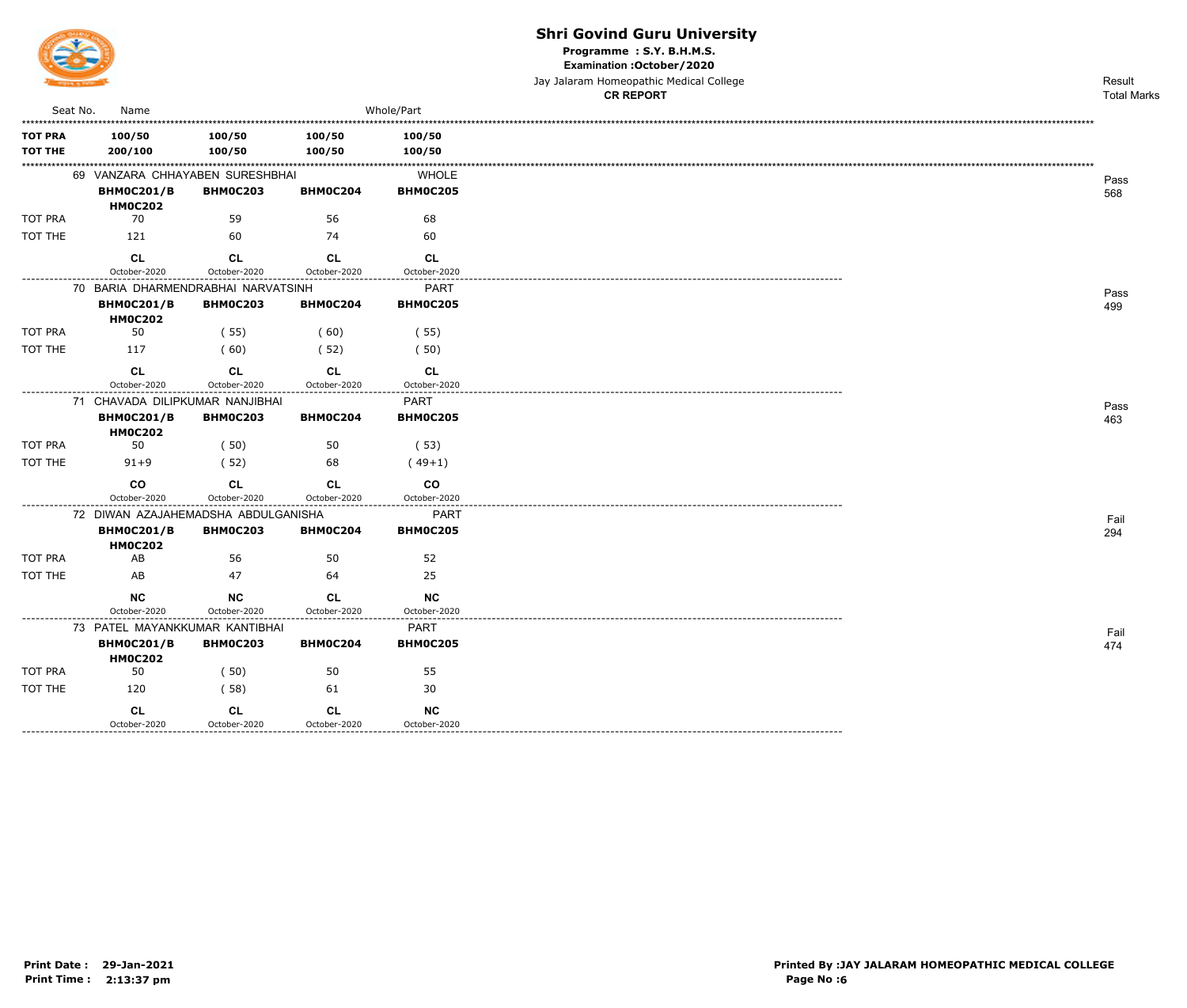

Programme : S.Y. B.H.M.S.

Examination : October / 2020

Jay Jalaram Homeopathic Medical College

|                                  |                                                                            |                           |                           |                                | <b>CR REPORT</b> | <b>Total Marks</b> |
|----------------------------------|----------------------------------------------------------------------------|---------------------------|---------------------------|--------------------------------|------------------|--------------------|
| Seat No.                         | Name                                                                       |                           |                           | Whole/Part                     |                  |                    |
| <b>TOT PRA</b><br><b>TOT THE</b> | 100/50<br>200/100                                                          | 100/50<br>100/50          | 100/50<br>100/50          | 100/50<br>100/50               |                  |                    |
|                                  | 69 VANZARA CHHAYABEN SURESHBHAI<br><b>BHM0C201/B</b><br><b>HM0C202</b>     | <b>BHM0C203</b>           | <b>BHM0C204</b>           | <b>WHOLE</b><br>BHM0C205       |                  | Pass<br>568        |
| TOT PRA                          | 70                                                                         | 59                        | 56                        | 68                             |                  |                    |
| TOT THE                          | 121                                                                        | 60                        | 74                        | 60                             |                  |                    |
|                                  | <b>CL</b><br>October-2020                                                  | <b>CL</b><br>October-2020 | <b>CL</b><br>October-2020 | <b>CL</b><br>October-2020      |                  |                    |
|                                  | 70 BARIA DHARMENDRABHAI NARVATSINH                                         |                           |                           | PART                           |                  | Pass               |
|                                  | <b>BHM0C201/B</b><br><b>HM0C202</b>                                        | <b>BHM0C203</b>           | <b>BHM0C204</b>           | <b>BHM0C205</b>                |                  | 499                |
| TOT PRA                          | 50                                                                         | (55)                      | (60)                      | (55)                           |                  |                    |
| TOT THE                          | 117                                                                        | (60)                      | (52)                      | (50)                           |                  |                    |
|                                  | CL<br>October-2020                                                         | CL<br>October-2020        | <b>CL</b><br>October-2020 | CL<br>October-2020             |                  |                    |
|                                  | 71 CHAVADA DILIPKUMAR NANJIBHAI                                            |                           |                           | PART                           |                  | Pass               |
|                                  | <b>BHM0C201/B</b><br><b>HM0C202</b>                                        | <b>BHM0C203</b>           | BHM0C204                  | <b>BHM0C205</b>                |                  | 463                |
| TOT PRA                          | 50                                                                         | (50)                      | 50                        | (53)                           |                  |                    |
| TOT THE                          | $91 + 9$                                                                   | (52)                      | 68                        | $(49+1)$                       |                  |                    |
|                                  | <b>CO</b><br>October-2020                                                  | <b>CL</b><br>October-2020 | <b>CL</b><br>October-2020 | co<br>October-2020             |                  |                    |
|                                  | 72 DIWAN AZAJAHEMADSHA ABDULGANISHA<br><b>BHM0C201/B</b><br><b>HM0C202</b> | <b>BHM0C203</b>           | BHM0C204                  | <b>PART</b><br><b>BHM0C205</b> |                  | Fail<br>294        |
| <b>TOT PRA</b>                   | AB                                                                         | 56                        | 50                        | 52                             |                  |                    |
| TOT THE                          | AB                                                                         | 47                        | 64                        | 25                             |                  |                    |
|                                  | <b>NC</b>                                                                  | <b>NC</b>                 | <b>CL</b>                 | <b>NC</b>                      |                  |                    |
|                                  | October-2020                                                               | October-2020              | October-2020              | October-2020                   |                  |                    |
|                                  | 73 PATEL MAYANKKUMAR KANTIBHAI                                             |                           |                           | <b>PART</b>                    |                  | Fail               |
|                                  | <b>BHM0C201/B</b><br><b>HM0C202</b>                                        | <b>BHM0C203</b>           | BHM0C204                  | <b>BHM0C205</b>                |                  | 474                |
| TOT PRA                          | 50                                                                         | (50)                      | 50                        | 55                             |                  |                    |
| TOT THE                          | 120                                                                        | (58)                      | 61                        | 30                             |                  |                    |
|                                  | CL<br>October-2020                                                         | CL<br>October-2020        | CL<br>October-2020        | <b>NC</b><br>October-2020      |                  |                    |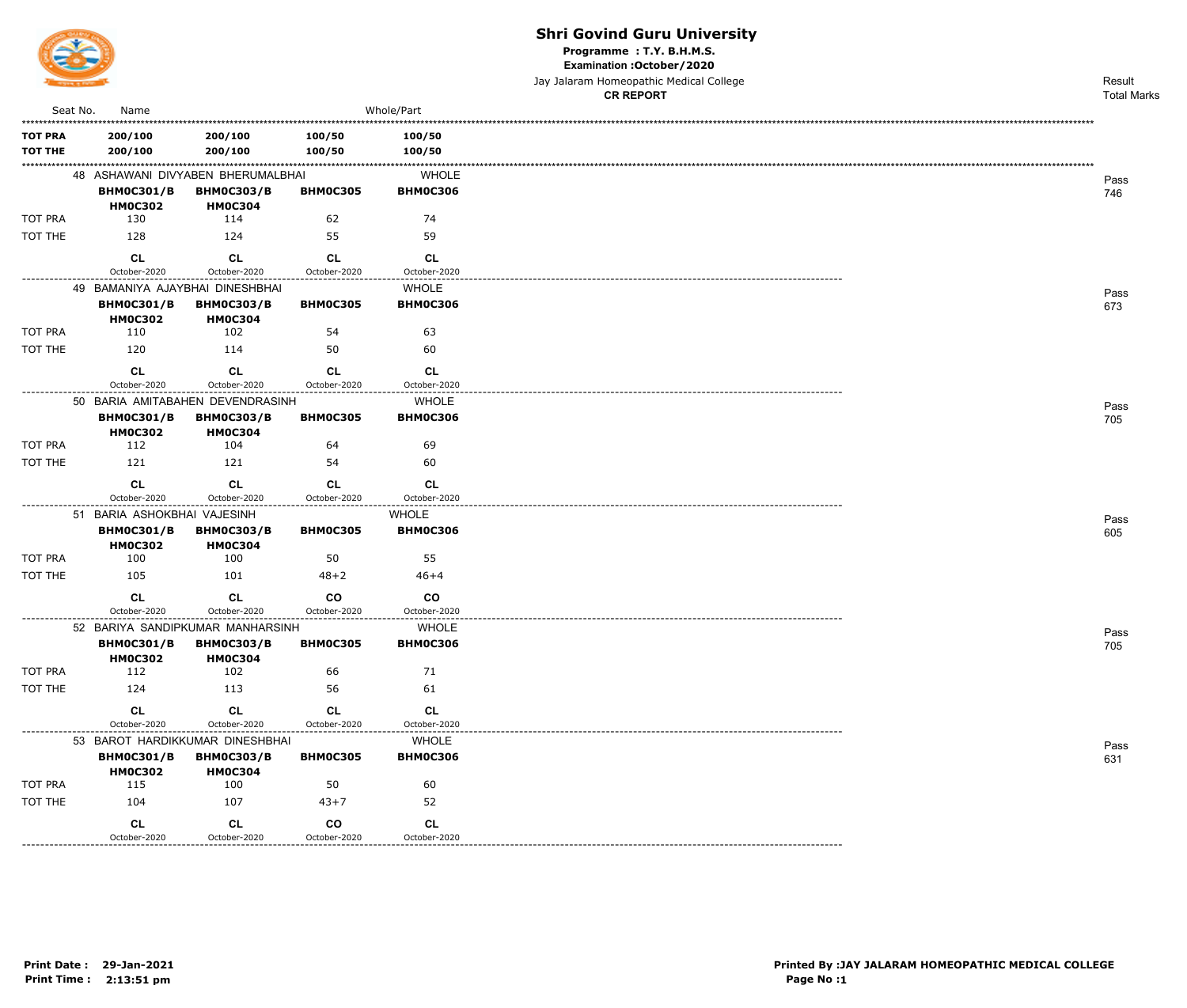

Programme: T.Y. B.H.M.S.

Examination : October / 2020

Jay Jalaram Homeopathic Medical College **CR REPORT** 

Result **Total Marks** 

| 100/50<br>200/100<br>200/100<br>100/50<br>200/100<br>200/100<br>100/50<br>100/50<br>48 ASHAWANI DIVYABEN BHERUMALBHAI<br><b>WHOLE</b><br><b>BHM0C301/B</b><br><b>BHM0C303/B</b><br><b>BHM0C306</b><br><b>BHM0C305</b><br><b>HM0C304</b><br><b>HM0C302</b><br>130<br>114<br>74<br>62<br>59<br>128<br>124<br>55<br>CL<br><b>CL</b><br><b>CL</b><br><b>CL</b><br>October-2020<br>October-2020<br>October-2020<br>October-2020<br>49 BAMANIYA AJAYBHAI DINESHBHAI<br><b>WHOLE</b><br><b>BHM0C306</b><br><b>BHM0C301/B</b><br><b>BHM0C303/B</b><br><b>BHM0C305</b><br><b>HM0C302</b><br><b>HM0C304</b><br>110<br>102<br>54<br>63<br>120<br>60<br>114<br>50<br><b>CL</b><br><b>CL</b><br><b>CL</b><br><b>CL</b><br>October-2020<br>October-2020<br>October-2020<br>October-2020<br>50 BARIA AMITABAHEN DEVENDRASINH<br><b>WHOLE</b><br><b>BHM0C301/B</b><br><b>BHM0C303/B</b><br><b>BHM0C306</b><br><b>BHMOC305</b><br><b>HM0C302</b><br><b>HM0C304</b><br>112<br>104<br>64<br>69<br>60<br>121<br>121<br>54<br><b>CL</b><br><b>CL</b><br>CL<br><b>CL</b><br>October-2020<br>October-2020<br>October-2020<br>October-2020<br>51 BARIA ASHOKBHAI VAJESINH<br><b>WHOLE</b><br><b>BHM0C301/B</b><br><b>BHM0C303/B</b><br><b>BHM0C305</b><br><b>BHM0C306</b><br><b>HM0C302</b><br><b>HM0C304</b><br>55<br>100<br>100<br>50<br>105<br>101<br>$46 + 4$<br>$48 + 2$<br><b>CL</b><br>$_{\rm CO}$<br>co<br><b>CL</b><br>October-2020<br>October-2020<br>October-2020<br>October-2020<br>52 BARIYA SANDIPKUMAR MANHARSINH<br><b>WHOLE</b><br><b>BHM0C301/B</b><br><b>BHM0C303/B</b><br><b>BHM0C305</b><br><b>BHM0C306</b><br><b>HM0C302</b><br><b>HM0C304</b><br>112<br>102<br>71<br>66<br>124<br>113<br>56<br>61<br>CL<br>CL<br><b>CL</b><br><b>CL</b><br>October-2020<br>October-2020<br>October-2020<br>October-2020<br>53 BAROT HARDIKKUMAR DINESHBHAI<br><b>WHOLE</b><br><b>BHM0C301/B</b><br><b>BHM0C303/B</b><br><b>BHM0C306</b><br><b>BHM0C305</b><br><b>HM0C302</b><br><b>HM0C304</b><br>115<br>100<br>60<br>50<br>104<br>107<br>52<br>$43 + 7$<br>CL<br>co<br>CL<br><b>CL</b> | Seat No.                         | Name         |              |              | Whole/Part   |
|------------------------------------------------------------------------------------------------------------------------------------------------------------------------------------------------------------------------------------------------------------------------------------------------------------------------------------------------------------------------------------------------------------------------------------------------------------------------------------------------------------------------------------------------------------------------------------------------------------------------------------------------------------------------------------------------------------------------------------------------------------------------------------------------------------------------------------------------------------------------------------------------------------------------------------------------------------------------------------------------------------------------------------------------------------------------------------------------------------------------------------------------------------------------------------------------------------------------------------------------------------------------------------------------------------------------------------------------------------------------------------------------------------------------------------------------------------------------------------------------------------------------------------------------------------------------------------------------------------------------------------------------------------------------------------------------------------------------------------------------------------------------------------------------------------------------------------------------------------------------------------------------------------------------------------------------------------------------------------------------------------------------------------------------------------------------|----------------------------------|--------------|--------------|--------------|--------------|
| TOT THE                                                                                                                                                                                                                                                                                                                                                                                                                                                                                                                                                                                                                                                                                                                                                                                                                                                                                                                                                                                                                                                                                                                                                                                                                                                                                                                                                                                                                                                                                                                                                                                                                                                                                                                                                                                                                                                                                                                                                                                                                                                                | <b>TOT PRA</b><br><b>TOT THE</b> |              |              |              |              |
|                                                                                                                                                                                                                                                                                                                                                                                                                                                                                                                                                                                                                                                                                                                                                                                                                                                                                                                                                                                                                                                                                                                                                                                                                                                                                                                                                                                                                                                                                                                                                                                                                                                                                                                                                                                                                                                                                                                                                                                                                                                                        |                                  |              |              |              |              |
|                                                                                                                                                                                                                                                                                                                                                                                                                                                                                                                                                                                                                                                                                                                                                                                                                                                                                                                                                                                                                                                                                                                                                                                                                                                                                                                                                                                                                                                                                                                                                                                                                                                                                                                                                                                                                                                                                                                                                                                                                                                                        | TOT PRA                          |              |              |              |              |
|                                                                                                                                                                                                                                                                                                                                                                                                                                                                                                                                                                                                                                                                                                                                                                                                                                                                                                                                                                                                                                                                                                                                                                                                                                                                                                                                                                                                                                                                                                                                                                                                                                                                                                                                                                                                                                                                                                                                                                                                                                                                        | TOT THE                          |              |              |              |              |
|                                                                                                                                                                                                                                                                                                                                                                                                                                                                                                                                                                                                                                                                                                                                                                                                                                                                                                                                                                                                                                                                                                                                                                                                                                                                                                                                                                                                                                                                                                                                                                                                                                                                                                                                                                                                                                                                                                                                                                                                                                                                        |                                  |              |              |              |              |
|                                                                                                                                                                                                                                                                                                                                                                                                                                                                                                                                                                                                                                                                                                                                                                                                                                                                                                                                                                                                                                                                                                                                                                                                                                                                                                                                                                                                                                                                                                                                                                                                                                                                                                                                                                                                                                                                                                                                                                                                                                                                        |                                  |              |              |              |              |
|                                                                                                                                                                                                                                                                                                                                                                                                                                                                                                                                                                                                                                                                                                                                                                                                                                                                                                                                                                                                                                                                                                                                                                                                                                                                                                                                                                                                                                                                                                                                                                                                                                                                                                                                                                                                                                                                                                                                                                                                                                                                        |                                  |              |              |              |              |
|                                                                                                                                                                                                                                                                                                                                                                                                                                                                                                                                                                                                                                                                                                                                                                                                                                                                                                                                                                                                                                                                                                                                                                                                                                                                                                                                                                                                                                                                                                                                                                                                                                                                                                                                                                                                                                                                                                                                                                                                                                                                        | TOT PRA                          |              |              |              |              |
|                                                                                                                                                                                                                                                                                                                                                                                                                                                                                                                                                                                                                                                                                                                                                                                                                                                                                                                                                                                                                                                                                                                                                                                                                                                                                                                                                                                                                                                                                                                                                                                                                                                                                                                                                                                                                                                                                                                                                                                                                                                                        |                                  |              |              |              |              |
|                                                                                                                                                                                                                                                                                                                                                                                                                                                                                                                                                                                                                                                                                                                                                                                                                                                                                                                                                                                                                                                                                                                                                                                                                                                                                                                                                                                                                                                                                                                                                                                                                                                                                                                                                                                                                                                                                                                                                                                                                                                                        |                                  |              |              |              |              |
|                                                                                                                                                                                                                                                                                                                                                                                                                                                                                                                                                                                                                                                                                                                                                                                                                                                                                                                                                                                                                                                                                                                                                                                                                                                                                                                                                                                                                                                                                                                                                                                                                                                                                                                                                                                                                                                                                                                                                                                                                                                                        |                                  |              |              |              |              |
|                                                                                                                                                                                                                                                                                                                                                                                                                                                                                                                                                                                                                                                                                                                                                                                                                                                                                                                                                                                                                                                                                                                                                                                                                                                                                                                                                                                                                                                                                                                                                                                                                                                                                                                                                                                                                                                                                                                                                                                                                                                                        | TOT PRA                          |              |              |              |              |
|                                                                                                                                                                                                                                                                                                                                                                                                                                                                                                                                                                                                                                                                                                                                                                                                                                                                                                                                                                                                                                                                                                                                                                                                                                                                                                                                                                                                                                                                                                                                                                                                                                                                                                                                                                                                                                                                                                                                                                                                                                                                        | TOT THE                          |              |              |              |              |
|                                                                                                                                                                                                                                                                                                                                                                                                                                                                                                                                                                                                                                                                                                                                                                                                                                                                                                                                                                                                                                                                                                                                                                                                                                                                                                                                                                                                                                                                                                                                                                                                                                                                                                                                                                                                                                                                                                                                                                                                                                                                        |                                  |              |              |              |              |
|                                                                                                                                                                                                                                                                                                                                                                                                                                                                                                                                                                                                                                                                                                                                                                                                                                                                                                                                                                                                                                                                                                                                                                                                                                                                                                                                                                                                                                                                                                                                                                                                                                                                                                                                                                                                                                                                                                                                                                                                                                                                        |                                  |              |              |              |              |
|                                                                                                                                                                                                                                                                                                                                                                                                                                                                                                                                                                                                                                                                                                                                                                                                                                                                                                                                                                                                                                                                                                                                                                                                                                                                                                                                                                                                                                                                                                                                                                                                                                                                                                                                                                                                                                                                                                                                                                                                                                                                        |                                  |              |              |              |              |
|                                                                                                                                                                                                                                                                                                                                                                                                                                                                                                                                                                                                                                                                                                                                                                                                                                                                                                                                                                                                                                                                                                                                                                                                                                                                                                                                                                                                                                                                                                                                                                                                                                                                                                                                                                                                                                                                                                                                                                                                                                                                        | TOT PRA                          |              |              |              |              |
|                                                                                                                                                                                                                                                                                                                                                                                                                                                                                                                                                                                                                                                                                                                                                                                                                                                                                                                                                                                                                                                                                                                                                                                                                                                                                                                                                                                                                                                                                                                                                                                                                                                                                                                                                                                                                                                                                                                                                                                                                                                                        | TOT THE                          |              |              |              |              |
|                                                                                                                                                                                                                                                                                                                                                                                                                                                                                                                                                                                                                                                                                                                                                                                                                                                                                                                                                                                                                                                                                                                                                                                                                                                                                                                                                                                                                                                                                                                                                                                                                                                                                                                                                                                                                                                                                                                                                                                                                                                                        |                                  |              |              |              |              |
|                                                                                                                                                                                                                                                                                                                                                                                                                                                                                                                                                                                                                                                                                                                                                                                                                                                                                                                                                                                                                                                                                                                                                                                                                                                                                                                                                                                                                                                                                                                                                                                                                                                                                                                                                                                                                                                                                                                                                                                                                                                                        |                                  |              |              |              |              |
|                                                                                                                                                                                                                                                                                                                                                                                                                                                                                                                                                                                                                                                                                                                                                                                                                                                                                                                                                                                                                                                                                                                                                                                                                                                                                                                                                                                                                                                                                                                                                                                                                                                                                                                                                                                                                                                                                                                                                                                                                                                                        |                                  |              |              |              |              |
|                                                                                                                                                                                                                                                                                                                                                                                                                                                                                                                                                                                                                                                                                                                                                                                                                                                                                                                                                                                                                                                                                                                                                                                                                                                                                                                                                                                                                                                                                                                                                                                                                                                                                                                                                                                                                                                                                                                                                                                                                                                                        | TOT PRA                          |              |              |              |              |
|                                                                                                                                                                                                                                                                                                                                                                                                                                                                                                                                                                                                                                                                                                                                                                                                                                                                                                                                                                                                                                                                                                                                                                                                                                                                                                                                                                                                                                                                                                                                                                                                                                                                                                                                                                                                                                                                                                                                                                                                                                                                        | TOT THE                          |              |              |              |              |
|                                                                                                                                                                                                                                                                                                                                                                                                                                                                                                                                                                                                                                                                                                                                                                                                                                                                                                                                                                                                                                                                                                                                                                                                                                                                                                                                                                                                                                                                                                                                                                                                                                                                                                                                                                                                                                                                                                                                                                                                                                                                        |                                  |              |              |              |              |
|                                                                                                                                                                                                                                                                                                                                                                                                                                                                                                                                                                                                                                                                                                                                                                                                                                                                                                                                                                                                                                                                                                                                                                                                                                                                                                                                                                                                                                                                                                                                                                                                                                                                                                                                                                                                                                                                                                                                                                                                                                                                        |                                  |              |              |              |              |
|                                                                                                                                                                                                                                                                                                                                                                                                                                                                                                                                                                                                                                                                                                                                                                                                                                                                                                                                                                                                                                                                                                                                                                                                                                                                                                                                                                                                                                                                                                                                                                                                                                                                                                                                                                                                                                                                                                                                                                                                                                                                        |                                  |              |              |              |              |
|                                                                                                                                                                                                                                                                                                                                                                                                                                                                                                                                                                                                                                                                                                                                                                                                                                                                                                                                                                                                                                                                                                                                                                                                                                                                                                                                                                                                                                                                                                                                                                                                                                                                                                                                                                                                                                                                                                                                                                                                                                                                        | TOT PRA                          |              |              |              |              |
|                                                                                                                                                                                                                                                                                                                                                                                                                                                                                                                                                                                                                                                                                                                                                                                                                                                                                                                                                                                                                                                                                                                                                                                                                                                                                                                                                                                                                                                                                                                                                                                                                                                                                                                                                                                                                                                                                                                                                                                                                                                                        | TOT THE                          |              |              |              |              |
|                                                                                                                                                                                                                                                                                                                                                                                                                                                                                                                                                                                                                                                                                                                                                                                                                                                                                                                                                                                                                                                                                                                                                                                                                                                                                                                                                                                                                                                                                                                                                                                                                                                                                                                                                                                                                                                                                                                                                                                                                                                                        |                                  | October-2020 | October-2020 | October-2020 | October-2020 |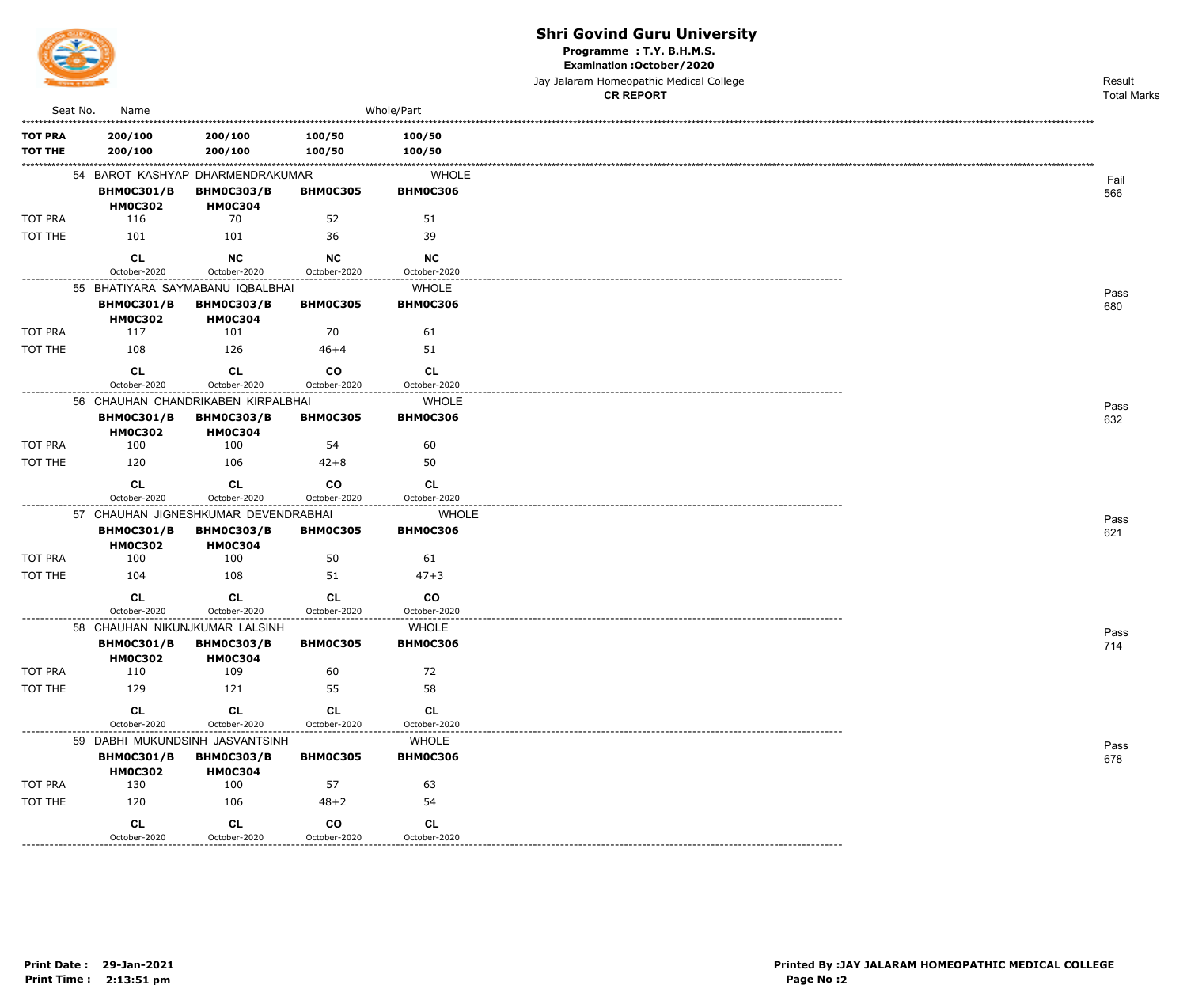

Programme: T.Y. B.H.M.S.

Examination : October / 2020

|                                  |                                     |                                                                           |                           |                                 | Jay Jalaram Homeopathic Medical College | Result             |
|----------------------------------|-------------------------------------|---------------------------------------------------------------------------|---------------------------|---------------------------------|-----------------------------------------|--------------------|
|                                  |                                     |                                                                           |                           |                                 | <b>CR REPORT</b>                        | <b>Total Marks</b> |
| Seat No.                         | Name                                |                                                                           |                           | Whole/Part                      |                                         |                    |
| <b>TOT PRA</b><br><b>TOT THE</b> | 200/100<br>200/100                  | 200/100<br>200/100                                                        | 100/50<br>100/50          | 100/50<br>100/50                |                                         |                    |
|                                  | <b>BHM0C301/B</b><br><b>HM0C302</b> | 54 BAROT KASHYAP DHARMENDRAKUMAR<br><b>BHM0C303/B</b><br><b>HM0C304</b>   | <b>BHM0C305</b>           | <b>WHOLE</b><br><b>BHM0C306</b> |                                         | Fail<br>566        |
| TOT PRA                          | 116                                 | 70                                                                        | 52                        | 51                              |                                         |                    |
| TOT THE                          | 101                                 | 101                                                                       | 36                        | 39                              |                                         |                    |
|                                  | <b>CL</b>                           | <b>NC</b>                                                                 | <b>NC</b>                 | <b>NC</b>                       |                                         |                    |
|                                  | October-2020                        | October-2020                                                              | October-2020              | October-2020                    |                                         |                    |
|                                  | <b>BHM0C301/B</b><br><b>HM0C302</b> | 55 BHATIYARA SAYMABANU IQBALBHAI<br><b>BHM0C303/B</b><br><b>HM0C304</b>   | <b>BHM0C305</b>           | <b>WHOLE</b><br><b>BHM0C306</b> |                                         | Pass<br>680        |
| TOT PRA                          | 117                                 | 101                                                                       | 70                        | 61                              |                                         |                    |
| TOT THE                          | 108                                 | 126                                                                       | $46 + 4$                  | 51                              |                                         |                    |
|                                  | <b>CL</b>                           | CL                                                                        | co                        | CL                              |                                         |                    |
|                                  | October-2020                        | October-2020                                                              | October-2020              | October-2020                    |                                         |                    |
|                                  | <b>BHM0C301/B</b><br><b>HM0C302</b> | 56 CHAUHAN CHANDRIKABEN KIRPALBHAI<br><b>BHM0C303/B</b><br><b>HM0C304</b> | <b>BHM0C305</b>           | <b>WHOLE</b><br><b>BHM0C306</b> |                                         | Pass<br>632        |
| TOT PRA                          | 100                                 | 100                                                                       | 54                        | 60                              |                                         |                    |
| TOT THE                          | 120                                 | 106                                                                       | $42 + 8$                  | 50                              |                                         |                    |
|                                  | <b>CL</b><br>October-2020           | <b>CL</b><br>October-2020                                                 | co<br>October-2020        | CL<br>October-2020              |                                         |                    |
|                                  |                                     | 57 CHAUHAN JIGNESHKUMAR DEVENDRABHAI                                      |                           | <b>WHOLE</b>                    |                                         |                    |
|                                  | <b>BHM0C301/B</b><br><b>HM0C302</b> | <b>BHM0C303/B</b><br><b>HM0C304</b>                                       | <b>BHM0C305</b>           | <b>BHM0C306</b>                 |                                         | Pass<br>621        |
| TOT PRA                          | 100                                 | 100                                                                       | 50                        | 61                              |                                         |                    |
| TOT THE                          | 104                                 | 108                                                                       | 51                        | $47 + 3$                        |                                         |                    |
|                                  | СL<br>October-2020                  | <b>CL</b><br>October-2020                                                 | <b>CL</b><br>October-2020 | co<br>October-2020              |                                         |                    |
|                                  |                                     | 58 CHAUHAN NIKUNJKUMAR LALSINH                                            |                           | WHOLE                           |                                         |                    |
|                                  | <b>BHM0C301/B</b><br><b>HM0C302</b> | <b>BHM0C303/B</b><br><b>HM0C304</b>                                       | <b>BHM0C305</b>           | <b>BHM0C306</b>                 |                                         | Pass<br>714        |
| TOT PRA                          | 110                                 | 109                                                                       | 60                        | 72                              |                                         |                    |
| TOT THE                          | 129                                 | 121                                                                       | 55                        | 58                              |                                         |                    |
|                                  | <b>CL</b>                           | CL                                                                        | CL                        | CL                              |                                         |                    |
|                                  | October-2020                        | October-2020                                                              | October-2020              | October-2020                    |                                         |                    |
|                                  | <b>BHM0C301/B</b><br><b>HM0C302</b> | 59 DABHI MUKUNDSINH JASVANTSINH<br><b>BHM0C303/B</b><br><b>HM0C304</b>    | <b>BHM0C305</b>           | <b>WHOLE</b><br><b>BHM0C306</b> |                                         | Pass<br>678        |
| TOT PRA                          | 130                                 | 100                                                                       | 57                        | 63                              |                                         |                    |
| TOT THE                          | 120                                 | 106                                                                       | $48 + 2$                  | 54                              |                                         |                    |
|                                  | <b>CL</b><br>October-2020           | CL<br>October-2020                                                        | co<br>October-2020        | CL<br>October-2020              |                                         |                    |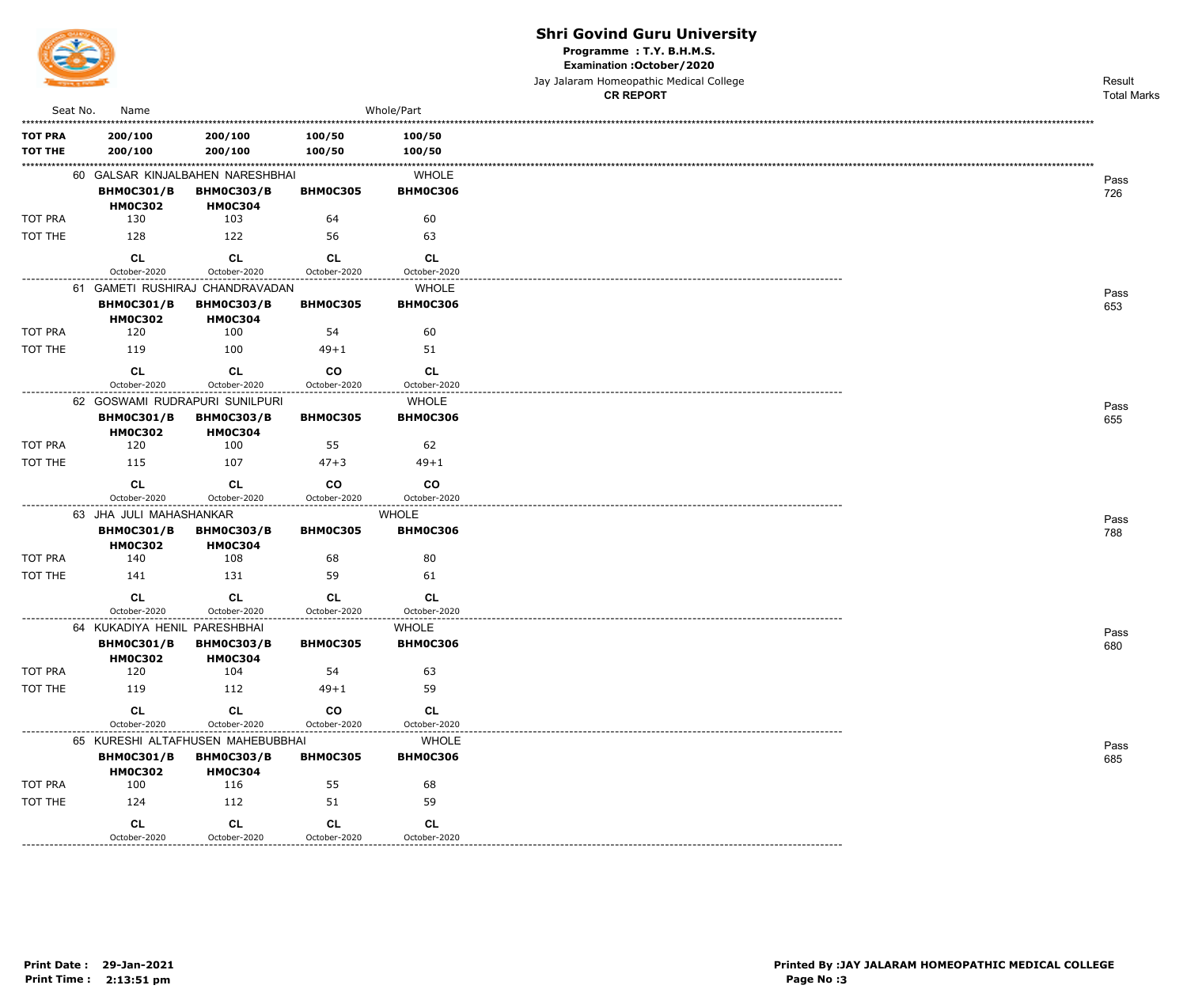

Programme: T.Y. B.H.M.S.

Examination : October / 2020

|                                  |                                                                         |                                     |                           |                                 | Jay Jalaram Homeopathic Medical College | Result             |
|----------------------------------|-------------------------------------------------------------------------|-------------------------------------|---------------------------|---------------------------------|-----------------------------------------|--------------------|
|                                  |                                                                         |                                     |                           |                                 | <b>CR REPORT</b>                        | <b>Total Marks</b> |
| Seat No.                         | Name                                                                    |                                     |                           | Whole/Part                      |                                         |                    |
| <b>TOT PRA</b><br><b>TOT THE</b> | 200/100<br>200/100                                                      | 200/100<br>200/100                  | 100/50<br>100/50          | 100/50<br>100/50                |                                         |                    |
|                                  | 60 GALSAR KINJALBAHEN NARESHBHAI<br><b>BHM0C301/B</b><br><b>HM0C302</b> | <b>BHM0C303/B</b><br><b>HM0C304</b> | <b>BHM0C305</b>           | <b>WHOLE</b><br><b>BHM0C306</b> |                                         | Pass<br>726        |
| TOT PRA                          | 130                                                                     | 103                                 | 64                        | 60                              |                                         |                    |
| TOT THE                          | 128                                                                     | 122                                 | 56                        | 63                              |                                         |                    |
|                                  | <b>CL</b><br>October-2020                                               | <b>CL</b><br>October-2020           | <b>CL</b><br>October-2020 | <b>CL</b><br>October-2020       |                                         |                    |
|                                  | 61 GAMETI RUSHIRAJ CHANDRAVADAN                                         |                                     |                           | <b>WHOLE</b>                    |                                         |                    |
|                                  | <b>BHM0C301/B</b><br><b>HM0C302</b>                                     | <b>BHM0C303/B</b><br><b>HM0C304</b> | <b>BHM0C305</b>           | <b>BHM0C306</b>                 |                                         | Pass<br>653        |
| TOT PRA                          | 120                                                                     | 100                                 | 54                        | 60                              |                                         |                    |
| TOT THE                          | 119                                                                     | 100                                 | $49 + 1$                  | 51                              |                                         |                    |
|                                  | CL<br>October-2020                                                      | CL<br>October-2020                  | co<br>October-2020        | CL<br>October-2020              |                                         |                    |
|                                  | 62 GOSWAMI RUDRAPURI SUNILPURI                                          |                                     |                           | <b>WHOLE</b>                    |                                         | Pass               |
|                                  | <b>BHM0C301/B</b><br><b>HM0C302</b>                                     | <b>BHM0C303/B</b><br><b>HM0C304</b> | <b>BHM0C305</b>           | <b>BHM0C306</b>                 |                                         | 655                |
| TOT PRA                          | 120                                                                     | 100                                 | 55                        | 62                              |                                         |                    |
| TOT THE                          | 115                                                                     | 107                                 | $47 + 3$                  | $49 + 1$                        |                                         |                    |
|                                  | <b>CL</b><br>October-2020                                               | <b>CL</b><br>October-2020           | co<br>October-2020        | <b>CO</b><br>October-2020       |                                         |                    |
|                                  | 63 JHA JULI MAHASHANKAR                                                 |                                     |                           | <b>WHOLE</b>                    |                                         |                    |
|                                  | <b>BHM0C301/B</b><br><b>HM0C302</b>                                     | <b>BHM0C303/B</b><br><b>HM0C304</b> | <b>BHM0C305</b>           | <b>BHM0C306</b>                 |                                         | Pass<br>788        |
| TOT PRA                          | 140                                                                     | 108                                 | 68                        | 80                              |                                         |                    |
| TOT THE                          | 141                                                                     | 131                                 | 59                        | 61                              |                                         |                    |
|                                  | CL<br>October-2020                                                      | <b>CL</b><br>October-2020           | <b>CL</b><br>October-2020 | <b>CL</b><br>October-2020       |                                         |                    |
|                                  | 64 KUKADIYA HENIL PARESHBHAI<br><b>BHM0C301/B</b>                       | <b>BHM0C303/B</b>                   | <b>BHM0C305</b>           | WHOLE<br><b>BHM0C306</b>        |                                         | Pass<br>680        |
| TOT PRA                          | <b>HM0C302</b><br>120                                                   | <b>HM0C304</b><br>104               | 54                        | 63                              |                                         |                    |
| TOT THE                          | 119                                                                     | 112                                 | $49 + 1$                  | 59                              |                                         |                    |
|                                  | <b>CL</b>                                                               | <b>CL</b>                           | co                        | <b>CL</b>                       |                                         |                    |
|                                  | October-2020                                                            | October-2020                        | October-2020              | October-2020                    |                                         |                    |
|                                  | 65 KURESHI ALTAFHUSEN MAHEBUBBHAI                                       |                                     |                           | <b>WHOLE</b>                    |                                         | Pass               |
|                                  | <b>BHM0C301/B</b><br><b>HM0C302</b>                                     | <b>BHM0C303/B</b><br><b>HM0C304</b> | <b>BHM0C305</b>           | <b>BHM0C306</b>                 |                                         | 685                |
| TOT PRA                          | 100                                                                     | 116                                 | 55                        | 68                              |                                         |                    |
| TOT THE                          | 124                                                                     | 112                                 | 51                        | 59                              |                                         |                    |
|                                  | <b>CL</b><br>October-2020                                               | CL<br>October-2020                  | <b>CL</b><br>October-2020 | <b>CL</b><br>October-2020       |                                         |                    |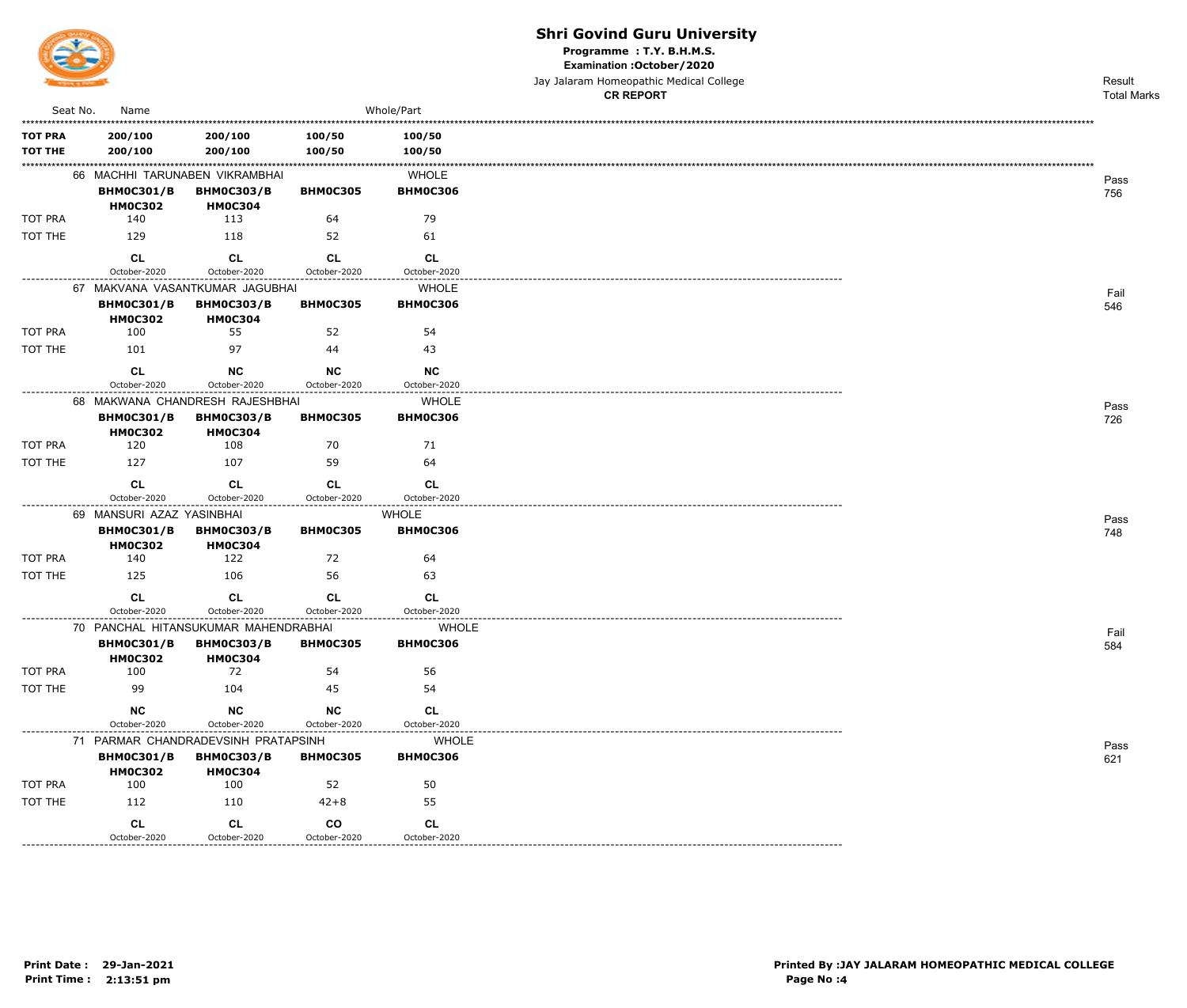

#### **Shri Govind Guru University**

Programme : T.Y. B.H.M.S.

Examination : October / 2020

|                                  |                                     |                                                     |                           |                                 | Jay Jalaram Homeopathic Medical College<br><b>CR REPORT</b> | Result<br><b>Total Marks</b> |
|----------------------------------|-------------------------------------|-----------------------------------------------------|---------------------------|---------------------------------|-------------------------------------------------------------|------------------------------|
| Seat No.                         | Name                                |                                                     |                           | Whole/Part                      |                                                             |                              |
| <b>TOT PRA</b><br><b>TOT THE</b> | 200/100<br>200/100                  | 200/100<br>200/100                                  | 100/50<br>100/50          | 100/50<br>100/50                |                                                             |                              |
|                                  | <b>BHM0C301/B</b>                   | 66 MACHHI TARUNABEN VIKRAMBHAI<br><b>BHM0C303/B</b> | <b>BHM0C305</b>           | <b>WHOLE</b><br><b>BHM0C306</b> |                                                             | Pass<br>756                  |
|                                  | <b>HM0C302</b>                      | <b>HM0C304</b>                                      |                           |                                 |                                                             |                              |
| TOT PRA                          | 140                                 | 113                                                 | 64                        | 79                              |                                                             |                              |
| TOT THE                          | 129                                 | 118                                                 | 52                        | 61                              |                                                             |                              |
|                                  | <b>CL</b>                           | CL                                                  | <b>CL</b>                 | CL.                             |                                                             |                              |
| . _ _ _ _ _ _ _ _ _ _ _ _ _ _ _  | October-2020                        | October-2020<br>67 MAKVANA VASANTKUMAR JAGUBHAI     | October-2020              | October-2020<br><b>WHOLE</b>    |                                                             |                              |
|                                  | <b>BHM0C301/B</b><br><b>HM0C302</b> | <b>BHM0C303/B</b><br><b>HM0C304</b>                 | <b>BHM0C305</b>           | <b>BHM0C306</b>                 |                                                             | Fail<br>546                  |
| TOT PRA                          | 100                                 | 55                                                  | 52                        | 54                              |                                                             |                              |
| TOT THE                          | 101                                 | 97                                                  | 44                        | 43                              |                                                             |                              |
|                                  | <b>CL</b><br>October-2020           | <b>NC</b><br>October-2020                           | <b>NC</b><br>October-2020 | <b>NC</b><br>October-2020       |                                                             |                              |
| ----------------                 |                                     | 68 MAKWANA CHANDRESH RAJESHBHAI                     | .                         | ---------------<br><b>WHOLE</b> |                                                             |                              |
|                                  | <b>BHM0C301/B</b><br><b>HM0C302</b> | <b>BHM0C303/B</b><br><b>HM0C304</b>                 | <b>BHM0C305</b>           | <b>BHM0C306</b>                 |                                                             | Pass<br>726                  |
| <b>TOT PRA</b>                   | 120                                 | 108                                                 | 70                        | 71                              |                                                             |                              |
| TOT THE                          | 127                                 | 107                                                 | 59                        | 64                              |                                                             |                              |
|                                  | <b>CL</b><br>October-2020           | CL<br>October-2020                                  | CL<br>October-2020        | <b>CL</b><br>October-2020       |                                                             |                              |
|                                  | 69 MANSURI AZAZ YASINBHAI           |                                                     |                           | <b>WHOLE</b>                    |                                                             | Pass                         |
|                                  | <b>BHM0C301/B</b><br><b>HM0C302</b> | <b>BHM0C303/B</b><br><b>HM0C304</b>                 | <b>BHM0C305</b>           | <b>BHM0C306</b>                 |                                                             | 748                          |
| <b>TOT PRA</b>                   | 140                                 | 122                                                 | 72                        | 64                              |                                                             |                              |
| TOT THE                          | 125                                 | 106                                                 | 56                        | 63                              |                                                             |                              |
|                                  | <b>CL</b><br>October-2020           | <b>CL</b><br>October-2020                           | <b>CL</b><br>October-2020 | <b>CL</b><br>October-2020       |                                                             |                              |
|                                  |                                     | 70 PANCHAL HITANSUKUMAR MAHENDRABHAI                |                           | <b>WHOLE</b>                    |                                                             |                              |
|                                  | <b>BHM0C301/B</b><br><b>HM0C302</b> | <b>BHM0C303/B</b><br><b>HM0C304</b>                 | <b>BHM0C305</b>           | <b>BHM0C306</b>                 |                                                             | Fail<br>584                  |
| TOT PRA                          | 100                                 | 72                                                  | 54                        | 56                              |                                                             |                              |
| TOT THE                          | 99                                  | 104                                                 | 45                        | 54                              |                                                             |                              |
|                                  | <b>NC</b><br>October-2020           | NC<br>October-2020                                  | <b>NC</b><br>October-2020 | <b>CL</b><br>October-2020       |                                                             |                              |
|                                  |                                     | 71 PARMAR CHANDRADEVSINH PRATAPSINH                 |                           | <b>WHOLE</b>                    |                                                             |                              |
|                                  | <b>BHM0C301/B</b>                   | <b>BHM0C303/B</b>                                   | <b>BHM0C305</b>           | <b>BHM0C306</b>                 |                                                             | Pass<br>621                  |

|         | October-2020      | October-2020                        | October-2020    | October-2020    |
|---------|-------------------|-------------------------------------|-----------------|-----------------|
|         |                   | 71 PARMAR CHANDRADEVSINH PRATAPSINH |                 | <b>WHOLE</b>    |
|         | <b>BHM0C301/B</b> | <b>BHM0C303/B</b>                   | <b>BHMOC305</b> | <b>BHMOC306</b> |
|         | <b>HM0C302</b>    | <b>HM0C304</b>                      |                 |                 |
| TOT PRA | 100               | 100                                 | 52              | 50              |
| TOT THE | 112               | 110                                 | $42 + 8$        | 55              |
|         | <b>CL</b>         | <b>CL</b>                           | <b>CO</b>       | <b>CL</b>       |
|         | October-2020      | October-2020                        | October-2020    | October-2020    |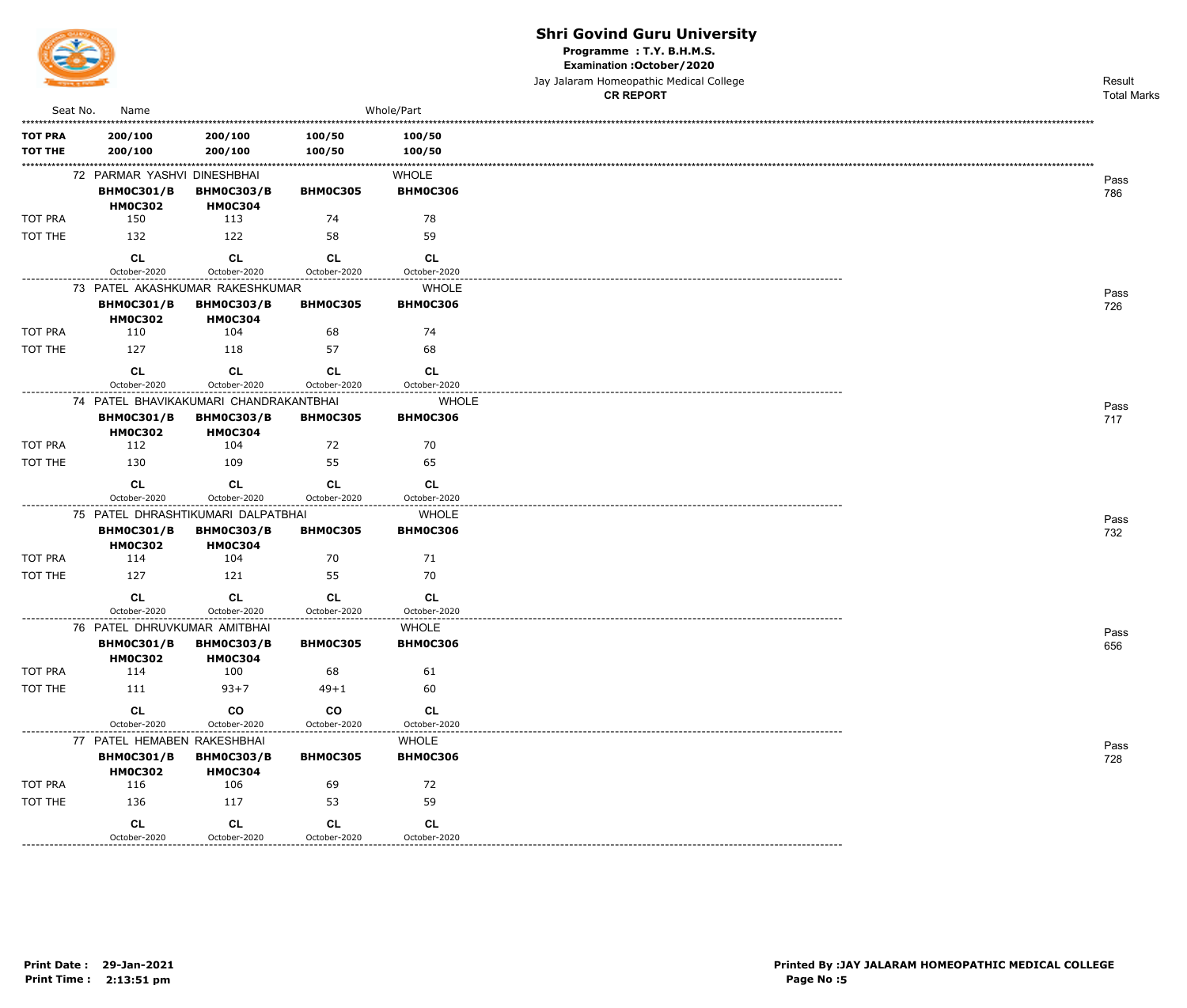

Programme: T.Y. B.H.M.S.

Examination : October / 2020

Jay Jalaram Homeopathic Medical College

|                    |                                                    |                                     |                           |                                 | <b>CR REPORT</b> | <b>Total Marks</b> |
|--------------------|----------------------------------------------------|-------------------------------------|---------------------------|---------------------------------|------------------|--------------------|
| Seat No.           | Name                                               |                                     |                           | Whole/Part                      |                  |                    |
| TOT PRA<br>TOT THE | 200/100<br>200/100                                 | 200/100<br>200/100                  | 100/50<br>100/50          | 100/50<br>100/50                |                  |                    |
|                    | 72 PARMAR YASHVI DINESHBHAI<br><b>BHM0C301/B</b>   | <b>BHM0C303/B</b>                   | BHM0C305                  | <b>WHOLE</b><br><b>BHM0C306</b> |                  | Pass<br>786        |
| tot pra            | <b>HM0C302</b><br>150                              | <b>HM0C304</b><br>113               | 74                        | 78                              |                  |                    |
| TOT THE            | 132                                                | 122                                 | 58                        | 59                              |                  |                    |
|                    | CL<br>October-2020                                 | <b>CL</b><br>October-2020           | <b>CL</b><br>October-2020 | <b>CL</b><br>October-2020       |                  |                    |
|                    | 73 PATEL AKASHKUMAR RAKESHKUMAR                    |                                     |                           | <b>WHOLE</b>                    |                  |                    |
|                    | <b>BHM0C301/B</b><br><b>HM0C302</b>                | <b>BHM0C303/B</b><br><b>HM0C304</b> | <b>BHM0C305</b>           | <b>BHM0C306</b>                 |                  | Pass<br>726        |
| tot pra            | 110                                                | 104                                 | 68                        | 74                              |                  |                    |
| TOT THE            | 127                                                | 118                                 | 57                        | 68                              |                  |                    |
|                    | CL<br>October-2020                                 | <b>CL</b><br>October-2020           | <b>CL</b><br>October-2020 | <b>CL</b><br>October-2020       |                  |                    |
|                    | 74 PATEL BHAVIKAKUMARI CHANDRAKANTBHAI             |                                     |                           | <b>WHOLE</b>                    |                  |                    |
|                    | <b>BHM0C301/B</b><br><b>HM0C302</b>                | <b>BHM0C303/B</b><br><b>HM0C304</b> | <b>BHM0C305</b>           | <b>BHM0C306</b>                 |                  | Pass<br>717        |
| tot pra            | 112                                                | 104                                 | 72                        | 70                              |                  |                    |
| TOT THE            | 130                                                | 109                                 | 55                        | 65                              |                  |                    |
|                    | CL                                                 | <b>CL</b>                           | <b>CL</b>                 | <b>CL</b>                       |                  |                    |
|                    | October-2020<br>75 PATEL DHRASHTIKUMARI DALPATBHAI | October-2020                        | October-2020              | October-2020<br><b>WHOLE</b>    |                  |                    |
|                    | <b>BHM0C301/B</b><br><b>HM0C302</b>                | <b>BHM0C303/B</b><br><b>HM0C304</b> | <b>BHM0C305</b>           | <b>BHM0C306</b>                 |                  | Pass<br>732        |
| tot pra            | 114                                                | 104                                 | 70                        | 71                              |                  |                    |
| TOT THE            | 127                                                | 121                                 | 55                        | 70                              |                  |                    |
|                    | CL<br>October-2020                                 | <b>CL</b><br>October-2020           | <b>CL</b><br>October-2020 | <b>CL</b><br>October-2020       |                  |                    |
|                    | 76 PATEL DHRUVKUMAR AMITBHAI                       |                                     |                           | <b>WHOLE</b>                    |                  | Pass               |
|                    | <b>BHM0C301/B</b><br><b>HM0C302</b>                | <b>BHM0C303/B</b><br><b>HM0C304</b> | <b>BHM0C305</b>           | <b>BHM0C306</b>                 |                  | 656                |
| tot pra            | 114                                                | 100                                 | 68                        | 61                              |                  |                    |
| TOT THE            | 111                                                | $93 + 7$                            | $49 + 1$                  | 60                              |                  |                    |
|                    | <b>CL</b><br>October-2020                          | co<br>October-2020                  | co<br>October-2020        | <b>CL</b><br>October-2020       |                  |                    |
|                    | 77 PATEL HEMABEN RAKESHBHAI                        |                                     |                           | <b>WHOLE</b>                    |                  | Pass               |
|                    | <b>BHM0C301/B</b><br><b>HM0C302</b>                | <b>BHM0C303/B</b><br><b>HM0C304</b> | <b>BHM0C305</b>           | <b>BHM0C306</b>                 |                  | 728                |
| TOT PRA            | 116                                                | 106                                 | 69                        | 72                              |                  |                    |
| TOT THE            | 136                                                | 117                                 | 53                        | 59                              |                  |                    |
|                    | CL<br>October-2020                                 | <b>CL</b><br>October-2020           | CL<br>October-2020        | <b>CL</b><br>October-2020       |                  |                    |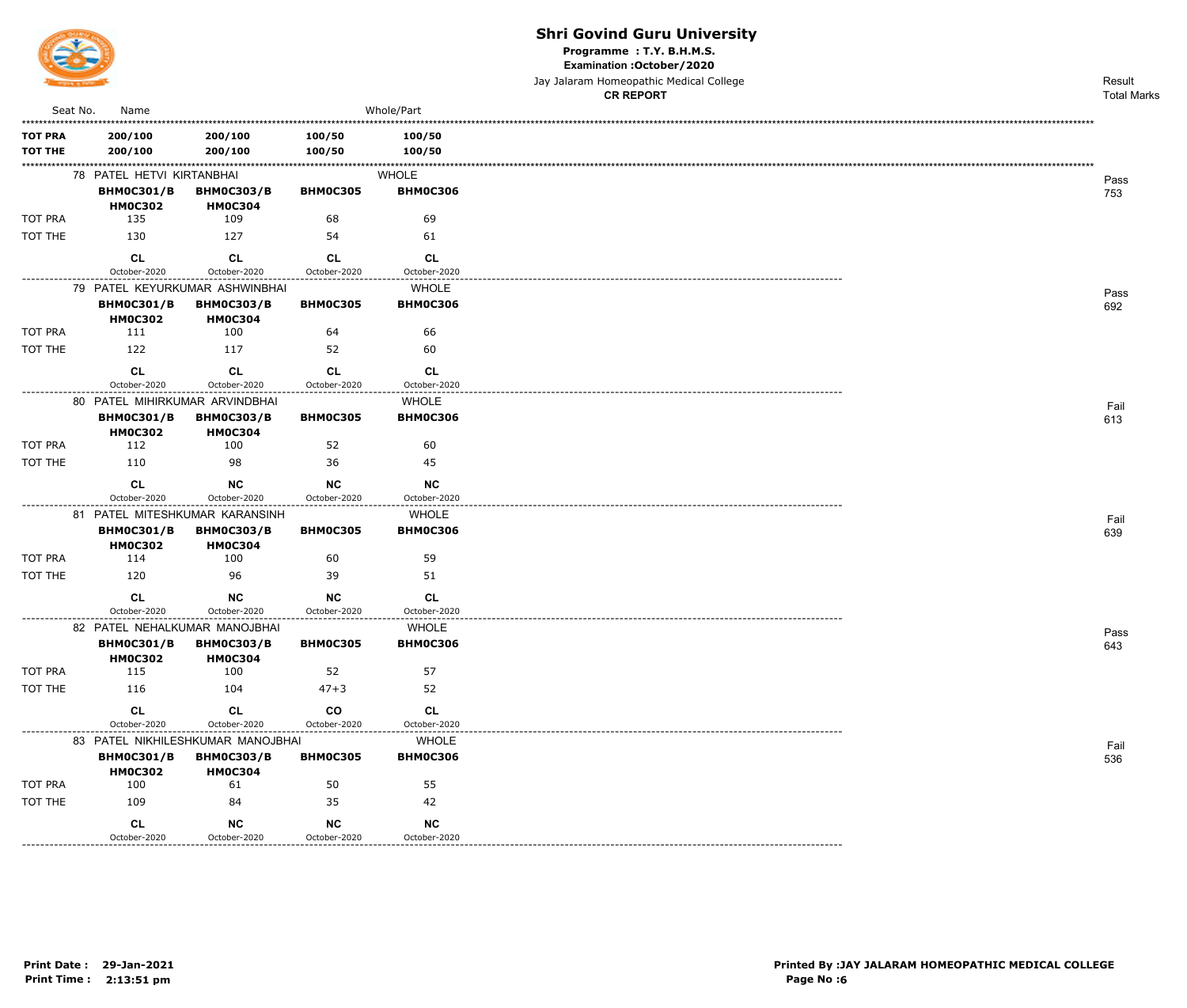

Programme: T.Y. B.H.M.S.

Examination : October / 2020

Jay Jalaram Homeopathic Medical College

|                |                                                     |                                     |                                    |                                 | <b>CR REPORT</b> | <b>Total Marks</b> |
|----------------|-----------------------------------------------------|-------------------------------------|------------------------------------|---------------------------------|------------------|--------------------|
| Seat No.       | Name                                                |                                     |                                    | Whole/Part                      |                  |                    |
| <b>TOT PRA</b> | 200/100                                             | 200/100                             | 100/50                             | 100/50                          |                  |                    |
| <b>TOT THE</b> | 200/100                                             | 200/100                             | 100/50                             | 100/50                          |                  |                    |
|                | 78 PATEL HETVI KIRTANBHAI                           |                                     |                                    |                                 |                  |                    |
|                | <b>BHM0C301/B</b>                                   | <b>BHM0C303/B</b>                   | <b>BHM0C305</b>                    | <b>WHOLE</b><br><b>BHM0C306</b> |                  | Pass               |
|                | <b>HM0C302</b>                                      | <b>HM0C304</b>                      |                                    |                                 |                  | 753                |
| TOT PRA        | 135                                                 | 109                                 | 68                                 | 69                              |                  |                    |
| TOT THE        | 130                                                 | 127                                 | 54                                 | 61                              |                  |                    |
|                | <b>CL</b>                                           | <b>CL</b>                           | <b>CL</b>                          | <b>CL</b>                       |                  |                    |
| .              | October-2020                                        | October-2020                        | October-2020                       | October-2020                    |                  |                    |
|                |                                                     | 79 PATEL KEYURKUMAR ASHWINBHAI      |                                    | <b>WHOLE</b>                    |                  | Pass               |
|                | <b>BHM0C301/B</b>                                   | <b>BHM0C303/B</b>                   | <b>BHM0C305</b>                    | <b>BHM0C306</b>                 |                  | 692                |
| <b>TOT PRA</b> | <b>HM0C302</b><br>111                               | <b>HM0C304</b><br>100               | 64                                 | 66                              |                  |                    |
| TOT THE        | 122                                                 | 117                                 | 52                                 | 60                              |                  |                    |
|                |                                                     |                                     |                                    |                                 |                  |                    |
|                | <b>CL</b>                                           | CL                                  | <b>CL</b>                          | <b>CL</b>                       |                  |                    |
|                | October-2020                                        | October-2020                        | October-2020                       | October-2020                    |                  |                    |
|                | 80 PATEL MIHIRKUMAR ARVINDBHAI<br><b>BHM0C301/B</b> | <b>BHM0C303/B</b>                   | <b>BHM0C305</b>                    | <b>WHOLE</b><br><b>BHM0C306</b> |                  | Fail               |
|                | <b>HM0C302</b>                                      | <b>HM0C304</b>                      |                                    |                                 |                  | 613                |
| <b>TOT PRA</b> | 112                                                 | 100                                 | 52                                 | 60                              |                  |                    |
| TOT THE        | 110                                                 | 98                                  | 36                                 | 45                              |                  |                    |
|                | <b>CL</b>                                           | <b>NC</b>                           | <b>NC</b>                          | <b>NC</b>                       |                  |                    |
|                | October-2020                                        | October-2020                        | October-2020                       | October-2020                    |                  |                    |
|                |                                                     | 81 PATEL MITESHKUMAR KARANSINH      |                                    | <b>WHOLE</b>                    |                  | Fail               |
|                | <b>BHM0C301/B</b><br><b>HM0C302</b>                 | <b>BHM0C303/B</b><br><b>HM0C304</b> | <b>BHM0C305</b>                    | <b>BHM0C306</b>                 |                  | 639                |
| TOT PRA        | 114                                                 | 100                                 | 60                                 | 59                              |                  |                    |
| TOT THE        | 120                                                 | -96                                 | 39                                 | 51                              |                  |                    |
|                | <b>CL</b>                                           | <b>NC</b>                           | <b>NC</b>                          | <b>CL</b>                       |                  |                    |
|                | October-2020                                        | October-2020                        | October-2020<br>------------------ | October-2020                    |                  |                    |
|                |                                                     | 82 PATEL NEHALKUMAR MANOJBHAI       |                                    | <b>WHOLE</b>                    |                  | Pass               |
|                | <b>BHM0C301/B</b>                                   | <b>BHM0C303/B</b>                   | <b>BHM0C305</b>                    | <b>BHM0C306</b>                 |                  | 643                |
| TOT PRA        | <b>HM0C302</b><br>115                               | <b>HM0C304</b><br>100               | 52                                 | 57                              |                  |                    |
| TOT THE        | 116                                                 | 104                                 | $47 + 3$                           | 52                              |                  |                    |
|                |                                                     |                                     |                                    |                                 |                  |                    |
|                | <b>CL</b><br>October-2020                           | <b>CL</b><br>October-2020           | $\mathbf{co}$<br>October-2020      | CL<br>October-2020              |                  |                    |
|                |                                                     | 83 PATEL NIKHILESHKUMAR MANOJBHAI   | -------------------                | <b>WHOLE</b>                    |                  |                    |
|                | <b>BHM0C301/B</b>                                   | <b>BHM0C303/B</b>                   | <b>BHM0C305</b>                    | <b>BHM0C306</b>                 |                  | Fail<br>536        |
|                | <b>HM0C302</b>                                      | <b>HM0C304</b>                      |                                    |                                 |                  |                    |
| TOT PRA        | 100                                                 | 61                                  | 50                                 | 55                              |                  |                    |
| TOT THE        | 109                                                 | 84                                  | 35                                 | 42                              |                  |                    |
|                | <b>CL</b>                                           | NC                                  | <b>NC</b>                          | <b>NC</b>                       |                  |                    |
|                | October-2020<br>----------------------------        | October-2020                        | October-2020                       | October-2020                    |                  |                    |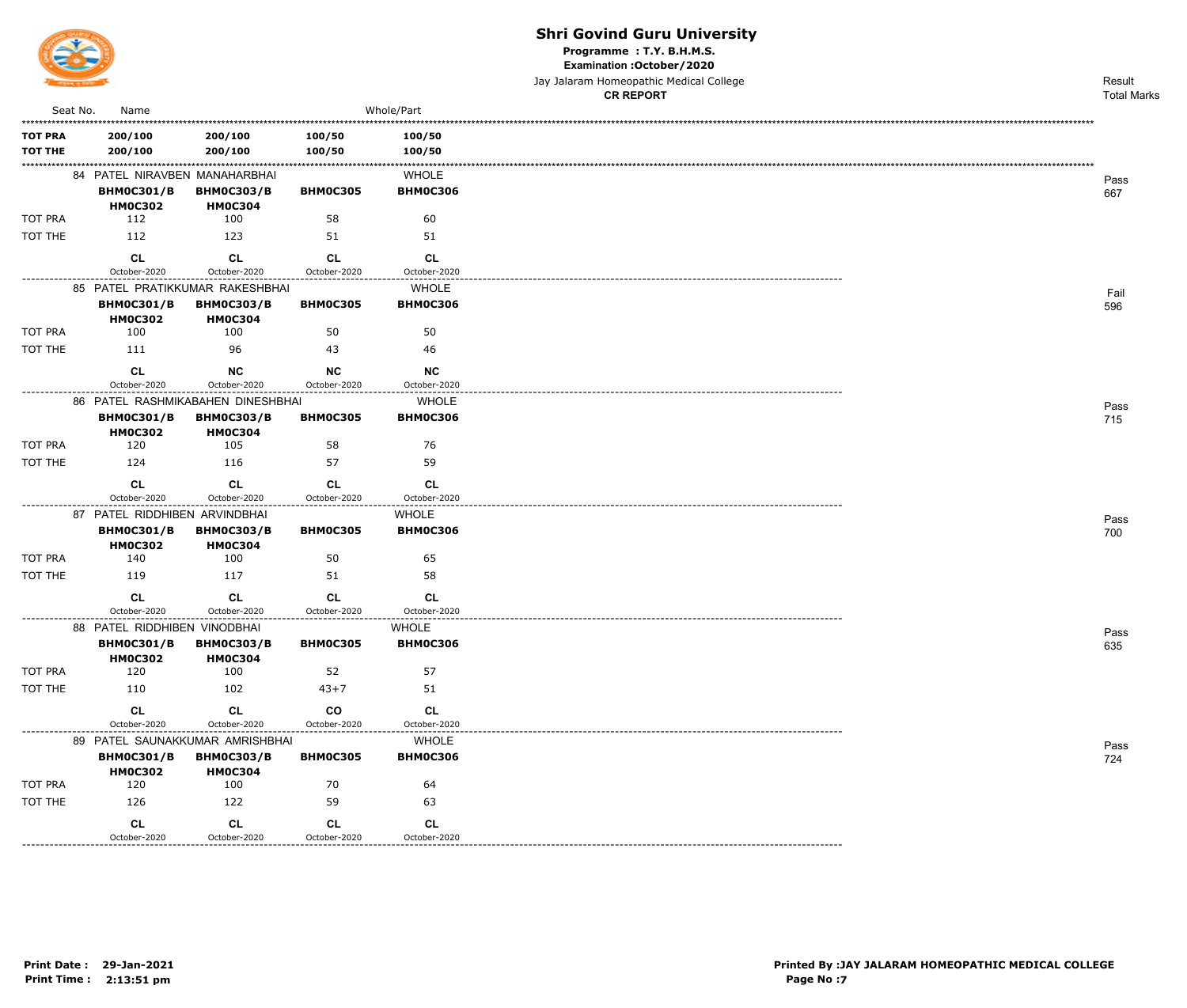

Programme: T.Y. B.H.M.S.

Examination : October / 2020

Jay Jalaram Homeopathic Medical College **CR REPORT** 

Result **Total Marks** 

| Seat No.                  | Name                                              |                                                      |                           | Whole/Part                      |
|---------------------------|---------------------------------------------------|------------------------------------------------------|---------------------------|---------------------------------|
| <b>TOT PRA</b><br>TOT THE | 200/100<br>200/100                                | 200/100<br>200/100                                   | 100/50<br>100/50          | 100/50<br>100/50                |
|                           | 84 PATEL NIRAVBEN MANAHARBHAI                     |                                                      |                           | <b>WHOLE</b>                    |
|                           | <b>BHM0C301/B</b><br><b>HM0C302</b>               | <b>BHM0C303/B</b><br><b>HM0C304</b>                  | <b>BHM0C305</b>           | <b>BHM0C306</b>                 |
| TOT PRA                   | 112                                               | 100                                                  | 58                        | 60                              |
| TOT THE                   | 112                                               | 123                                                  | 51                        | 51                              |
|                           | CL<br>October-2020                                | CL<br>October-2020                                   | CL<br>October-2020        | CL<br>October-2020              |
|                           |                                                   | 85 PATEL PRATIKKUMAR RAKESHBHAI                      |                           | <b>WHOLE</b>                    |
|                           | <b>BHM0C301/B</b><br><b>HM0C302</b>               | <b>BHM0C303/B</b><br><b>HM0C304</b>                  | <b>BHM0C305</b>           | <b>BHM0C306</b>                 |
| TOT PRA                   | 100                                               | 100                                                  | 50                        | 50                              |
| TOT THE                   | 111                                               | 96                                                   | 43                        | 46                              |
|                           | <b>CL</b><br>October-2020                         | NC<br>October-2020                                   | <b>NC</b><br>October-2020 | NC<br>October-2020              |
|                           |                                                   | 86 PATEL RASHMIKABAHEN DINESHBHAI                    |                           | <b>WHOLE</b>                    |
|                           | <b>BHM0C301/B</b><br><b>HM0C302</b>               | <b>BHM0C303/B</b><br><b>HM0C304</b>                  | <b>BHM0C305</b>           | <b>BHM0C306</b>                 |
| <b>TOT PRA</b>            | 120                                               | 105                                                  | 58                        | 76                              |
| TOT THE                   | 124                                               | 116                                                  | 57                        | 59                              |
|                           | CL<br>October-2020                                | <b>CL</b><br>October-2020                            | <b>CL</b><br>October-2020 | CL<br>October-2020              |
|                           | 87 PATEL RIDDHIBEN ARVINDBHAI                     |                                                      |                           | <b>WHOLE</b>                    |
|                           | <b>BHM0C301/B</b><br><b>HM0C302</b>               | <b>BHM0C303/B</b><br><b>HM0C304</b>                  | <b>BHM0C305</b>           | <b>BHM0C306</b>                 |
| <b>TOT PRA</b>            | 140                                               | 100                                                  | 50                        | 65                              |
| TOT THE                   | 119                                               | 117                                                  | 51                        | 58                              |
|                           | <b>CL</b>                                         | <b>CL</b>                                            | <b>CL</b>                 | CL                              |
|                           | October-2020                                      | October-2020                                         | October-2020              | October-2020                    |
|                           | 88 PATEL RIDDHIBEN VINODBHAI<br><b>BHM0C301/B</b> | <b>BHM0C303/B</b>                                    | <b>BHM0C305</b>           | <b>WHOLE</b><br><b>BHM0C306</b> |
| <b>TOT PRA</b>            | <b>HM0C302</b><br>120                             | <b>HM0C304</b><br>100                                | 52                        | 57                              |
| TOT THE                   | 110                                               | 102                                                  | $43 + 7$                  | 51                              |
|                           | CL                                                | CL                                                   | co                        | CL                              |
|                           | October-2020                                      | October-2020                                         | October-2020              | October-2020                    |
|                           | <b>BHM0C301/B</b>                                 | 89 PATEL SAUNAKKUMAR AMRISHBHAI<br><b>BHM0C303/B</b> | <b>BHM0C305</b>           | <b>WHOLE</b><br><b>BHM0C306</b> |
|                           | <b>HM0C302</b>                                    | <b>HM0C304</b>                                       |                           |                                 |
| <b>TOT PRA</b>            | 120                                               | 100                                                  | 70                        | 64                              |
| TOT THE                   | 126                                               | 122                                                  | 59                        | 63                              |
|                           | CL<br>October-2020                                | CL<br>October-2020                                   | CL<br>October-2020        | CL<br>October-2020              |
|                           |                                                   |                                                      |                           |                                 |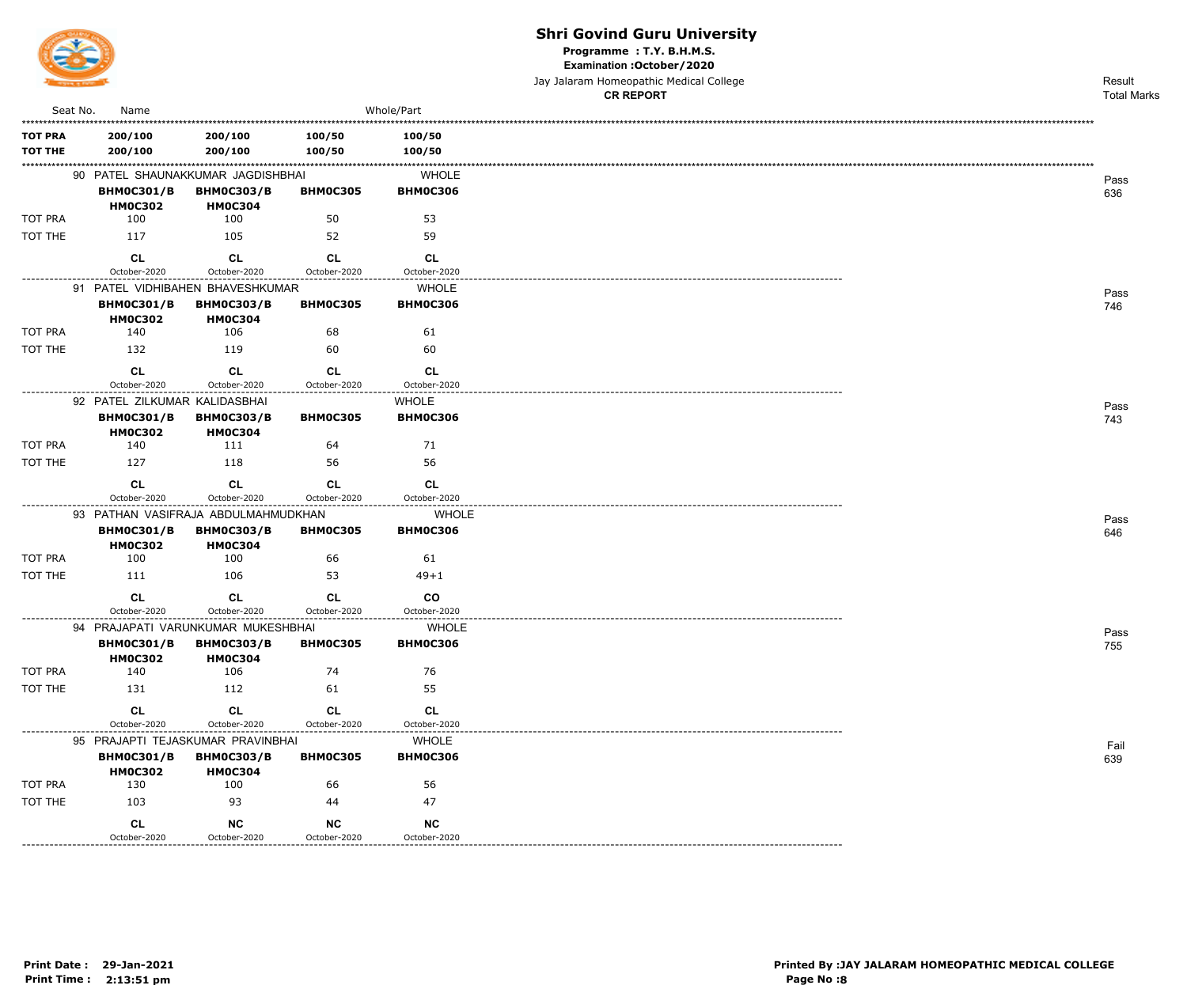

Programme: T.Y. B.H.M.S.

Examination : October / 2020

Jay Jalaram Homeopathic Medical College

|                                  |                                     |                                                        |                           |                                 | <b>CR REPORT</b> | <b>Total Marks</b> |
|----------------------------------|-------------------------------------|--------------------------------------------------------|---------------------------|---------------------------------|------------------|--------------------|
| Seat No.                         | Name                                |                                                        |                           | Whole/Part                      |                  |                    |
| <b>TOT PRA</b><br><b>TOT THE</b> | 200/100<br>200/100                  | 200/100<br>200/100                                     | 100/50<br>100/50          | 100/50<br>100/50                |                  |                    |
|                                  |                                     | 90 PATEL SHAUNAKKUMAR JAGDISHBHAI                      |                           | <b>WHOLE</b>                    |                  | Pass               |
|                                  | <b>BHM0C301/B</b><br><b>HM0C302</b> | <b>BHM0C303/B</b><br><b>HM0C304</b>                    | <b>BHM0C305</b>           | <b>BHM0C306</b>                 |                  | 636                |
| TOT PRA                          | 100                                 | 100                                                    | 50                        | 53                              |                  |                    |
| TOT THE                          | 117                                 | 105                                                    | 52                        | 59                              |                  |                    |
|                                  | CL<br>October-2020                  | <b>CL</b><br>October-2020                              | <b>CL</b><br>October-2020 | CL<br>October-2020              |                  |                    |
| --------------                   |                                     | 91 PATEL VIDHIBAHEN BHAVESHKUMAR                       |                           | <b>WHOLE</b>                    |                  |                    |
|                                  | <b>BHM0C301/B</b><br><b>HM0C302</b> | <b>BHM0C303/B</b><br><b>HM0C304</b>                    | <b>BHM0C305</b>           | <b>BHM0C306</b>                 |                  | Pass<br>746        |
| TOT PRA                          | 140                                 | 106                                                    | 68                        | 61                              |                  |                    |
| TOT THE                          | 132                                 | 119                                                    | 60                        | 60                              |                  |                    |
|                                  | CL<br>October-2020                  | <b>CL</b><br>October-2020                              | CL<br>October-2020        | CL<br>October-2020              |                  |                    |
|                                  | 92 PATEL ZILKUMAR KALIDASBHAI       |                                                        |                           | <b>WHOLE</b>                    |                  |                    |
|                                  | <b>BHM0C301/B</b><br><b>HM0C302</b> | <b>BHM0C303/B</b><br><b>HM0C304</b>                    | BHM0C305                  | <b>BHM0C306</b>                 |                  | Pass<br>743        |
| TOT PRA                          | 140                                 | 111                                                    | 64                        | 71                              |                  |                    |
| TOT THE                          | 127                                 | 118                                                    | 56                        | 56                              |                  |                    |
|                                  | <b>CL</b>                           | <b>CL</b>                                              | CL                        | CL                              |                  |                    |
|                                  | October-2020                        | October-2020                                           | October-2020              | October-2020                    |                  |                    |
|                                  |                                     | 93 PATHAN VASIFRAJA ABDULMAHMUDKHAN                    |                           | <b>WHOLE</b>                    |                  | Pass               |
|                                  | <b>BHM0C301/B</b><br><b>HM0C302</b> | <b>BHM0C303/B</b><br><b>HM0C304</b>                    | <b>BHM0C305</b>           | <b>BHM0C306</b>                 |                  | 646                |
| TOT PRA                          | 100                                 | 100                                                    | 66                        | 61                              |                  |                    |
| TOT THE                          | 111                                 | 106                                                    | 53                        | $49 + 1$                        |                  |                    |
|                                  | CL<br>October-2020                  | CL<br>October-2020                                     | CL<br>October-2020        | $_{\rm CO}$<br>October-2020     |                  |                    |
|                                  |                                     | 94 PRAJAPATI VARUNKUMAR MUKESHBHAI                     | -----------------         | <b>WHOLE</b>                    |                  |                    |
|                                  | <b>BHM0C301/B</b><br><b>HM0C302</b> | <b>BHM0C303/B</b><br><b>HM0C304</b>                    | <b>BHM0C305</b>           | <b>BHM0C306</b>                 |                  | Pass<br>755        |
| TOT PRA                          | 140                                 | 106                                                    | 74                        | 76                              |                  |                    |
| TOT THE                          | 131                                 | 112                                                    | 61                        | 55                              |                  |                    |
|                                  | <b>CL</b>                           | CL                                                     | CL                        | CL                              |                  |                    |
|                                  | October-2020                        | October-2020                                           | October-2020              | October-2020                    |                  |                    |
|                                  | <b>BHM0C301/B</b>                   | 95 PRAJAPTI TEJASKUMAR PRAVINBHAI<br><b>BHM0C303/B</b> | <b>BHM0C305</b>           | <b>WHOLE</b><br><b>BHM0C306</b> |                  | Fail<br>639        |
| TOT PRA                          | <b>HM0C302</b><br>130               | <b>HM0C304</b><br>100                                  | 66                        | 56                              |                  |                    |
| TOT THE                          | 103                                 | 93                                                     | 44                        | 47                              |                  |                    |
|                                  | CL                                  | <b>NC</b>                                              | <b>NC</b>                 | <b>NC</b>                       |                  |                    |
|                                  | October-2020                        | October-2020                                           | October-2020              | October-2020                    |                  |                    |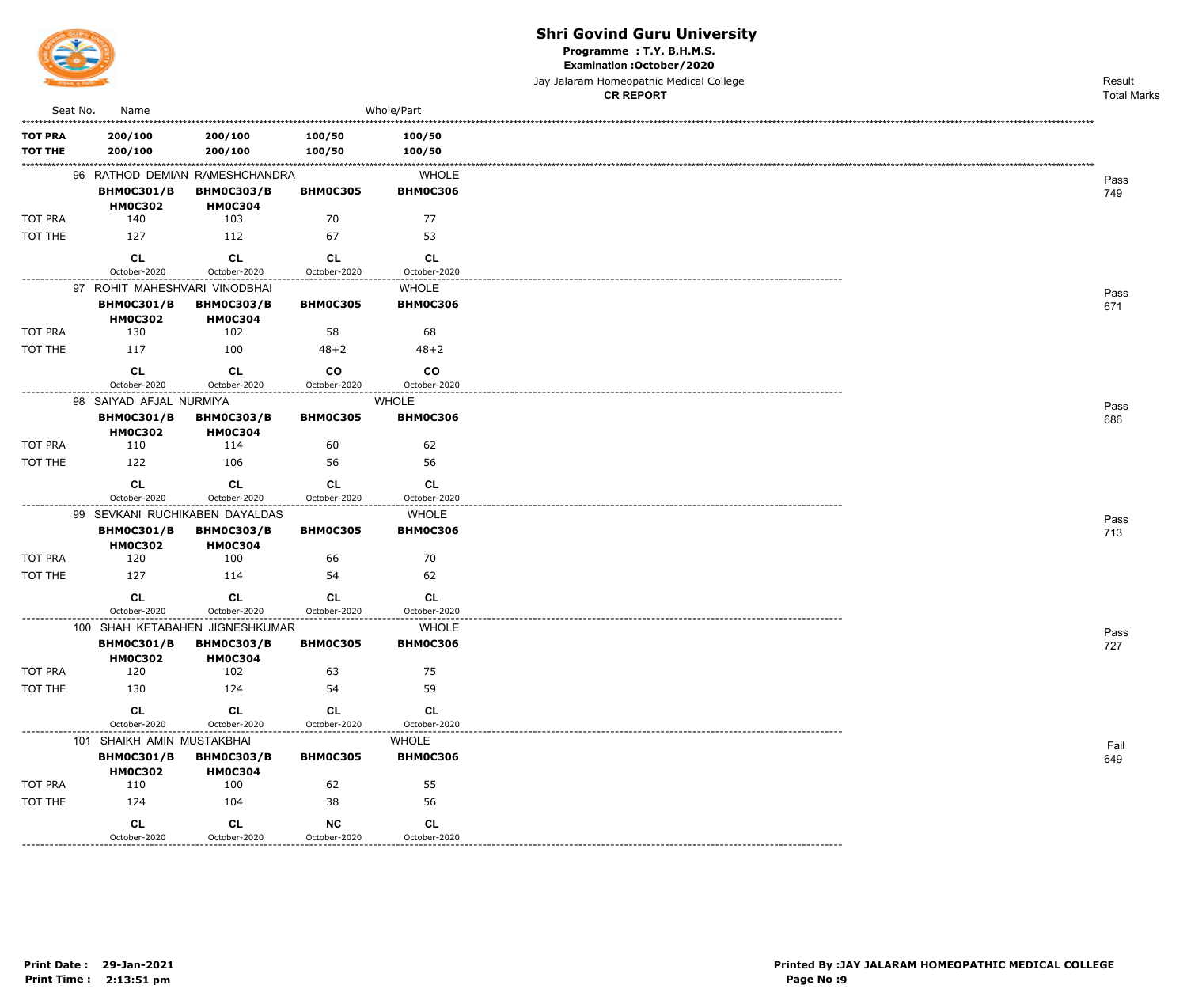

Programme: T.Y. B.H.M.S.

Examination : October / 2020

|                                  |                                                                       |                                     |                           |                                 | Jay Jalaram Homeopathic Medical College | Result             |
|----------------------------------|-----------------------------------------------------------------------|-------------------------------------|---------------------------|---------------------------------|-----------------------------------------|--------------------|
| Seat No.                         |                                                                       |                                     |                           | Whole/Part                      | <b>CR REPORT</b>                        | <b>Total Marks</b> |
|                                  | Name                                                                  |                                     |                           |                                 |                                         |                    |
| <b>TOT PRA</b><br><b>TOT THE</b> | 200/100<br>200/100                                                    | 200/100<br>200/100                  | 100/50<br>100/50          | 100/50<br>100/50                |                                         |                    |
|                                  | 96 RATHOD DEMIAN RAMESHCHANDRA<br><b>BHM0C301/B</b><br><b>HM0C302</b> | <b>BHM0C303/B</b><br><b>HM0C304</b> | <b>BHM0C305</b>           | <b>WHOLE</b><br><b>BHM0C306</b> |                                         | Pass<br>749        |
| TOT PRA                          | 140                                                                   | 103                                 | 70                        | 77                              |                                         |                    |
| TOT THE                          | 127                                                                   | 112                                 | 67                        | 53                              |                                         |                    |
|                                  | <b>CL</b><br>October-2020                                             | <b>CL</b><br>October-2020           | <b>CL</b><br>October-2020 | <b>CL</b><br>October-2020       |                                         |                    |
|                                  | 97 ROHIT MAHESHVARI VINODBHAI                                         |                                     |                           | <b>WHOLE</b>                    |                                         | Pass               |
|                                  | <b>BHM0C301/B</b><br><b>HM0C302</b>                                   | <b>BHM0C303/B</b><br><b>HM0C304</b> | <b>BHM0C305</b>           | <b>BHM0C306</b>                 |                                         | 671                |
| TOT PRA                          | 130                                                                   | 102                                 | 58                        | 68                              |                                         |                    |
| TOT THE                          | 117                                                                   | 100                                 | $48 + 2$                  | $48 + 2$                        |                                         |                    |
|                                  | CL<br>October-2020                                                    | CL<br>October-2020                  | co<br>October-2020        | <b>CO</b><br>October-2020       |                                         |                    |
|                                  | 98 SAIYAD AFJAL NURMIYA                                               |                                     |                           | <b>WHOLE</b>                    |                                         |                    |
|                                  | <b>BHM0C301/B</b><br><b>HM0C302</b>                                   | <b>BHM0C303/B</b><br><b>HM0C304</b> | <b>BHM0C305</b>           | <b>BHM0C306</b>                 |                                         | Pass<br>686        |
| TOT PRA                          | 110                                                                   | 114                                 | 60                        | 62                              |                                         |                    |
| TOT THE                          | 122                                                                   | 106                                 | 56                        | 56                              |                                         |                    |
|                                  | <b>CL</b>                                                             | <b>CL</b>                           | <b>CL</b>                 | <b>CL</b>                       |                                         |                    |
|                                  | October-2020<br>99 SEVKANI RUCHIKABEN DAYALDAS                        | October-2020                        | October-2020              | October-2020<br>WHOLE           |                                         |                    |
|                                  | <b>BHM0C301/B</b><br><b>HM0C302</b>                                   | <b>BHM0C303/B</b><br><b>HM0C304</b> | <b>BHM0C305</b>           | <b>BHM0C306</b>                 |                                         | Pass<br>713        |
| TOT PRA                          | 120                                                                   | 100                                 | 66                        | 70                              |                                         |                    |
| TOT THE                          | 127                                                                   | 114                                 | 54                        | 62                              |                                         |                    |
|                                  | CL<br>October-2020                                                    | <b>CL</b><br>October-2020           | <b>CL</b><br>October-2020 | <b>CL</b><br>October-2020       |                                         |                    |
|                                  | 100 SHAH KETABAHEN JIGNESHKUMAR                                       |                                     |                           | WHOLE                           |                                         |                    |
|                                  | <b>BHM0C301/B</b><br><b>HM0C302</b>                                   | <b>BHM0C303/B</b><br><b>HM0C304</b> | <b>BHM0C305</b>           | <b>BHM0C306</b>                 |                                         | Pass<br>727        |
| TOT PRA                          | 120                                                                   | 102                                 | 63                        | 75                              |                                         |                    |
| TOT THE                          | 130                                                                   | 124                                 | 54                        | 59                              |                                         |                    |
|                                  | CL                                                                    | CL                                  | CL                        | CL                              |                                         |                    |
|                                  | October-2020                                                          | October-2020                        | October-2020              | October-2020                    |                                         |                    |
|                                  | 101 SHAIKH AMIN MUSTAKBHAI<br><b>BHM0C301/B</b><br><b>HM0C302</b>     | <b>BHM0C303/B</b><br><b>HM0C304</b> | <b>BHM0C305</b>           | WHOLE<br><b>BHM0C306</b>        |                                         | Fail<br>649        |
| TOT PRA                          | 110                                                                   | 100                                 | 62                        | 55                              |                                         |                    |
| TOT THE                          | 124                                                                   | 104                                 | 38                        | 56                              |                                         |                    |
|                                  | CL<br>October-2020                                                    | CL<br>October-2020                  | $NC$<br>October-2020      | CL<br>October-2020              |                                         |                    |

-----------

--------------------------------------